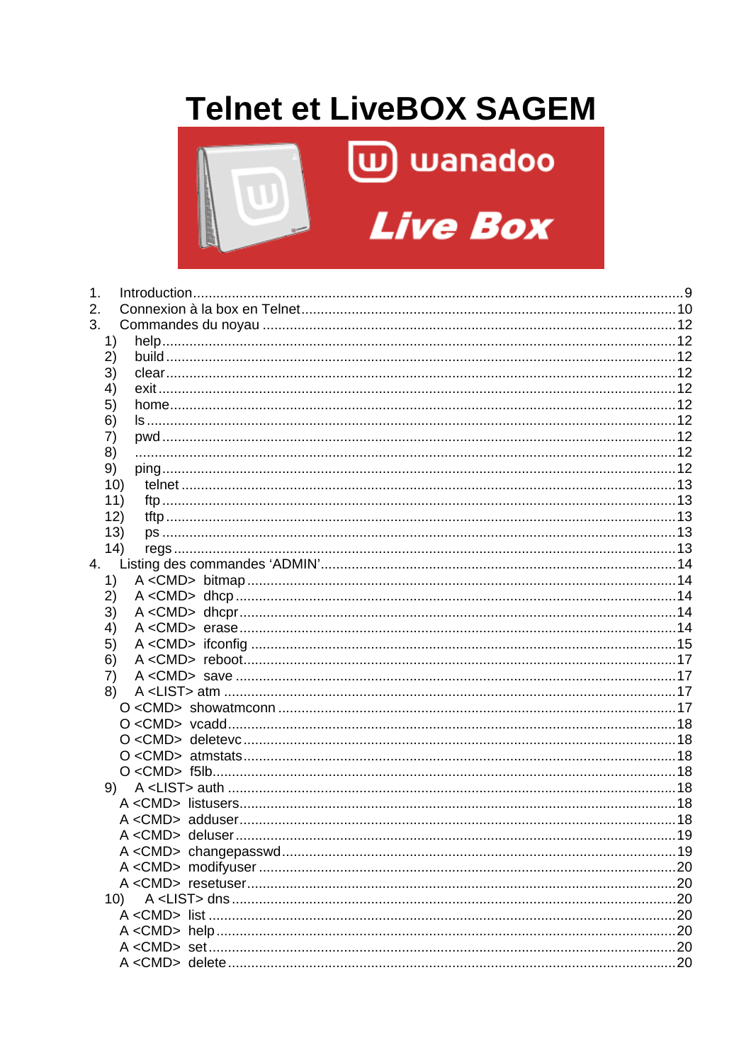# **Telnet et LiveBOX SAGEM**



| 1. |     |                    |                |
|----|-----|--------------------|----------------|
| 2. |     |                    |                |
| 3. |     |                    |                |
|    | 1)  |                    |                |
|    | 2)  |                    |                |
|    | 3)  |                    |                |
|    | 4)  |                    |                |
|    | 5)  |                    |                |
|    | 6)  |                    |                |
|    | 7)  |                    |                |
|    | 8)  |                    |                |
|    | 9)  |                    |                |
|    | 10) |                    |                |
|    | 11) |                    |                |
|    | 12) |                    |                |
|    | 13) |                    |                |
|    | 14) |                    |                |
|    |     |                    |                |
|    | 1)  |                    |                |
|    | 2)  |                    |                |
|    | 3)  |                    |                |
|    | 4)  |                    |                |
|    | 5)  |                    |                |
|    | 6)  |                    |                |
|    | 7)  |                    |                |
|    | 8)  |                    |                |
|    |     |                    |                |
|    |     |                    |                |
|    |     |                    |                |
|    |     |                    |                |
|    |     |                    |                |
|    |     |                    |                |
|    |     |                    |                |
|    |     |                    |                |
|    |     |                    |                |
|    |     |                    |                |
|    |     |                    |                |
|    |     |                    |                |
|    | 10) |                    |                |
|    |     |                    |                |
|    |     |                    |                |
|    |     |                    |                |
|    |     | $A < CMD$ , delete | 2 <sup>c</sup> |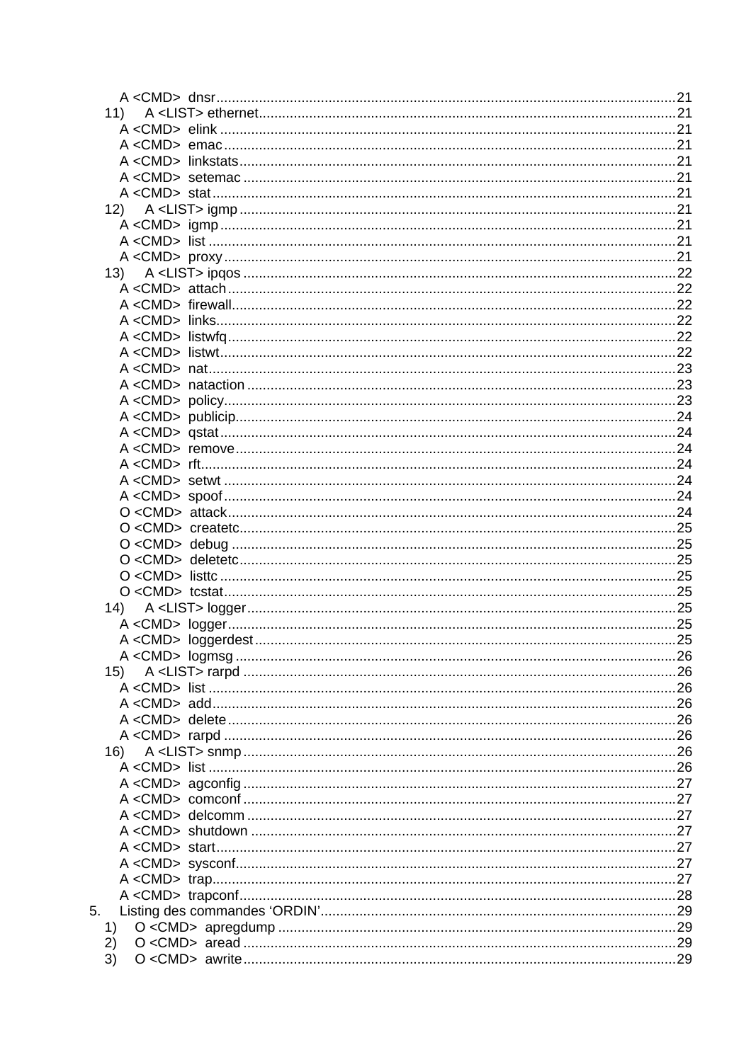|    | 11) |  |
|----|-----|--|
|    |     |  |
|    |     |  |
|    |     |  |
|    |     |  |
|    |     |  |
|    |     |  |
|    |     |  |
|    |     |  |
|    |     |  |
|    | 13) |  |
|    |     |  |
|    |     |  |
|    |     |  |
|    |     |  |
|    |     |  |
|    |     |  |
|    |     |  |
|    |     |  |
|    |     |  |
|    |     |  |
|    |     |  |
|    |     |  |
|    |     |  |
|    |     |  |
|    |     |  |
|    |     |  |
|    |     |  |
|    |     |  |
|    |     |  |
|    |     |  |
|    |     |  |
|    |     |  |
|    |     |  |
|    |     |  |
|    |     |  |
|    | 15) |  |
|    |     |  |
|    |     |  |
|    |     |  |
|    |     |  |
|    | 16) |  |
|    |     |  |
|    |     |  |
|    |     |  |
|    |     |  |
|    |     |  |
|    |     |  |
|    |     |  |
|    |     |  |
|    |     |  |
| 5. |     |  |
|    | 1)  |  |
|    | 2)  |  |
|    | 3)  |  |
|    |     |  |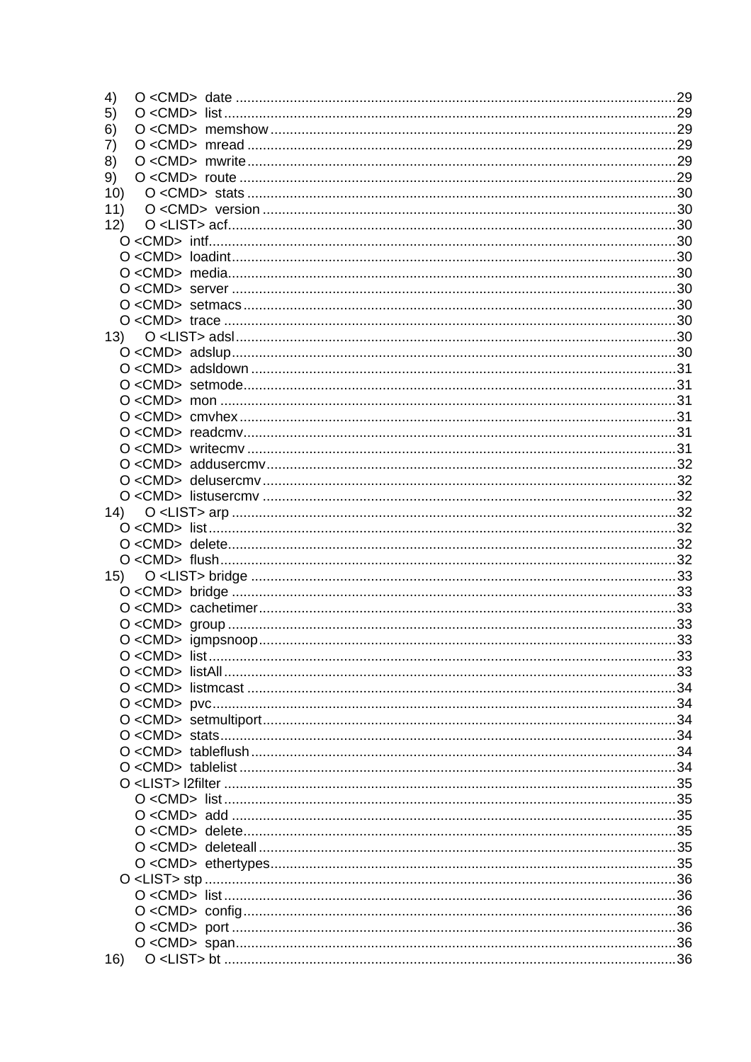| 4)  |  |
|-----|--|
| 5)  |  |
| 6)  |  |
| 7)  |  |
| 8)  |  |
| 9)  |  |
| 10) |  |
| 11) |  |
| 12) |  |
|     |  |
|     |  |
|     |  |
|     |  |
|     |  |
|     |  |
|     |  |
|     |  |
|     |  |
|     |  |
|     |  |
|     |  |
|     |  |
|     |  |
|     |  |
|     |  |
|     |  |
|     |  |
|     |  |
|     |  |
|     |  |
|     |  |
|     |  |
|     |  |
|     |  |
|     |  |
|     |  |
|     |  |
|     |  |
|     |  |
|     |  |
|     |  |
|     |  |
|     |  |
|     |  |
|     |  |
|     |  |
|     |  |
|     |  |
|     |  |
|     |  |
|     |  |
|     |  |
|     |  |
|     |  |
| 16) |  |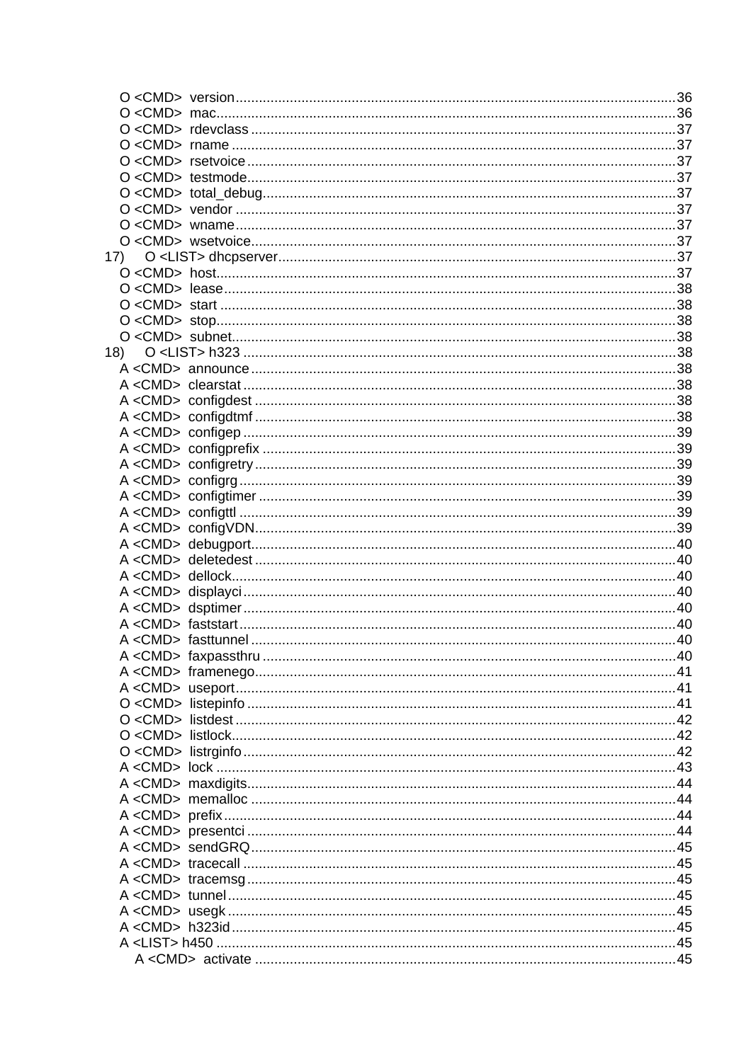| 17) |  |  |
|-----|--|--|
|     |  |  |
|     |  |  |
|     |  |  |
|     |  |  |
|     |  |  |
|     |  |  |
|     |  |  |
|     |  |  |
|     |  |  |
|     |  |  |
|     |  |  |
|     |  |  |
|     |  |  |
|     |  |  |
|     |  |  |
|     |  |  |
|     |  |  |
|     |  |  |
|     |  |  |
|     |  |  |
|     |  |  |
|     |  |  |
|     |  |  |
|     |  |  |
|     |  |  |
|     |  |  |
|     |  |  |
|     |  |  |
|     |  |  |
|     |  |  |
|     |  |  |
|     |  |  |
|     |  |  |
|     |  |  |
|     |  |  |
|     |  |  |
|     |  |  |
|     |  |  |
|     |  |  |
|     |  |  |
|     |  |  |
|     |  |  |
|     |  |  |
|     |  |  |
|     |  |  |
|     |  |  |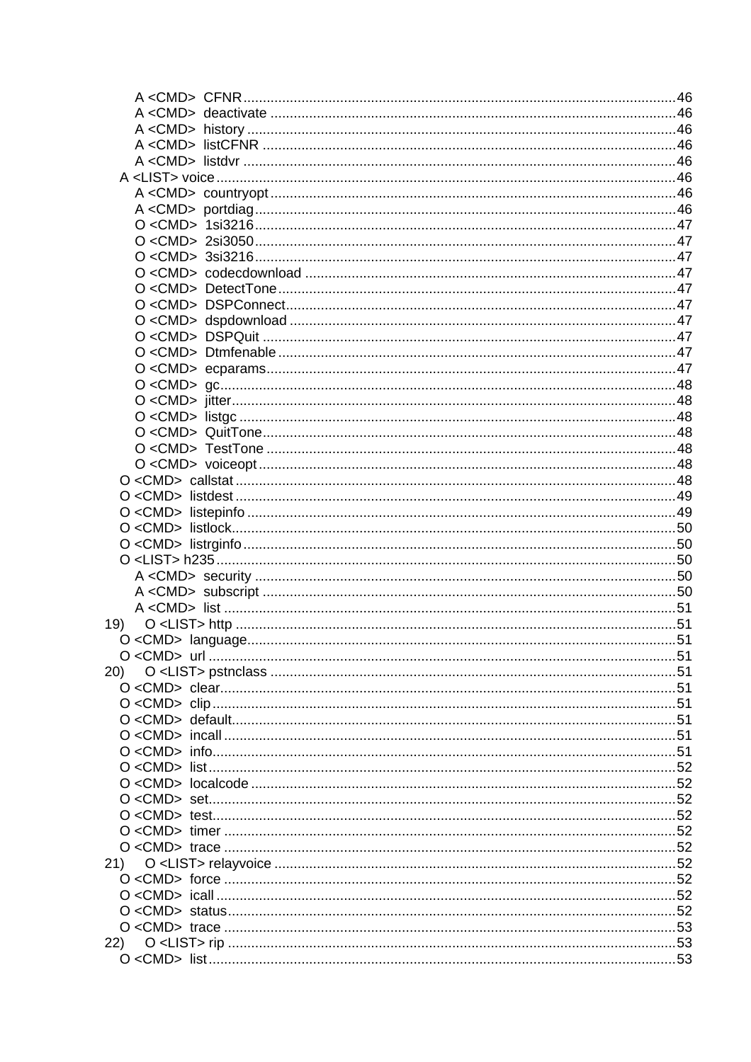| 20) |  |
|-----|--|
|     |  |
|     |  |
|     |  |
|     |  |
|     |  |
|     |  |
|     |  |
|     |  |
|     |  |
|     |  |
|     |  |
| 21) |  |
|     |  |
|     |  |
|     |  |
|     |  |
| 22) |  |
|     |  |
|     |  |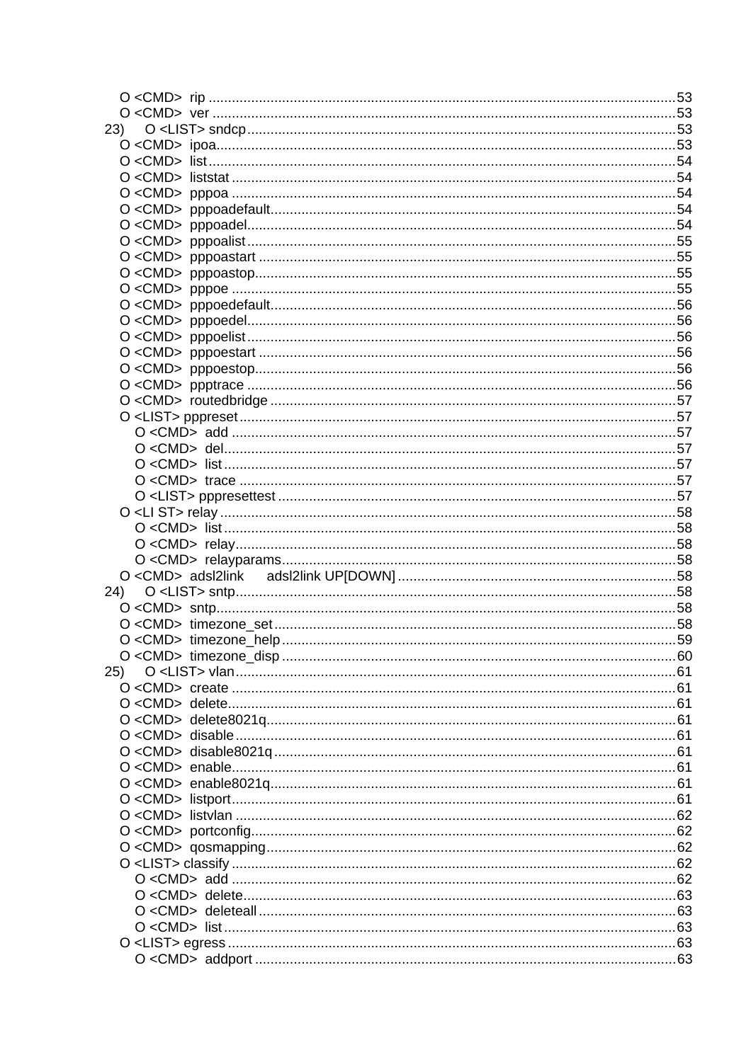| 23) |  |
|-----|--|
|     |  |
|     |  |
|     |  |
|     |  |
|     |  |
|     |  |
|     |  |
|     |  |
|     |  |
|     |  |
|     |  |
|     |  |
|     |  |
|     |  |
|     |  |
|     |  |
|     |  |
|     |  |
|     |  |
|     |  |
|     |  |
|     |  |
|     |  |
|     |  |
|     |  |
|     |  |
|     |  |
|     |  |
|     |  |
|     |  |
|     |  |
|     |  |
|     |  |
|     |  |
| 25) |  |
|     |  |
|     |  |
|     |  |
|     |  |
|     |  |
|     |  |
|     |  |
|     |  |
|     |  |
|     |  |
|     |  |
|     |  |
|     |  |
|     |  |
|     |  |
|     |  |
|     |  |
|     |  |
|     |  |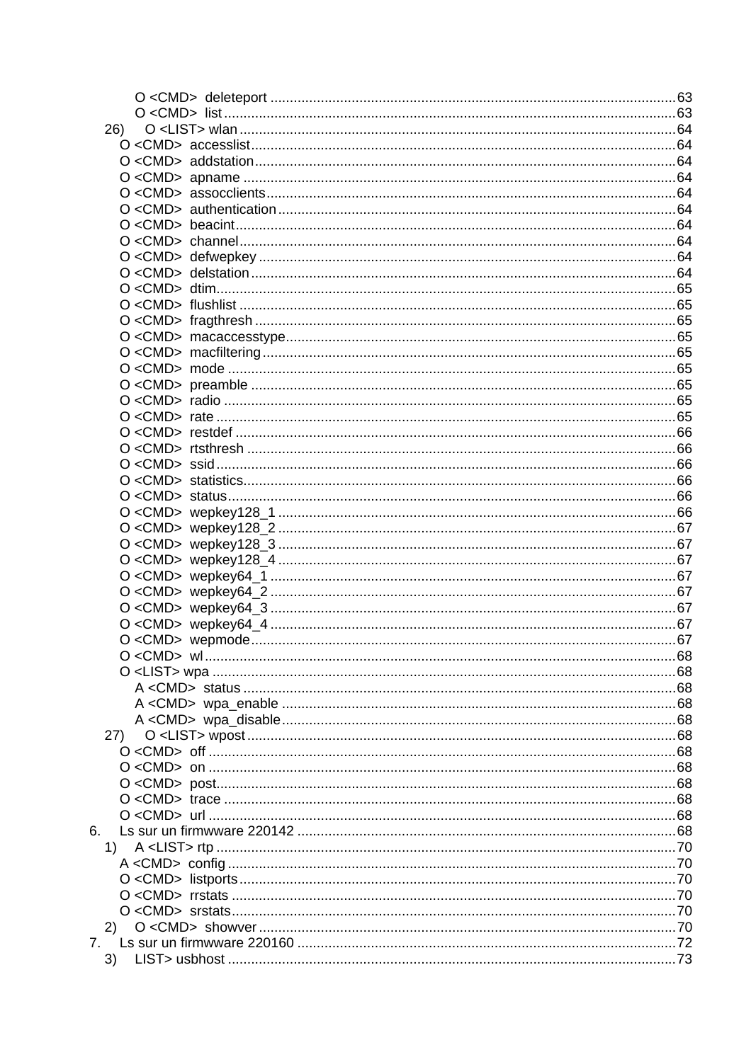| 26)         |  |
|-------------|--|
|             |  |
|             |  |
|             |  |
|             |  |
|             |  |
|             |  |
|             |  |
|             |  |
|             |  |
|             |  |
|             |  |
|             |  |
|             |  |
|             |  |
|             |  |
|             |  |
|             |  |
|             |  |
|             |  |
|             |  |
|             |  |
|             |  |
|             |  |
|             |  |
|             |  |
|             |  |
|             |  |
|             |  |
|             |  |
|             |  |
|             |  |
|             |  |
|             |  |
|             |  |
|             |  |
|             |  |
|             |  |
| 27)         |  |
|             |  |
|             |  |
|             |  |
|             |  |
|             |  |
| 6.          |  |
| 1)          |  |
|             |  |
|             |  |
|             |  |
|             |  |
| (2)         |  |
| $7_{\cdot}$ |  |
| 3)          |  |
|             |  |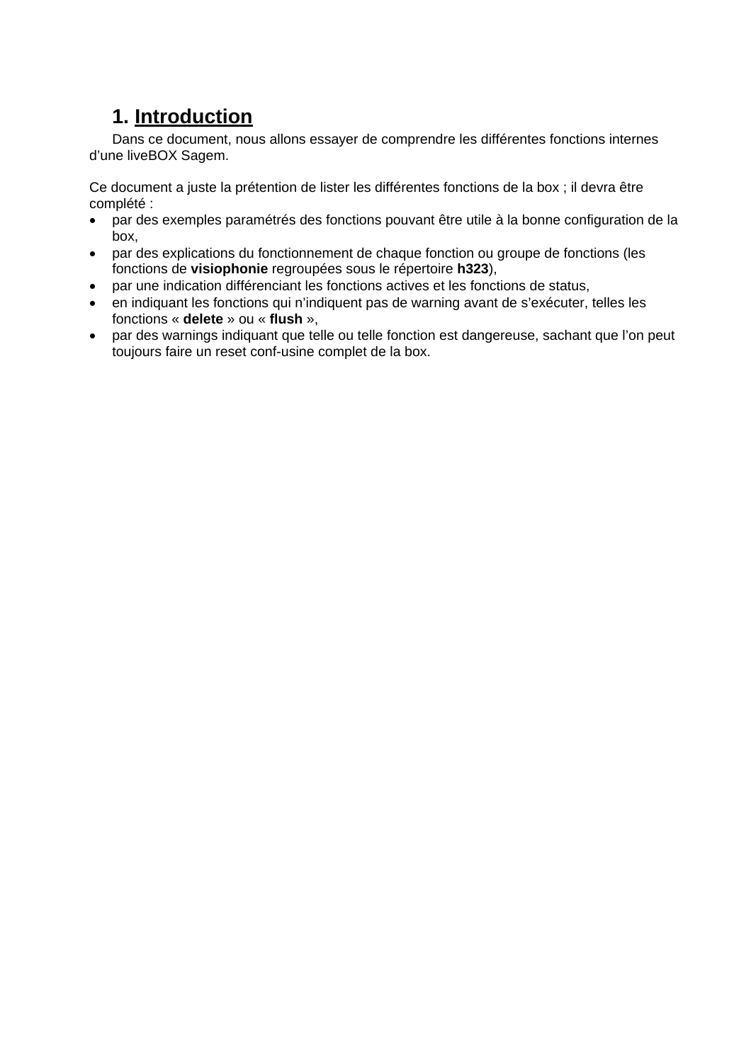# **1. Introduction**

Dans ce document, nous allons essayer de comprendre les différentes fonctions internes d'une liveBOX Sagem.

Ce document a juste la prétention de lister les différentes fonctions de la box ; il devra être complété :

- par des exemples paramétrés des fonctions pouvant être utile à la bonne configuration de la box,
- par des explications du fonctionnement de chaque fonction ou groupe de fonctions (les fonctions de **visiophonie** regroupées sous le répertoire **h323**),
- par une indication différenciant les fonctions actives et les fonctions de status,
- en indiquant les fonctions qui n'indiquent pas de warning avant de s'exécuter, telles les fonctions « **delete** » ou « **flush** »,
- par des warnings indiquant que telle ou telle fonction est dangereuse, sachant que l'on peut toujours faire un reset conf-usine complet de la box.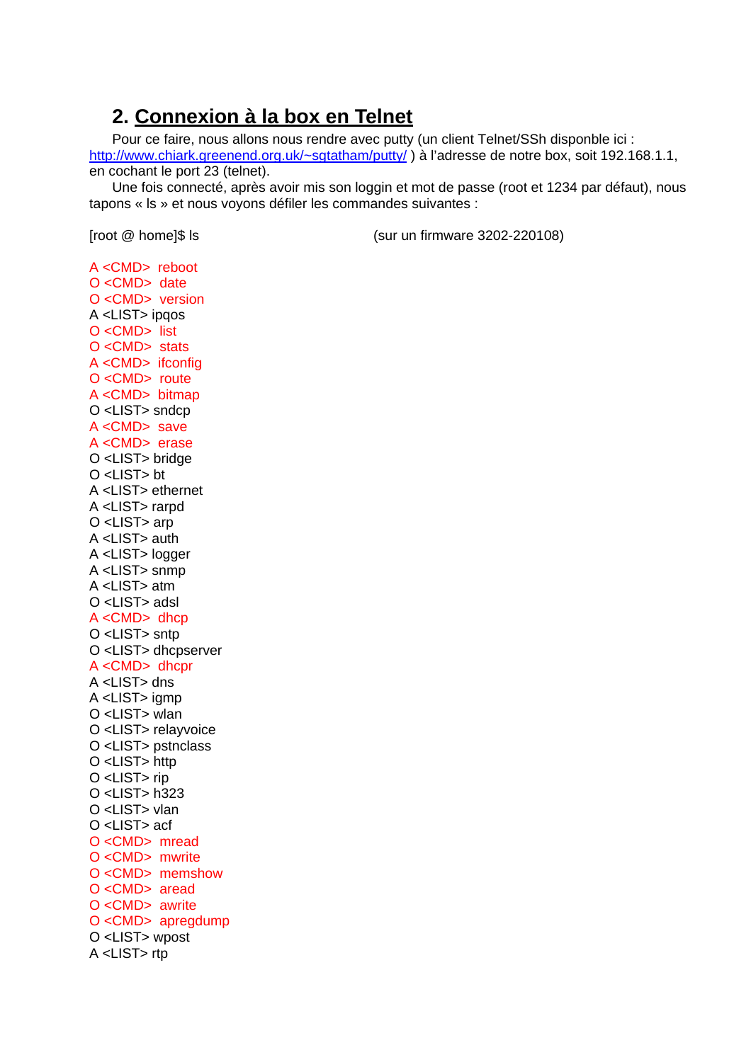## 2. Connexion à la box en Telnet

Pour ce faire, nous allons nous rendre avec putty (un client Telnet/SSh disponble ici : http://www.chiark.greenend.org.uk/~sgtatham/putty/) à l'adresse de notre box, soit 192.168.1.1, en cochant le port 23 (telnet).

Une fois connecté, après avoir mis son loggin et mot de passe (root et 1234 par défaut), nous tapons « Is » et nous voyons défiler les commandes suivantes :

[root @ home]\$ ls

(sur un firmware 3202-220108)

A <CMD> reboot  $O < CMD$  date O<CMD> version A <LIST> ipgos O<CMD>list O<CMD> stats A <CMD> ifconfig O <CMD> route A <CMD> bitmap O <LIST> sndcp A <CMD> save A <CMD> erase O <LIST> bridge  $O$  <LIST> bt A <LIST> ethernet A <LIST> rarpd  $O$  <LIST> arp A <LIST> auth A <LIST> logger A <LIST> snmp A <LIST> atm  $O$  <LIST> adsl  $A <$ CMD $>$ dhcp O <LIST> sntp O <LIST> dhcpserver A <CMD> dhcpr A <LIST> dns A <LIST> iamp O <LIST> wlan O <LIST> relayvoice O <LIST> pstnclass O <LIST> http O <LIST> rip  $O$  <LIST>  $h323$ O <LIST> vlan  $O$  < IST > acf O<CMD> mread O<CMD> mwrite O <CMD> memshow O<CMD> aread  $O < CMD$  awrite O <CMD> apregdump O <LIST> wpost A <LIST>rtp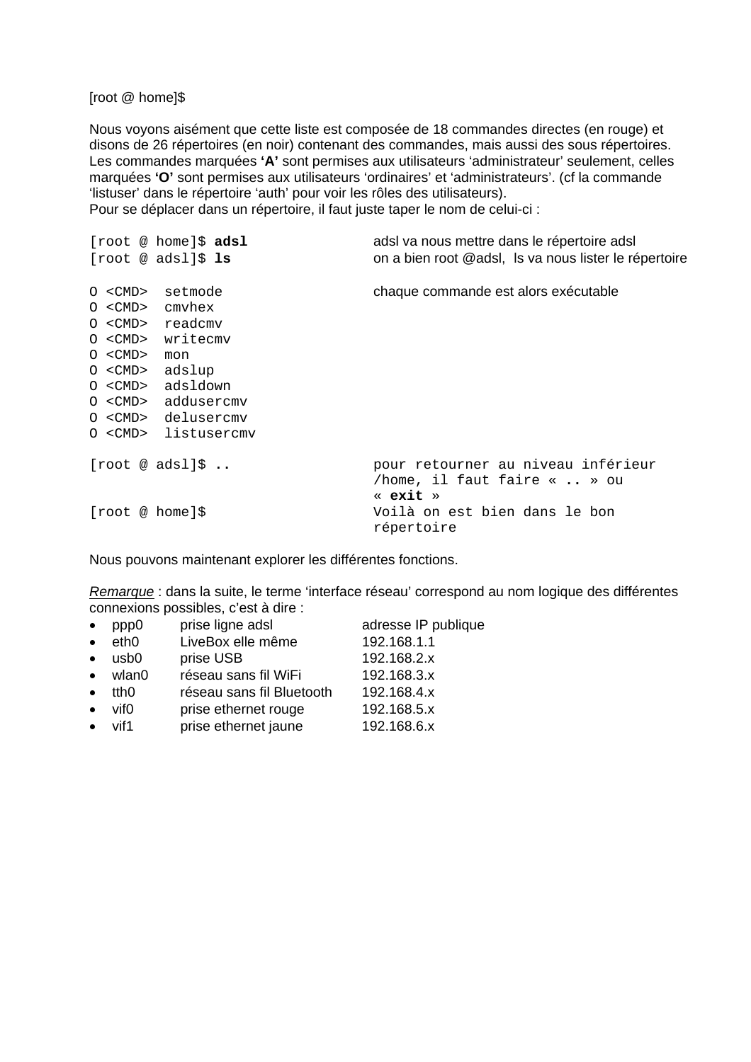[root @ home]\$

Nous voyons aisément que cette liste est composée de 18 commandes directes (en rouge) et disons de 26 répertoires (en noir) contenant des commandes, mais aussi des sous répertoires. Les commandes marquées **'A'** sont permises aux utilisateurs 'administrateur' seulement, celles marquées **'O'** sont permises aux utilisateurs 'ordinaires' et 'administrateurs'. (cf la commande 'listuser' dans le répertoire 'auth' pour voir les rôles des utilisateurs). Pour se déplacer dans un répertoire, il faut juste taper le nom de celui-ci :

[root @ home]\$ **adsl** adsl va nous mettre dans le répertoire adsl [root @ adsl]\$ **ls** on a bien root @adsl, ls va nous lister le répertoire O <CMD> setmode chaque commande est alors exécutable O <CMD> cmvhex O <CMD> readcmv O <CMD> writecmv O <CMD> mon O <CMD> adslup O <CMD> adsldown O <CMD> addusercmv O <CMD> delusercmv O <CMD> listusercmv [root @ adsl]\$ **..** pour retourner au niveau inférieur /home, il faut faire « **..** » ou « **exit** » [root @ home]\$ Voilà on est bien dans le bon répertoire

Nous pouvons maintenant explorer les différentes fonctions.

*Remarque* : dans la suite, le terme 'interface réseau' correspond au nom logique des différentes connexions possibles, c'est à dire :

| $\bullet$ | ppp0            | prise ligne adsl          | adresse IP publique |
|-----------|-----------------|---------------------------|---------------------|
| $\bullet$ | eth0            | LiveBox elle même         | 192.168.1.1         |
| $\bullet$ | usb0            | prise USB                 | 192.168.2.x         |
|           | $\bullet$ wlan0 | réseau sans fil WiFi      | 192.168.3.x         |
| $\bullet$ | tth0            | réseau sans fil Bluetooth | 192.168.4.x         |
| $\bullet$ | vif0            | prise ethernet rouge      | 192.168.5.x         |
|           | $\bullet$ vif1  | prise ethernet jaune      | 192.168.6.x         |
|           |                 |                           |                     |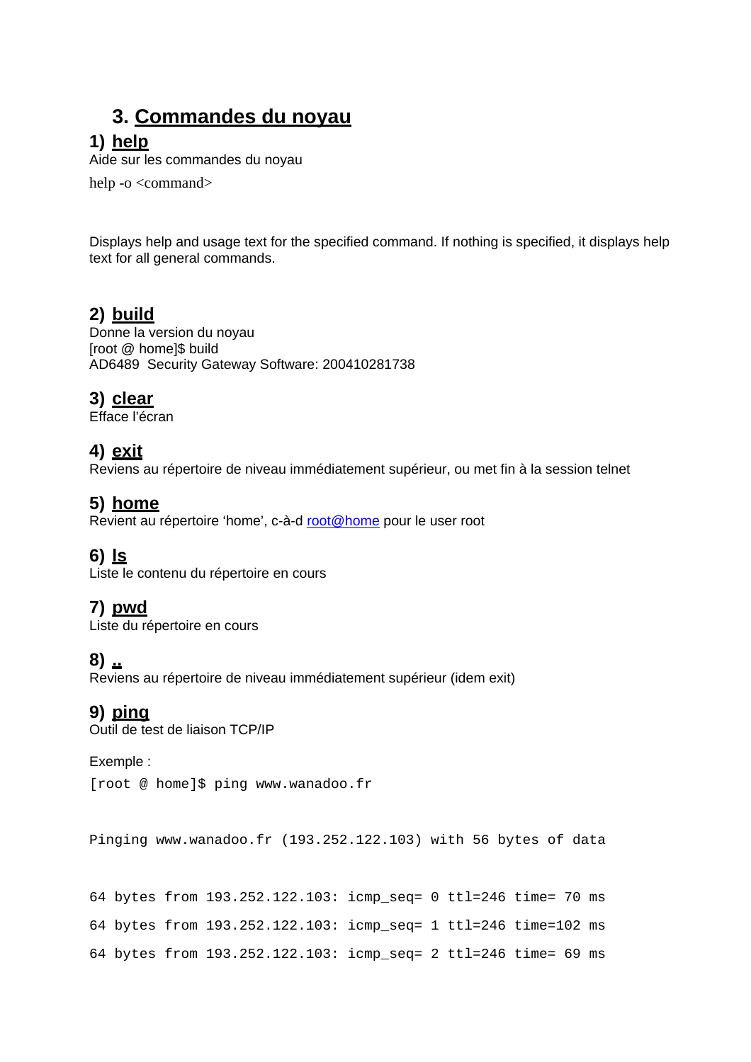## **3. Commandes du noyau**

## **1) help**

Aide sur les commandes du noyau

help -o <command>

Displays help and usage text for the specified command. If nothing is specified, it displays help text for all general commands.

## **2) build**

Donne la version du noyau [root @ home]\$ build AD6489 Security Gateway Software: 200410281738

### **3) clear**

Efface l'écran

### **4) exit**

Reviens au répertoire de niveau immédiatement supérieur, ou met fin à la session telnet

### **5) home**

Revient au répertoire 'home', c-à-d root@home pour le user root

## **6) ls**

Liste le contenu du répertoire en cours

## **7) pwd**

Liste du répertoire en cours

### **8) ..**

Reviens au répertoire de niveau immédiatement supérieur (idem exit)

## **9) ping**

Outil de test de liaison TCP/IP

#### Exemple :

[root @ home]\$ ping www.wanadoo.fr

```
Pinging www.wanadoo.fr (193.252.122.103) with 56 bytes of data
```

```
64 bytes from 193.252.122.103: icmp_seq= 0 ttl=246 time= 70 ms 
64 bytes from 193.252.122.103: icmp_seq= 1 ttl=246 time=102 ms 
64 bytes from 193.252.122.103: icmp_seq= 2 ttl=246 time= 69 ms
```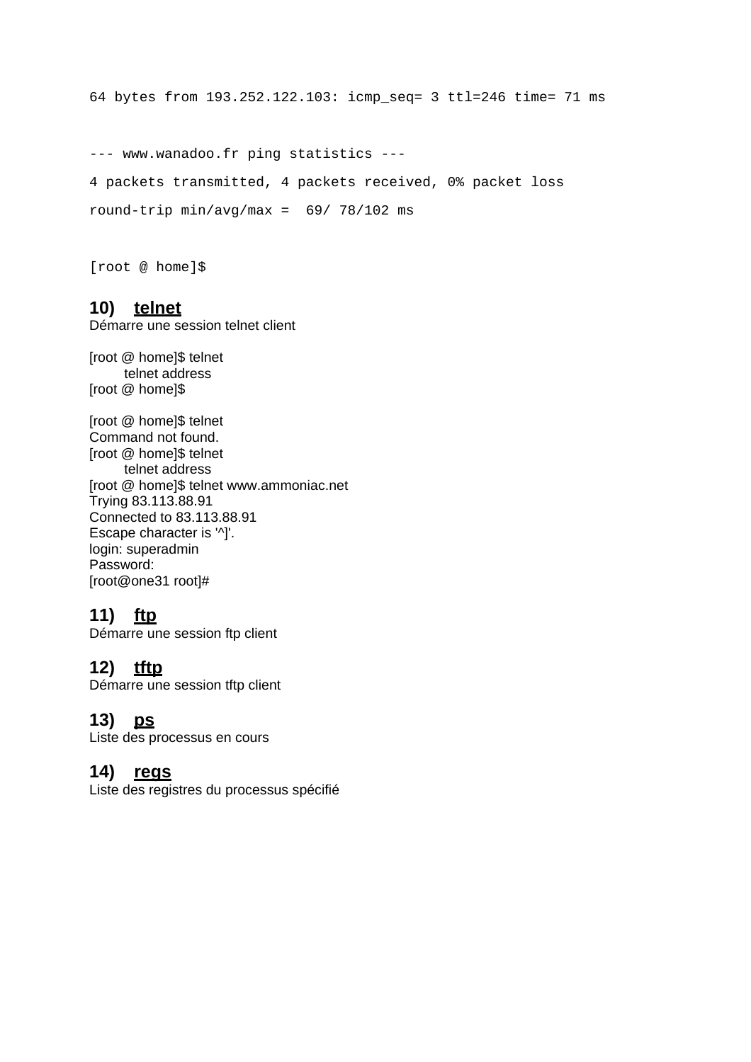64 bytes from 193.252.122.103: icmp\_seq= 3 ttl=246 time= 71 ms

--- www.wanadoo.fr ping statistics --- 4 packets transmitted, 4 packets received, 0% packet loss round-trip min/avg/max = 69/ 78/102 ms

[root @ home]\$

#### **10) telnet**

Démarre une session telnet client

[root @ home]\$ telnet telnet address [root @ home]\$

[root @ home]\$ telnet Command not found. [root @ home]\$ telnet telnet address [root @ home]\$ telnet www.ammoniac.net Trying 83.113.88.91 Connected to 83.113.88.91 Escape character is '^]'. login: superadmin Password: [root@one31 root]#

### **11) ftp**

Démarre une session ftp client

#### **12) tftp**

Démarre une session tftp client

#### **13) ps**

Liste des processus en cours

#### **14) regs**

Liste des registres du processus spécifié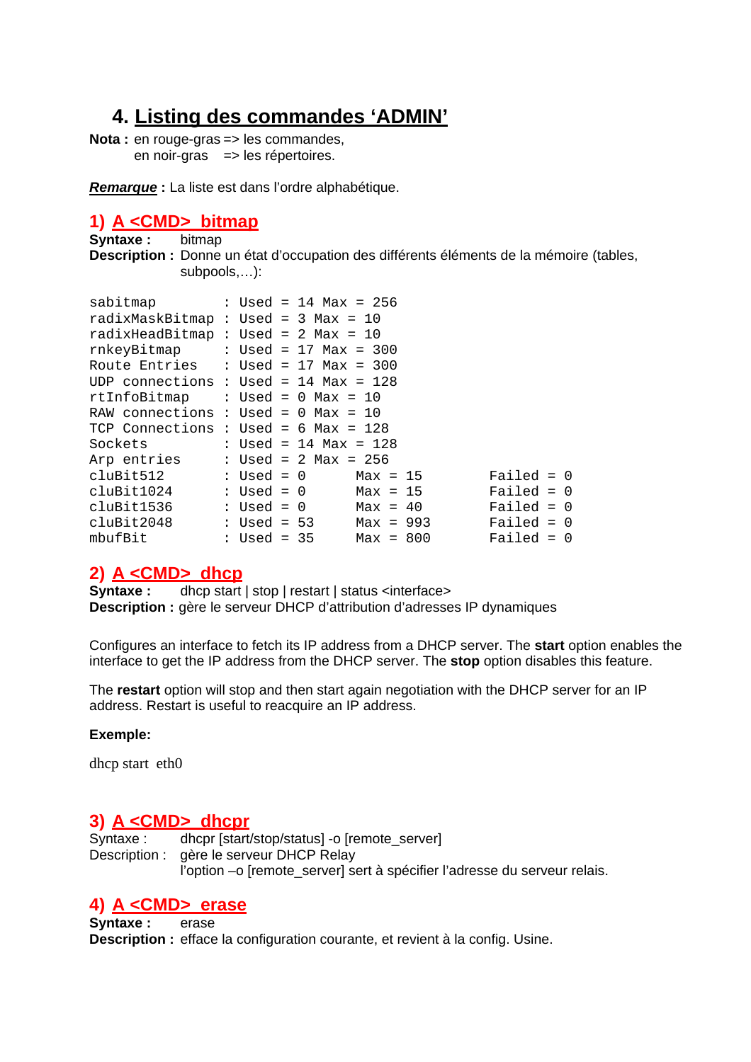## **4. Listing des commandes 'ADMIN'**

**Nota :** en rouge-gras => les commandes, en noir-gras => les répertoires.

*Remarque* **:** La liste est dans l'ordre alphabétique.

### **1) A <CMD> bitmap**

**Syntaxe :** bitmap **Description :** Donne un état d'occupation des différents éléments de la mémoire (tables, subpools,…):

| sabitmap                                  |              | : Used = 14 Max = 256   |             |  |              |  |
|-------------------------------------------|--------------|-------------------------|-------------|--|--------------|--|
| radixMaskBitmap : Used = 3 Max = 10       |              |                         |             |  |              |  |
| radixHeadBitmap : Used = $2$ Max = 10     |              |                         |             |  |              |  |
| $rnkeyBitmap$ : Used = 17 Max = 300       |              |                         |             |  |              |  |
| Route Entries : Used = $17$ Max = $300$   |              |                         |             |  |              |  |
| UDP connections : Used = 14 Max = 128     |              |                         |             |  |              |  |
| $rtInfoBitmap$ : Used = 0 Max = 10        |              |                         |             |  |              |  |
| RAW connections : Used = $0$ Max = 10     |              |                         |             |  |              |  |
| TCP Connections : Used = 6 Max = 128      |              |                         |             |  |              |  |
| Sockets                                   |              | : Used = 14 Max = $128$ |             |  |              |  |
| Arp entries $\qquad$ : Used = 2 Max = 256 |              |                         |             |  |              |  |
| cluBit512                                 |              | $: Used = 0$ $Max = 15$ |             |  | Failed = $0$ |  |
| cluBit1024                                | $:$ Used = 0 |                         | $Max = 15$  |  | $Failed = 0$ |  |
| cluBit1536                                | : Used = 0   |                         | $Max = 40$  |  | $Failed = 0$ |  |
| cluBit2048                                | : Used = 53  |                         | $Max = 993$ |  | $Failed = 0$ |  |
| mbufBit                                   | : Used = 35  |                         | $Max = 800$ |  | $Failed = 0$ |  |

### **2) A <CMD> dhcp**

**Syntaxe :** dhcp start | stop | restart | status <interface> **Description :** gère le serveur DHCP d'attribution d'adresses IP dynamiques

Configures an interface to fetch its IP address from a DHCP server. The **start** option enables the interface to get the IP address from the DHCP server. The **stop** option disables this feature.

The **restart** option will stop and then start again negotiation with the DHCP server for an IP address. Restart is useful to reacquire an IP address.

#### **Exemple:**

dhcp start eth0

### **3) A <CMD> dhcpr**

Syntaxe : dhcpr [start/stop/status] -o [remote\_server] Description : gère le serveur DHCP Relay l'option –o [remote server] sert à spécifier l'adresse du serveur relais.

### **4) A <CMD> erase**

**Syntaxe :** erase **Description :** efface la configuration courante, et revient à la config. Usine.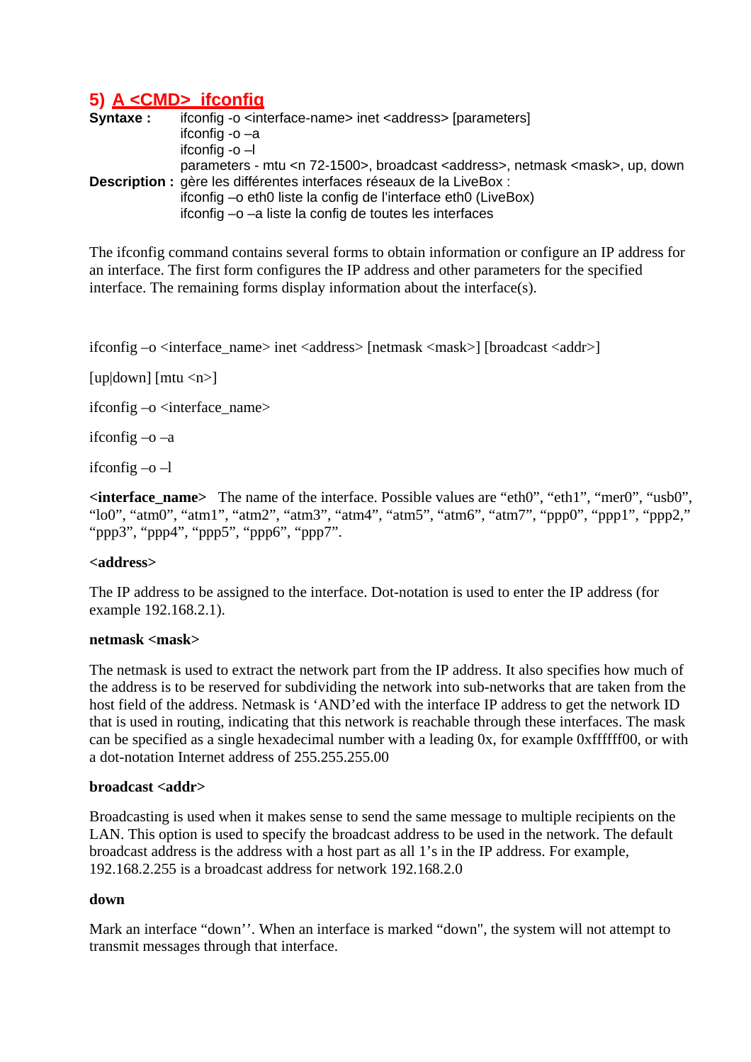## **5) A <CMD> ifconfig**

| Syntaxe: | ifconfig -o <interface-name> inet <address> [parameters]</address></interface-name>                 |
|----------|-----------------------------------------------------------------------------------------------------|
|          | ifconfig $-a$                                                                                       |
|          | ifconfig $-0$ $-1$                                                                                  |
|          | parameters - mtu <n 72-1500="">, broadcast <address>, netmask <mask>, up, down</mask></address></n> |
|          | Description : gère les différentes interfaces réseaux de la LiveBox :                               |
|          | ifconfig –o eth0 liste la config de l'interface eth0 (LiveBox)                                      |
|          | ifconfig -o -a liste la config de toutes les interfaces                                             |

The ifconfig command contains several forms to obtain information or configure an IP address for an interface. The first form configures the IP address and other parameters for the specified interface. The remaining forms display information about the interface(s).

ifconfig –o <interface\_name> inet <address> [netmask <mask>] [broadcast <addr>]

[up $|down|$  [mtu  $\langle n \rangle$ ]

if config  $-o$   $\langle$  interface name $\rangle$ 

ifconfig –o –a

if config  $-$ o $-$ l

**<interface\_name>** The name of the interface. Possible values are "eth0", "eth1", "mer0", "usb0", "lo0", "atm0", "atm1", "atm2", "atm3", "atm4", "atm5", "atm6", "atm7", "ppp0", "ppp1", "ppp2," "ppp3", "ppp4", "ppp5", "ppp6", "ppp7".

#### **<address>**

The IP address to be assigned to the interface. Dot-notation is used to enter the IP address (for example 192.168.2.1).

#### **netmask <mask>**

The netmask is used to extract the network part from the IP address. It also specifies how much of the address is to be reserved for subdividing the network into sub-networks that are taken from the host field of the address. Netmask is 'AND'ed with the interface IP address to get the network ID that is used in routing, indicating that this network is reachable through these interfaces. The mask can be specified as a single hexadecimal number with a leading 0x, for example 0xffffff00, or with a dot-notation Internet address of 255.255.255.00

#### **broadcast <addr>**

Broadcasting is used when it makes sense to send the same message to multiple recipients on the LAN. This option is used to specify the broadcast address to be used in the network. The default broadcast address is the address with a host part as all 1's in the IP address. For example, 192.168.2.255 is a broadcast address for network 192.168.2.0

#### **down**

Mark an interface "down''. When an interface is marked "down", the system will not attempt to transmit messages through that interface.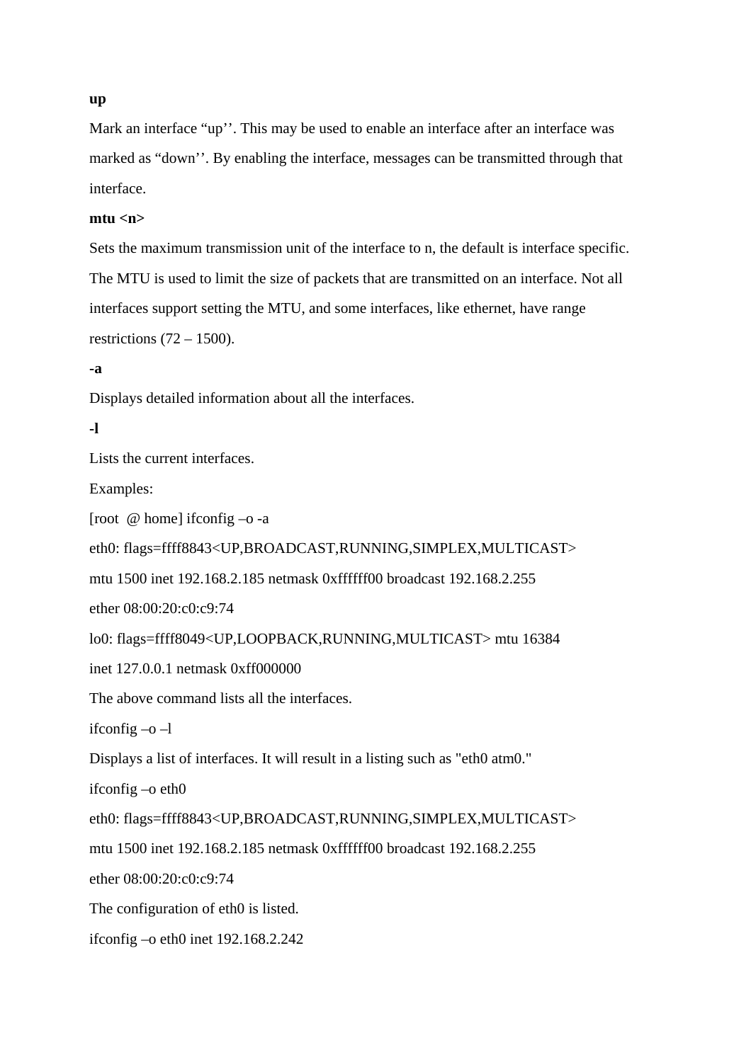#### **up**

Mark an interface "up". This may be used to enable an interface after an interface was marked as "down''. By enabling the interface, messages can be transmitted through that interface.

#### **mtu <n>**

Sets the maximum transmission unit of the interface to n, the default is interface specific. The MTU is used to limit the size of packets that are transmitted on an interface. Not all interfaces support setting the MTU, and some interfaces, like ethernet, have range restrictions  $(72 – 1500)$ .

#### **-a**

Displays detailed information about all the interfaces.

#### **-l**

Lists the current interfaces.

Examples:

[root @ home] ifconfig –o -a

eth0: flags=ffff8843<UP,BROADCAST,RUNNING,SIMPLEX,MULTICAST>

mtu 1500 inet 192.168.2.185 netmask 0xffffff00 broadcast 192.168.2.255

ether 08:00:20:c0:c9:74

lo0: flags=ffff8049<UP,LOOPBACK,RUNNING,MULTICAST> mtu 16384

inet 127.0.0.1 netmask 0xff000000

The above command lists all the interfaces.

ifconfig –o –l

Displays a list of interfaces. It will result in a listing such as "eth0 atm0."

ifconfig –o eth0

eth0: flags=ffff8843<UP,BROADCAST,RUNNING,SIMPLEX,MULTICAST>

mtu 1500 inet 192.168.2.185 netmask 0xffffff00 broadcast 192.168.2.255

ether 08:00:20:c0:c9:74

The configuration of eth0 is listed.

ifconfig –o eth0 inet 192.168.2.242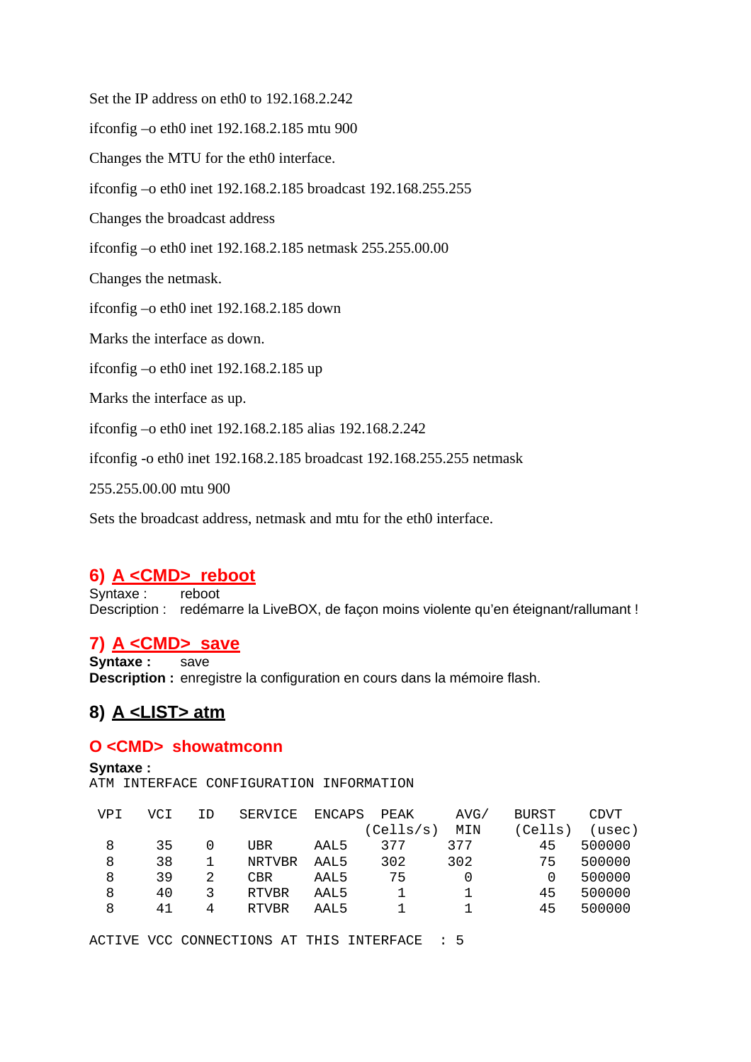Set the IP address on eth0 to 192.168.2.242

ifconfig –o eth0 inet 192.168.2.185 mtu 900

Changes the MTU for the eth0 interface.

ifconfig –o eth0 inet 192.168.2.185 broadcast 192.168.255.255

Changes the broadcast address

ifconfig –o eth0 inet 192.168.2.185 netmask 255.255.00.00

Changes the netmask.

ifconfig –o eth0 inet 192.168.2.185 down

Marks the interface as down.

ifconfig –o eth0 inet 192.168.2.185 up

Marks the interface as up.

ifconfig –o eth0 inet 192.168.2.185 alias 192.168.2.242

ifconfig -o eth0 inet 192.168.2.185 broadcast 192.168.255.255 netmask

255.255.00.00 mtu 900

Sets the broadcast address, netmask and mtu for the eth0 interface.

### **6) A <CMD> reboot**

Syntaxe : reboot Description : redémarre la LiveBOX, de façon moins violente qu'en éteignant/rallumant !

### **7) A <CMD> save**

**Syntaxe :** save **Description :** enregistre la configuration en cours dans la mémoire flash.

## **8) A <LIST> atm**

#### **O <CMD> showatmconn**

**Syntaxe :** ATM INTERFACE CONFIGURATION INFORMATION

| VPT | VCI | ΙD | SERVICE       | ENCAPS | PEAK      | AVG/ | BURST  | <b>CDVT</b> |
|-----|-----|----|---------------|--------|-----------|------|--------|-------------|
|     |     |    |               |        | (Cells/s) | MIN  | (Cells | (usec)      |
| 8   | 35  | O  | UBR           | AAL5   | 377       | 377  | 45     | 500000      |
| 8   | 38  |    | <b>NRTVBR</b> | AAL5   | 302       | 302  | 75     | 500000      |
| 8   | 39  | 2  | CBR           | AAL5   | 75        |      | 0      | 500000      |
| 8   | 40  | 3  | <b>RTVBR</b>  | AAL5   |           |      | 45     | 500000      |
| 8   | 41  | 4  | <b>RTVBR</b>  | AAL5   |           |      | 45     | 500000      |

ACTIVE VCC CONNECTIONS AT THIS INTERFACE : 5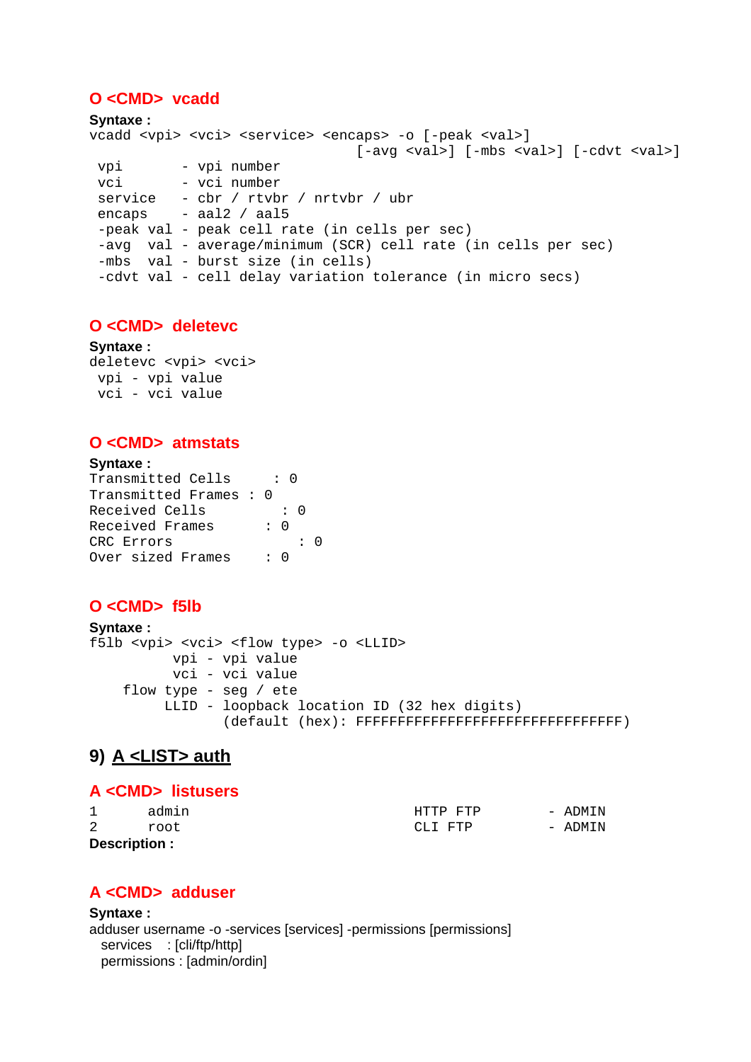#### **O <CMD> vcadd**

```
Syntaxe :
vcadd <vpi> <vci> <service> <encaps> -o [-peak <val>]
                                [-avg <val>] [-mbs <val>] [-cdvt <val>]
 vpi - vpi number
 vci - vci number
  service - cbr / rtvbr / nrtvbr / ubr 
  encaps - aal2 / aal5 
  -peak val - peak cell rate (in cells per sec) 
 -avg val - average/minimum (SCR) cell rate (in cells per sec)
  -mbs val - burst size (in cells) 
  -cdvt val - cell delay variation tolerance (in micro secs)
```
### **O <CMD> deletevc**

**Syntaxe :** deletevc <vpi> <vci> vpi - vpi value vci - vci value

#### **O <CMD> atmstats**

| <b>Syntaxe:</b>        |  |            |            |  |
|------------------------|--|------------|------------|--|
| Transmitted Cells      |  |            |            |  |
| Transmitted Frames : 0 |  |            |            |  |
| Received Cells         |  | $: \Omega$ |            |  |
| Received Frames        |  | : በ        |            |  |
| CRC Errors             |  |            | $\colon$ 0 |  |
| Over sized Frames      |  |            |            |  |

### **O <CMD> f5lb**

```
Syntaxe :
f5lb <vpi> <vci> <flow type> -o <LLID> 
           vpi - vpi value 
           vci - vci value 
     flow type - seg / ete 
          LLID - loopback location ID (32 hex digits) 
                  (default (hex): FFFFFFFFFFFFFFFFFFFFFFFFFFFFFFFF)
```
## **9) A <LIST> auth**

#### **A <CMD> listusers**

|               | admin | HTTP FTP | - ADMIN |
|---------------|-------|----------|---------|
| 2             | root  | CLI FTP  | - ADMIN |
| Description : |       |          |         |

### **A <CMD> adduser**

**Syntaxe :**  adduser username -o -services [services] -permissions [permissions] services : [cli/ftp/http] permissions : [admin/ordin]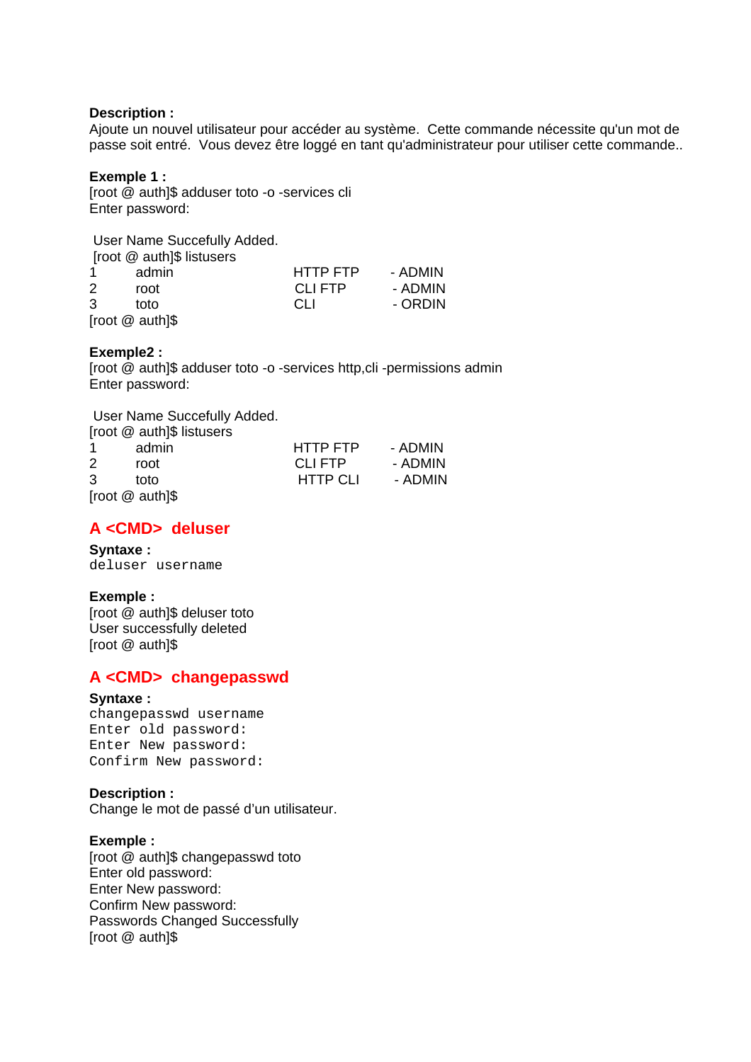#### **Description :**

Ajoute un nouvel utilisateur pour accéder au système. Cette commande nécessite qu'un mot de passe soit entré. Vous devez être loggé en tant qu'administrateur pour utiliser cette commande..

#### **Exemple 1 :**

[root @ auth]\$ adduser toto -o -services cli Enter password:

 User Name Succefully Added. [root @ auth]\$ listusers 1 admin HTTP FTP - ADMIN 2 root CLI FTP - ADMIN 3 toto CLI - ORDIN [root @ auth]\$

#### **Exemple2 :**

[root @ auth]\$ adduser toto -o -services http,cli -permissions admin Enter password:

 User Name Succefully Added. [root @ auth]\$ listusers 1 admin HTTP FTP - ADMIN 2 root CLIFTP - ADMIN 3 toto HTTP CLI - ADMIN [root @ auth]\$

### **A <CMD> deluser**

#### **Syntaxe :** deluser username

#### **Exemple :**

[root @ auth]\$ deluser toto User successfully deleted [root @ auth]\$

### **A <CMD> changepasswd**

#### **Syntaxe :**

changepasswd username Enter old password: Enter New password: Confirm New password:

#### **Description :**

Change le mot de passé d'un utilisateur.

#### **Exemple :**

[root @ auth]\$ changepasswd toto Enter old password: Enter New password: Confirm New password: Passwords Changed Successfully [root @ auth]\$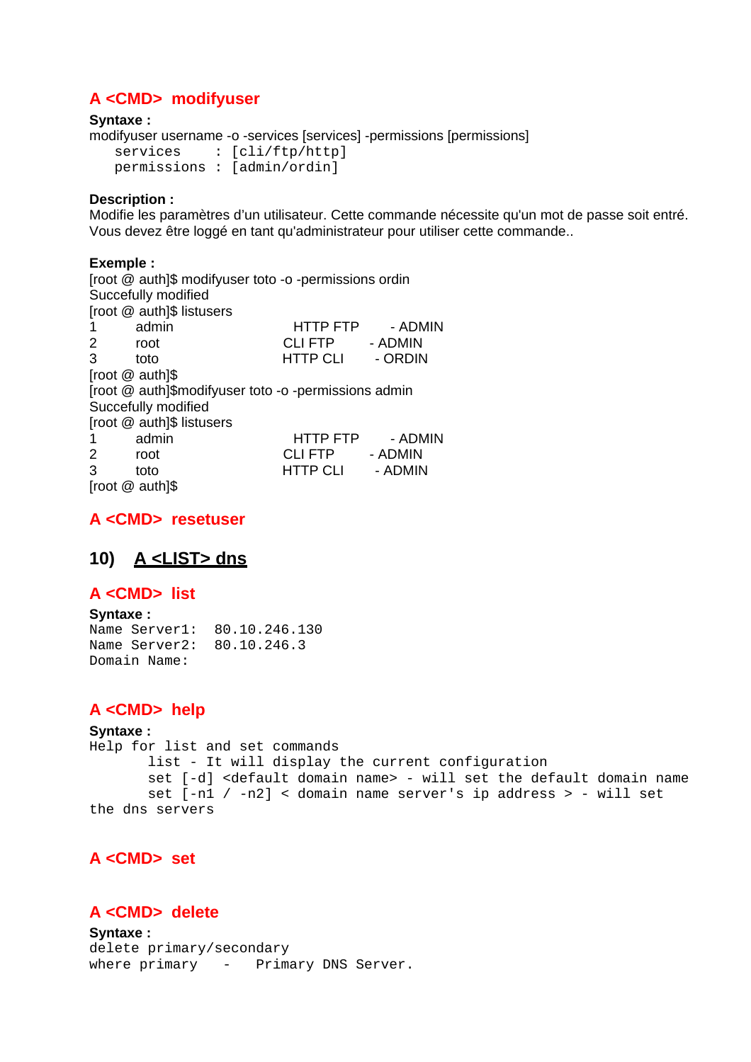### **A <CMD> modifyuser**

#### **Syntaxe :**

modifyuser username -o -services [services] -permissions [permissions]

services : [cli/ftp/http] permissions : [admin/ordin]

#### **Description :**

Modifie les paramètres d'un utilisateur. Cette commande nécessite qu'un mot de passe soit entré. Vous devez être loggé en tant qu'administrateur pour utiliser cette commande..

#### **Exemple :**

[root @ auth]\$ modifyuser toto -o -permissions ordin Succefully modified [root @ auth]\$ listusers 1 admin HTTP FTP - ADMIN 2 root CLI FTP - ADMIN 3 toto HTTP CLI - ORDIN [root @ auth]\$ [root @ auth]\$modifyuser toto -o -permissions admin Succefully modified [root @ auth]\$ listusers 1 admin HTTP FTP - ADMIN 2 root CLI FTP - ADMIN 3 toto HTTP CLI - ADMIN

[root @ auth]\$

### **A <CMD> resetuser**

## **10) A <LIST> dns**

#### **A <CMD> list**

**Syntaxe :** Name Server1: 80.10.246.130 Name Server2: 80.10.246.3 Domain Name:

### **A <CMD> help**

#### **Syntaxe :**

Help for list and set commands list - It will display the current configuration set [-d] <default domain name> - will set the default domain name set  $[-n1 / -n2] <$  domain name server's ip address > - will set the dns servers

### **A <CMD> set**

### **A <CMD> delete**

**Syntaxe :** delete primary/secondary where primary - Primary DNS Server.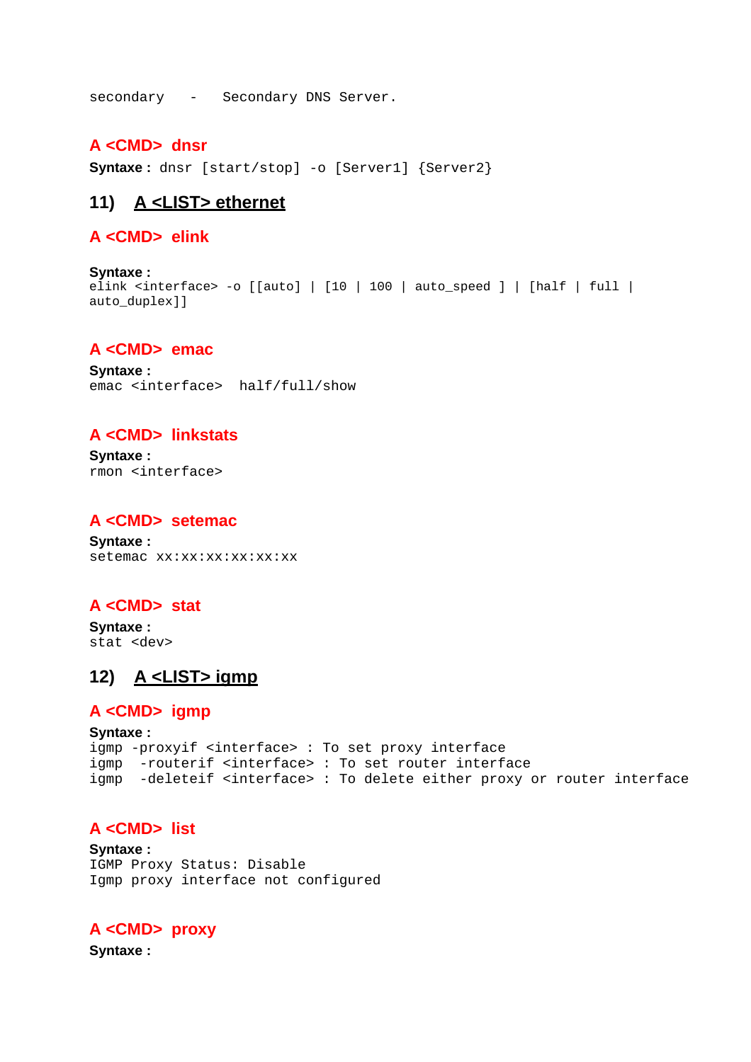secondary - Secondary DNS Server.

#### **A <CMD> dnsr**

**Syntaxe:** dnsr [start/stop] -o [Server1] {Server2}

### **11) A <LIST> ethernet**

#### **A <CMD> elink**

**Syntaxe :**  elink <interface> -o [[auto] | [10 | 100 | auto\_speed ] | [half | full | auto\_duplex]]

#### **A <CMD> emac**

**Syntaxe :** emac <interface> half/full/show

#### **A <CMD> linkstats**

**Syntaxe :** rmon <interface>

#### **A <CMD> setemac**

**Syntaxe :** setemac xx:xx:xx:xx:xx

#### **A <CMD> stat**

**Syntaxe :** stat <dev>

### **12) A <LIST> igmp**

#### **A <CMD> igmp**

```
Syntaxe :
igmp -proxyif <interface> : To set proxy interface 
igmp -routerif <interface> : To set router interface 
igmp -deleteif <interface> : To delete either proxy or router interface
```
#### **A <CMD> list**

**Syntaxe :** IGMP Proxy Status: Disable Igmp proxy interface not configured

#### **A <CMD> proxy**

**Syntaxe :**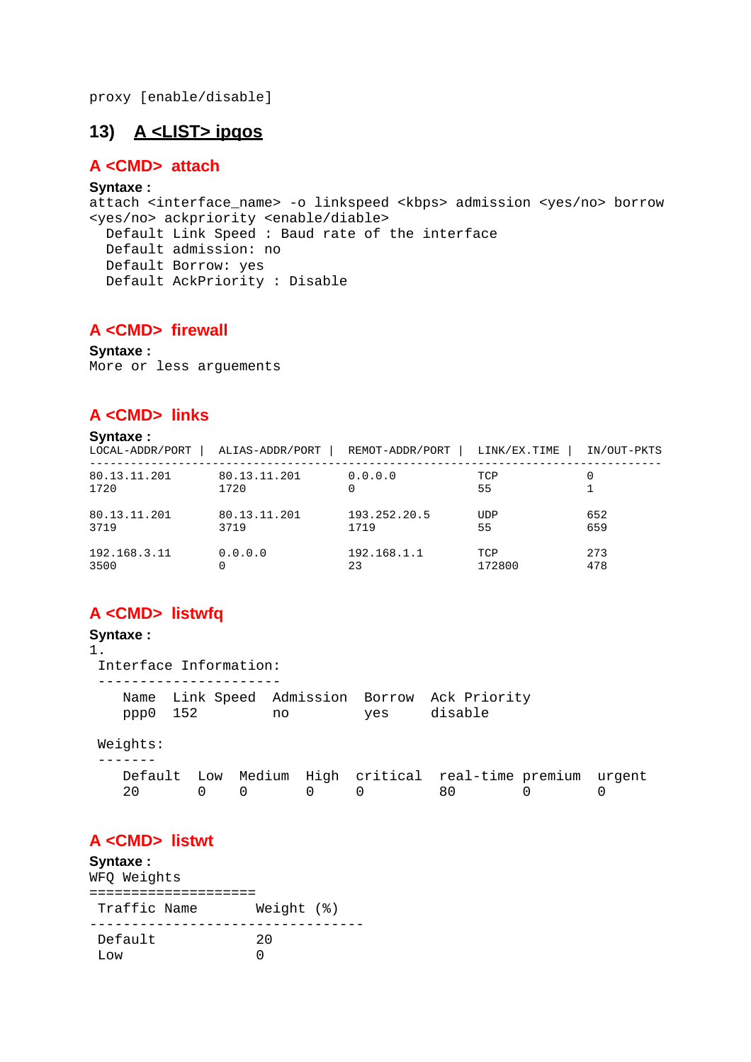proxy [enable/disable]

### **13) A <LIST> ipqos**

#### **A <CMD> attach**

#### **Syntaxe :**

attach <interface\_name> -o linkspeed <kbps> admission <yes/no> borrow <yes/no> ackpriority <enable/diable> Default Link Speed : Baud rate of the interface Default admission: no Default Borrow: yes Default AckPriority : Disable

#### **A <CMD> firewall**

**Syntaxe :**

More or less arguements

#### **A <CMD> links**

#### **Syntaxe :**

| LOCAL-ADDR/PORT      | ALIAS-ADDR/PORT      | REMOT-ADDR/PORT | LINK/EX.TIME | IN/OUT-PKTS |
|----------------------|----------------------|-----------------|--------------|-------------|
| 80.13.11.201<br>1720 | 80.13.11.201<br>1720 | 0.0.0.0         | TCP<br>55    |             |
| 80.13.11.201         | 80.13.11.201         | 193.252.20.5    | <b>UDP</b>   | 652         |
| 3719                 | 3719                 | 1719            | 55           | 659         |
| 192.168.3.11         | 0.0.0.0              | 192.168.1.1     | TCP          | 273         |
| 3500                 |                      | 23              | 172800       | 478         |

### **A <CMD> listwfq**

#### **Syntaxe :** 1. Interface Information: ---------------------- Name Link Speed Admission Borrow Ack Priority<br>ppp0 152 no yes disable no yes disable Weights: ------- Default Low Medium High critical real-time premium urgent<br>20 0 0 0 0 0 0 80 0 0 20 0 0 0 0 80 0 0

#### **A <CMD> listwt**

#### **Syntaxe :** WFQ Weights ==================== Traffic Name Weight (%) --------------------------------- Default Low 0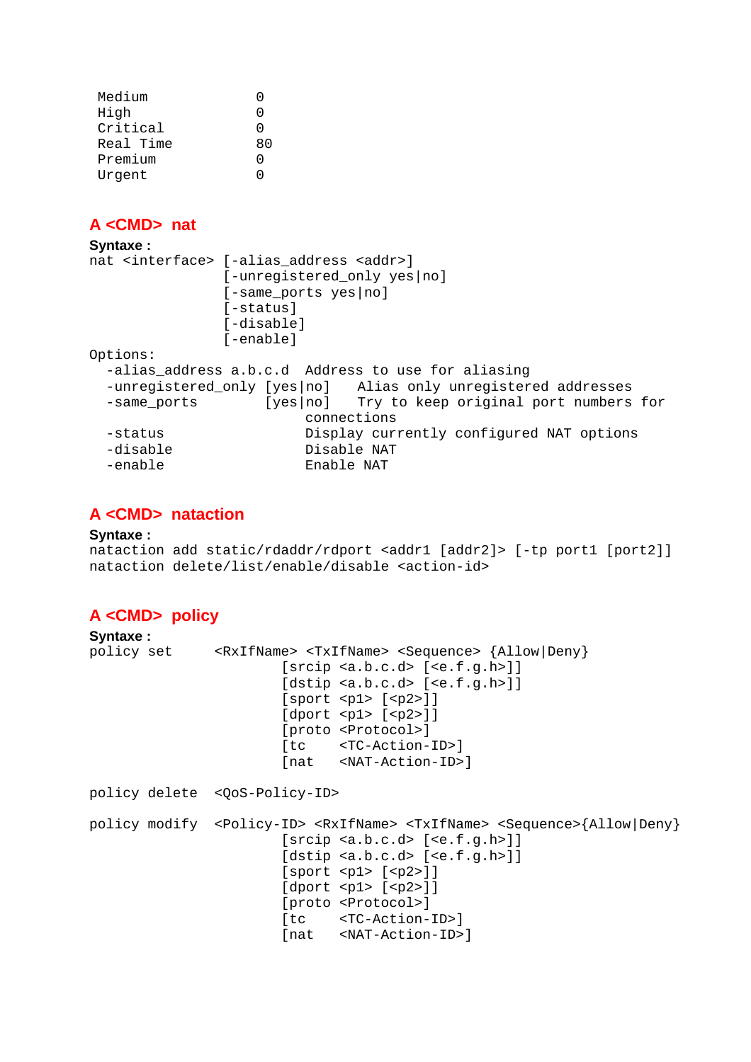| Medium    |              |
|-----------|--------------|
| High      | 0            |
| Critical  | O            |
| Real Time | 80           |
| Premium   | $\mathbf{I}$ |
| Urgent    |              |

### **A <CMD> nat**

```
Syntaxe :
nat <interface> [-alias_address <addr>] 
                [-unregistered_only yes|no] 
                [-same_ports yes|no] 
               [-status]
                [-disable] 
                [-enable] 
Options: 
  -alias_address a.b.c.d Address to use for aliasing 
   -unregistered_only [yes|no] Alias only unregistered addresses 
  -same_ports [yes|no] Try to keep original port numbers for
                        connections 
  -status Display currently configured NAT options 
  -disable Disable NAT 
   -enable Enable NAT
```
### **A <CMD> nataction**

#### **Syntaxe :**

nataction add static/rdaddr/rdport <addr1 [addr2]> [-tp port1 [port2]] nataction delete/list/enable/disable <action-id>

### **A <CMD> policy**

| Syntaxe: |                                                                                                                                                                                                                                                                                                                                                                                                                                                                                                  |
|----------|--------------------------------------------------------------------------------------------------------------------------------------------------------------------------------------------------------------------------------------------------------------------------------------------------------------------------------------------------------------------------------------------------------------------------------------------------------------------------------------------------|
|          | policy set <rxifname> <txifname> <sequence> {Allow Deny}<br/>[srcip <a.b.c.d> [ce.f.g.h&gt;]<br/>[dstip <a.b.c.d> [ee.f.g.h&gt;] ]<br/>[sport &lt; p1&gt; [ &lt; p2&gt; ]]<br/>[dport &lt; p1&gt; [cp2&gt;]]<br/>[proto <protocol>]<br/>[tc <tc-action-id>]<br/>[nat <nat-action-id>]</nat-action-id></tc-action-id></protocol></a.b.c.d></a.b.c.d></sequence></txifname></rxifname>                                                                                                             |
|          | policy delete <qos-policy-id></qos-policy-id>                                                                                                                                                                                                                                                                                                                                                                                                                                                    |
|          | policy modify <policy-id> <rxifname> <txifname> <sequence>{Allow Deny}<br/>[srcip <a.b.c.d> [ce.f.g.h&gt;]<br/><math>[{\rm distip} \prec a.b.c.d\rangle</math> <math>[\langle e.f.g.h\rangle]</math><br/>[sport &lt; p1&gt; [ &lt; p2&gt; ]]<br/><math>[{\rm dport}</math> <pl> <math>[\langle p2 \rangle]</math><br/>[proto <protocol>]<br/>[tc <tc-action-id>]<br/>[nat <nat-action-id>]</nat-action-id></tc-action-id></protocol></pl></a.b.c.d></sequence></txifname></rxifname></policy-id> |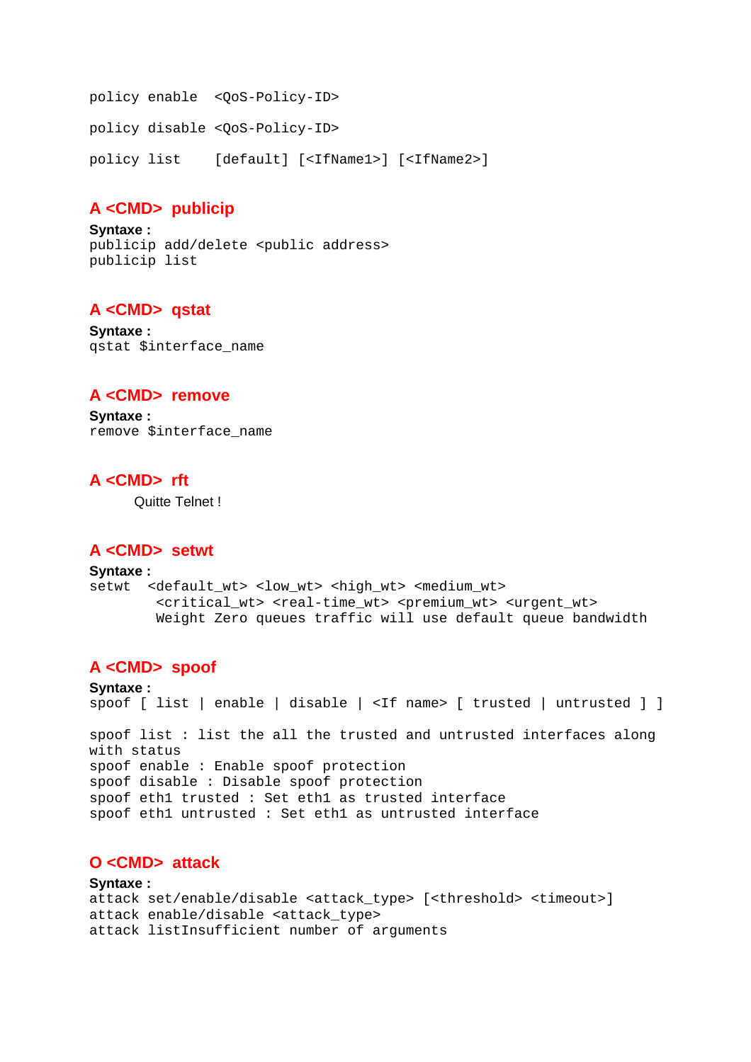policy enable <QoS-Policy-ID> policy disable <QoS-Policy-ID> policy list [default] [<IfName1>] [<IfName2>]

### **A <CMD> publicip**

**Syntaxe :** publicip add/delete <public address> publicip list

### **A <CMD> qstat**

**Syntaxe :** qstat \$interface\_name

#### **A <CMD> remove**

**Syntaxe :** remove \$interface\_name

#### **A <CMD> rft**

Quitte Telnet !

#### **A <CMD> setwt**

```
Syntaxe :
setwt <default_wt> <low_wt> <high_wt> <medium_wt>
        <critical_wt> <real-time_wt> <premium_wt> <urgent_wt>
         Weight Zero queues traffic will use default queue bandwidth
```
### **A <CMD> spoof**

```
Syntaxe :
spoof [ list | enable | disable | <If name> [ trusted | untrusted ] ] 
spoof list : list the all the trusted and untrusted interfaces along 
with status 
spoof enable : Enable spoof protection 
spoof disable : Disable spoof protection 
spoof eth1 trusted : Set eth1 as trusted interface 
spoof eth1 untrusted : Set eth1 as untrusted interface
```
## **O <CMD> attack**

#### **Syntaxe :**

```
attack set/enable/disable <attack_type> [<threshold> <timeout>] 
attack enable/disable <attack_type> 
attack listInsufficient number of arguments
```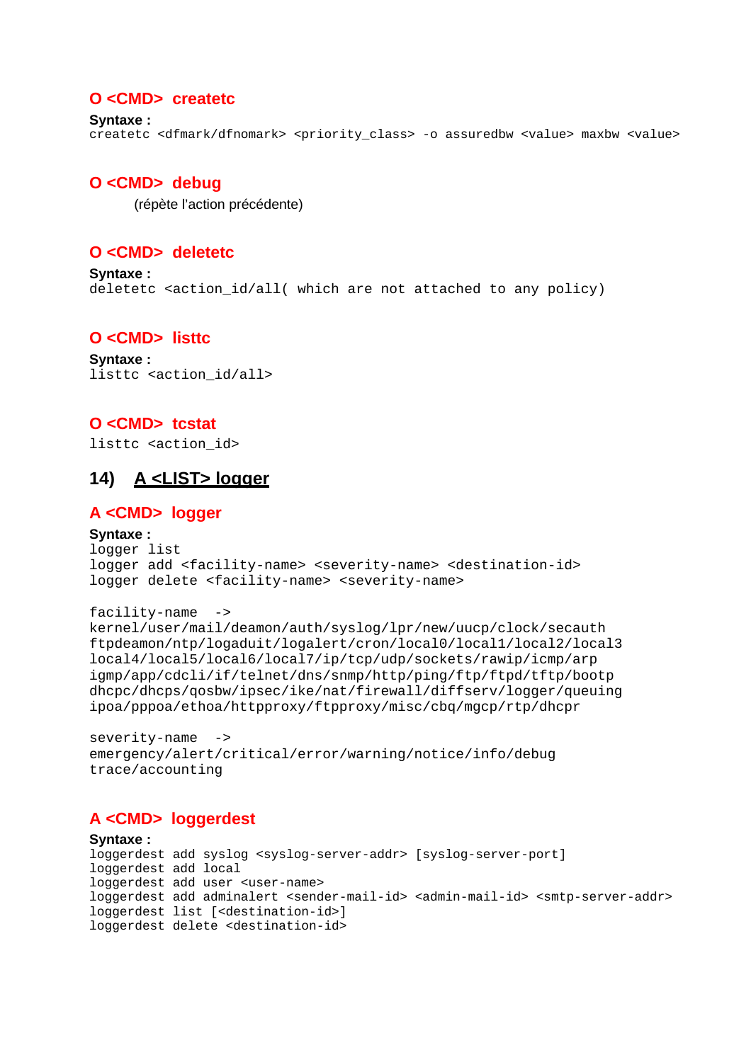#### **O <CMD> createtc**

```
Syntaxe :
createtc <dfmark/dfnomark> <priority_class> -o assuredbw <value> maxbw <value>
```
#### **O <CMD> debug**

(répète l'action précédente)

### **O <CMD> deletetc**

**Syntaxe :** deletetc <action\_id/all( which are not attached to any policy)

#### **O <CMD> listtc**

**Syntaxe :** listtc <action\_id/all>

#### **O <CMD> tcstat**

listtc <action\_id>

### **14) A <LIST> logger**

#### **A <CMD> logger**

#### **Syntaxe :**

```
logger list 
logger add <facility-name> <severity-name> <destination-id>
logger delete <facility-name> <severity-name>
```

```
facility-name -> 
kernel/user/mail/deamon/auth/syslog/lpr/new/uucp/clock/secauth 
ftpdeamon/ntp/logaduit/logalert/cron/local0/local1/local2/local3 
local4/local5/local6/local7/ip/tcp/udp/sockets/rawip/icmp/arp 
igmp/app/cdcli/if/telnet/dns/snmp/http/ping/ftp/ftpd/tftp/bootp 
dhcpc/dhcps/qosbw/ipsec/ike/nat/firewall/diffserv/logger/queuing 
ipoa/pppoa/ethoa/httpproxy/ftpproxy/misc/cbq/mgcp/rtp/dhcpr
```

```
severity-name ->
emergency/alert/critical/error/warning/notice/info/debug 
trace/accounting
```
### **A <CMD> loggerdest**

#### **Syntaxe :**

```
loggerdest add syslog <syslog-server-addr> [syslog-server-port] 
loggerdest add local 
loggerdest add user <user-name> 
loggerdest add adminalert <sender-mail-id> <admin-mail-id> <smtp-server-addr>
loggerdest list [<destination-id>] 
loggerdest delete <destination-id>
```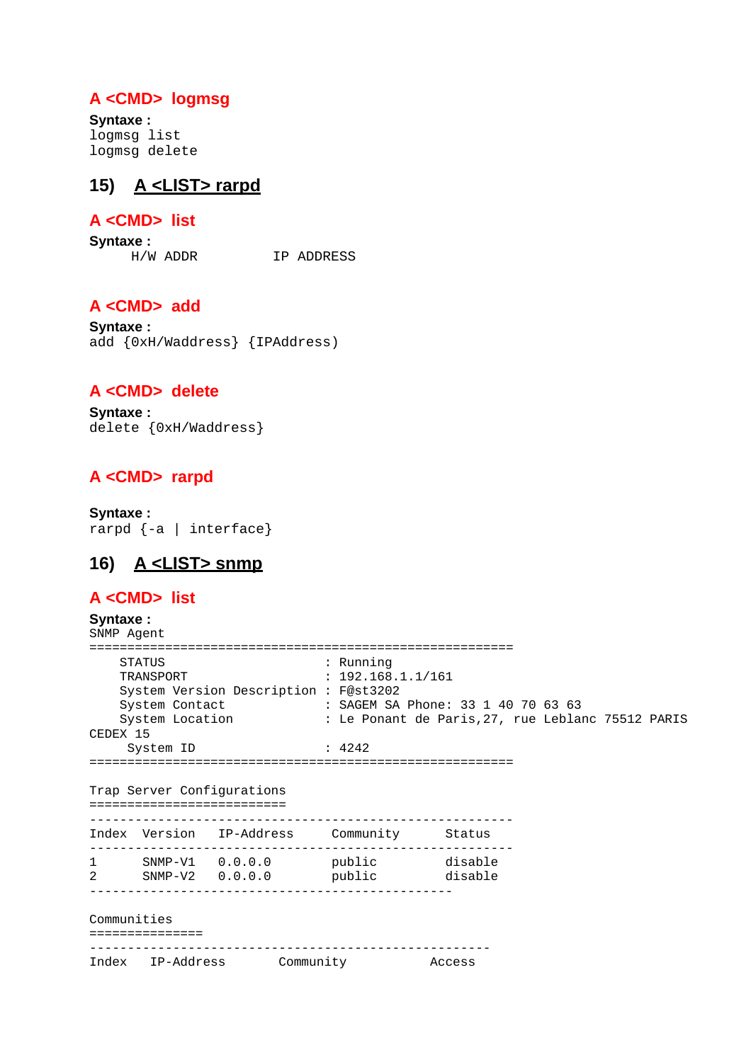### **A <CMD> logmsg**

**Syntaxe :** logmsg list logmsg delete

### **15) A <LIST> rarpd**

### **A <CMD> list**

**Syntaxe :**

H/W ADDR IP ADDRESS

### **A <CMD> add**

**Syntaxe :** add {0xH/Waddress} {IPAddress)

#### **A <CMD> delete**

**Syntaxe :** delete {0xH/Waddress}

### **A <CMD> rarpd**

**Syntaxe :**  rarpd {-a | interface}

## **16) A <LIST> snmp**

### **A <CMD> list**

**Syntaxe :** SNMP Agent ======================================================== STATUS : Running TRANSPORT : 192.168.1.1/161 System Version Description : F@st3202 System Contact : SAGEM SA Phone: 33 1 40 70 63 63<br>System Location : Le Penant de Peris 27 aug Leblar System Location : Le Ponant de Paris, 27, rue Leblanc 75512 PARIS CEDEX 15 System ID : 4242 ======================================================== Trap Server Configurations ========================== -------------------------------------------------------- Index Version IP-Address Community -------------------------------------------------------- 1 SNMP-V1 0.0.0.0 public disable 2 SNMP-V2 0.0.0.0 public disable ------------------------------------------------ Communities =============== ----------------------------------------------------- Index IP-Address Community Access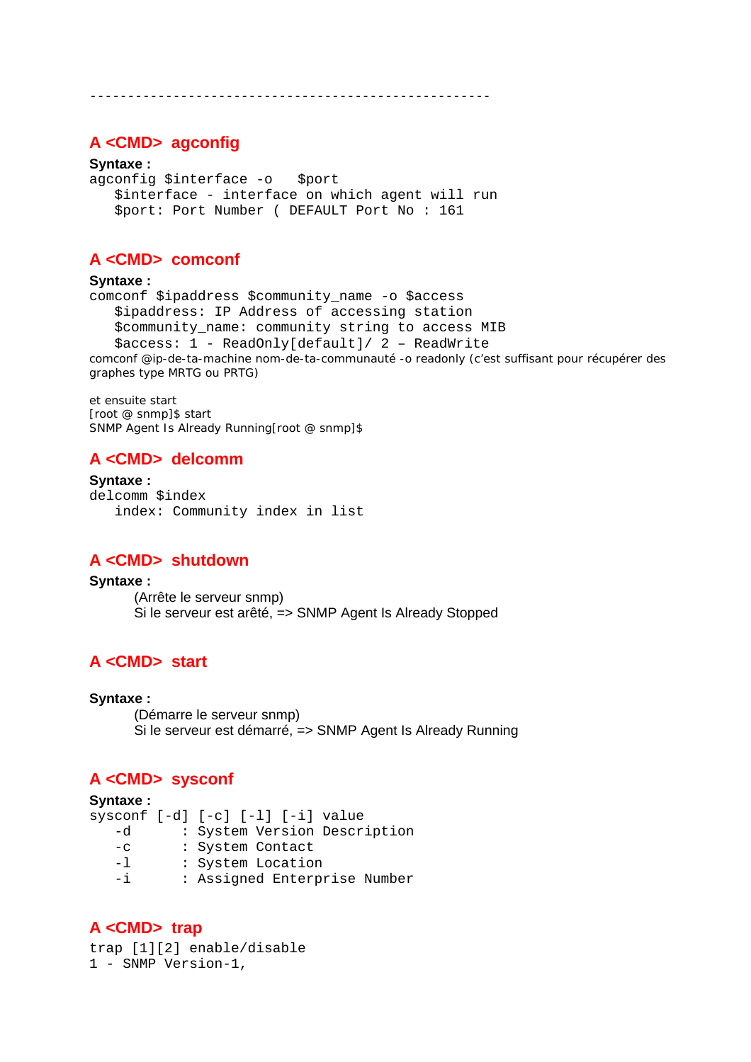-----------------------------------------------------

#### **A <CMD> agconfig**

#### **Syntaxe :**

agconfig \$interface -o \$port \$interface - interface on which agent will run \$port: Port Number ( DEFAULT Port No : 161

### **A <CMD> comconf**

#### **Syntaxe :**

```
comconf $ipaddress $community_name -o $access 
    $ipaddress: IP Address of accessing station 
    $community_name: community string to access MIB 
    $access: 1 - ReadOnly[default]/ 2 – ReadWrite 
comconf @ip-de-ta-machine nom-de-ta-communauté -o readonly (c'est suffisant pour récupérer des 
graphes type MRTG ou PRTG)
```
et ensuite start [root @ snmp]\$ start SNMP Agent Is Already Running[root @ snmp]\$

### **A <CMD> delcomm**

```
Syntaxe :
delcomm $index 
    index: Community index in list
```
#### **A <CMD> shutdown**

#### **Syntaxe :** (Arrête le serveur snmp) Si le serveur est arêté, => SNMP Agent Is Already Stopped

### **A <CMD> start**

#### **Syntaxe :**

 (Démarre le serveur snmp) Si le serveur est démarré, => SNMP Agent Is Already Running

### **A <CMD> sysconf**

#### **Syntaxe :**

sysconf [-d] [-c] [-l] [-i] value -d : System Version Description -c : System Contact -l : System Location

-i : Assigned Enterprise Number

### **A <CMD> trap**

trap [1][2] enable/disable 1 - SNMP Version-1,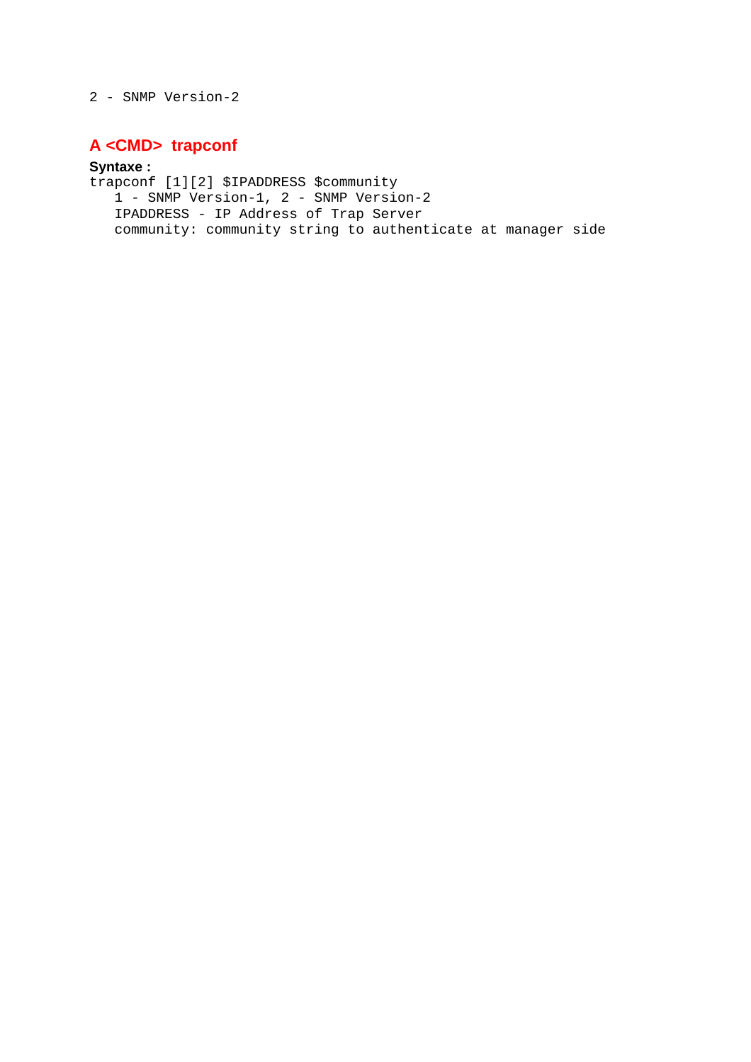2 - SNMP Version-2

### **A <CMD> trapconf**

#### **Syntaxe :**

trapconf [1][2] \$IPADDRESS \$community 1 - SNMP Version-1, 2 - SNMP Version-2 IPADDRESS - IP Address of Trap Server community: community string to authenticate at manager side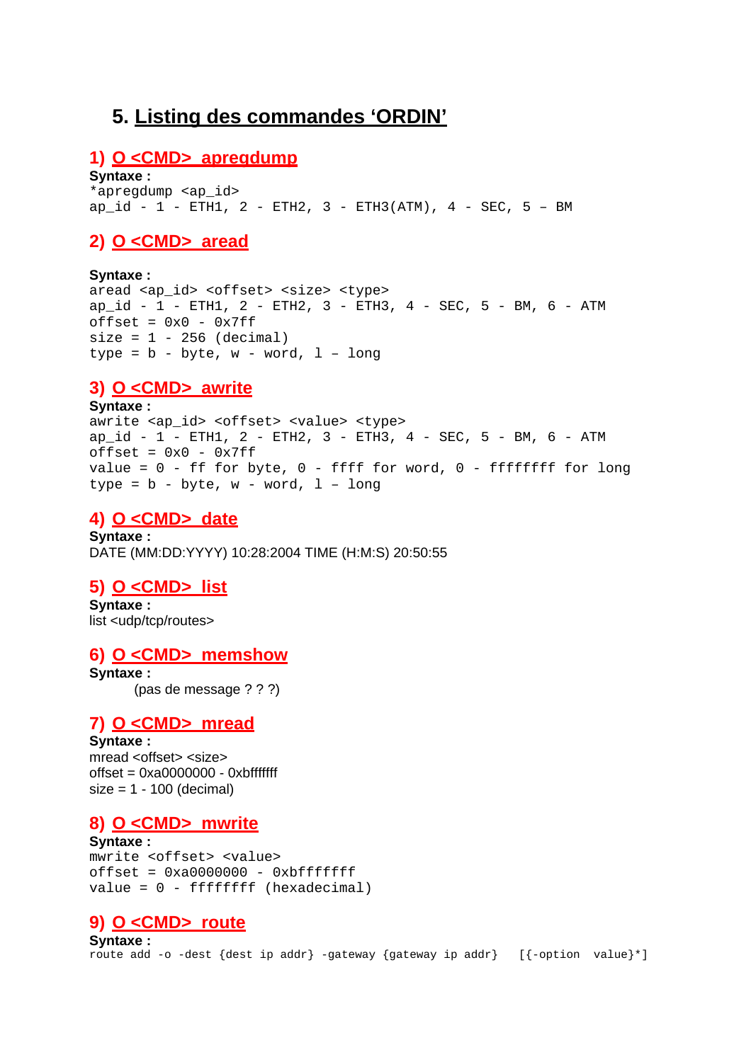## **5. Listing des commandes 'ORDIN'**

#### **1) O <CMD> apregdump**

**Syntaxe :**

\*apregdump <ap\_id> ap  $id - 1 - ETH1$ ,  $2 - ETH2$ ,  $3 - ETH3(ATM)$ ,  $4 - SEC$ ,  $5 - BM$ 

### **2) O <CMD> aread**

**Syntaxe :** 

aread <ap\_id> <offset> <size> <type> ap id - 1 - ETH1, 2 - ETH2, 3 - ETH3, 4 - SEC, 5 - BM, 6 - ATM  $offset = 0x0 - 0x7ff$  $size = 1 - 256$  (decimal) type =  $b - byte$ ,  $w - word$ ,  $1 - long$ 

### **3) O <CMD> awrite**

**Syntaxe :** awrite <ap\_id> <offset> <value> <type>  $ap_id - 1 - ETH1, 2 - ETH2, 3 - ETH3, 4 - SEC, 5 - BM, 6 - ATM$  $offset = 0x0 - 0x7ff$ value =  $0$  - ff for byte,  $0$  - ffff for word,  $0$  - ffffffff for long type =  $b - byte$ ,  $w - word$ ,  $1 - long$ 

### **4) O <CMD> date**

**Syntaxe :** DATE (MM:DD:YYYY) 10:28:2004 TIME (H:M:S) 20:50:55

### **5) O <CMD> list**

**Syntaxe :** list <udp/tcp/routes>

#### **6) O <CMD> memshow**

**Syntaxe :** (pas de message ? ? ?)

#### **7) O <CMD> mread**

**Syntaxe :** mread <offset> <size>  $offset = 0xa0000000 - 0xbfffffff$  $size = 1 - 100$  (decimal)

### **8) O <CMD> mwrite**

**Syntaxe :** mwrite <offset> <value>  $offset = 0xa0000000 - 0xbffffff$ value = 0 - ffffffff (hexadecimal)

### **9) O <CMD> route**

**Syntaxe :** route add -o -dest {dest ip addr} -gateway {gateway ip addr} [{-option value}\*]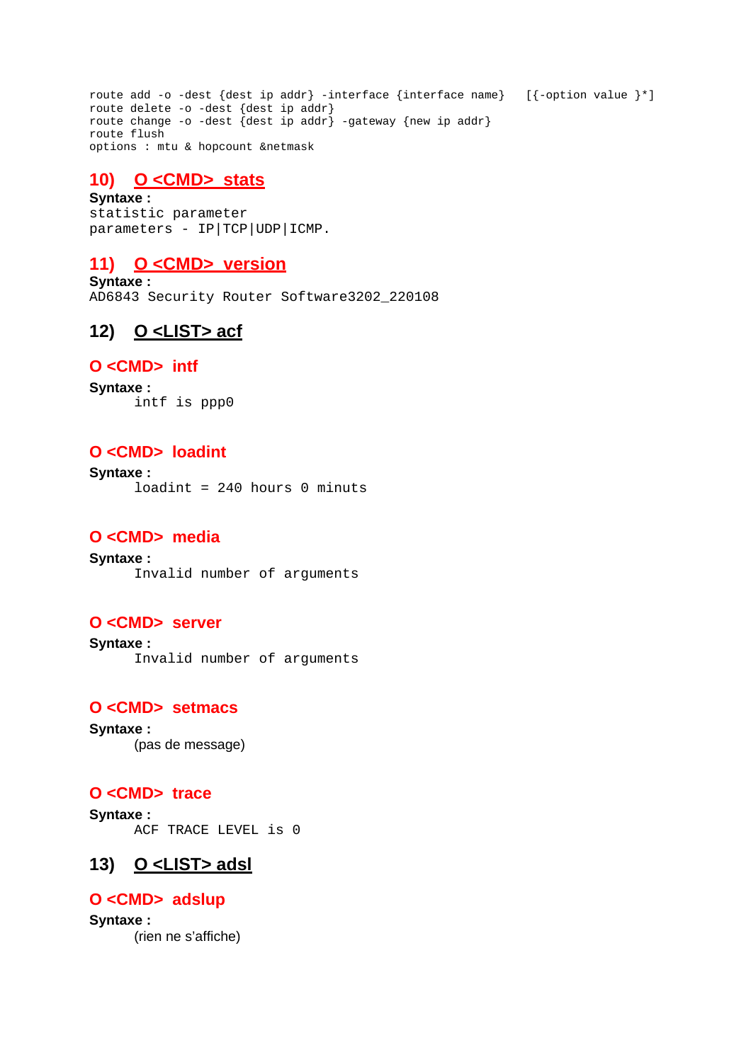route add -o -dest {dest ip addr} -interface {interface name} [{-option value }\*] route delete -o -dest {dest ip addr} route change -o -dest {dest ip addr} -gateway {new ip addr} route flush options : mtu & hopcount &netmask

### **10) O <CMD> stats**

**Syntaxe :** statistic parameter parameters - IP|TCP|UDP|ICMP.

### **11) O <CMD> version**

**Syntaxe :** AD6843 Security Router Software3202\_220108

### **12) O <LIST> acf**

#### **O <CMD> intf**

**Syntaxe :** intf is ppp0

### **O <CMD> loadint**

**Syntaxe :** loadint = 240 hours 0 minuts

### **O <CMD> media**

**Syntaxe :** Invalid number of arguments

### **O <CMD> server**

**Syntaxe :** Invalid number of arguments

### **O <CMD> setmacs**

**Syntaxe :** (pas de message)

#### **O <CMD> trace**

**Syntaxe :** ACF TRACE LEVEL is 0

### **13) O <LIST> adsl**

### **O <CMD> adslup**

**Syntaxe :** (rien ne s'affiche)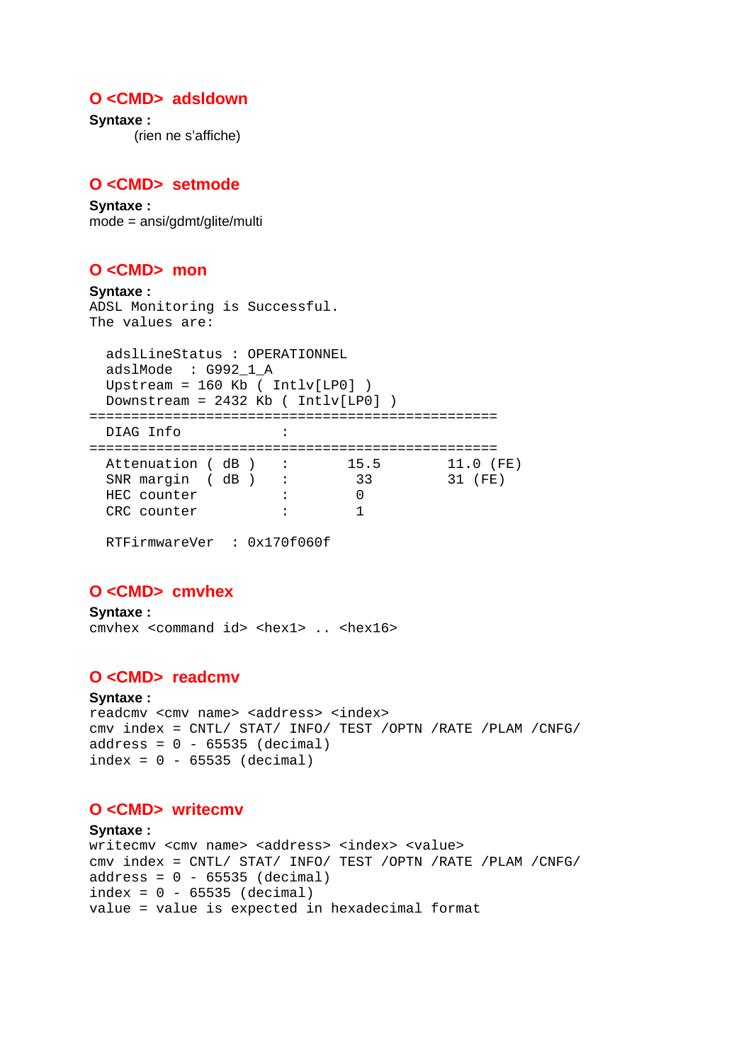#### **O <CMD> adsldown**

**Syntaxe :** (rien ne s'affiche)

#### **O <CMD> setmode**

**Syntaxe :** mode = ansi/gdmt/glite/multi

#### **O <CMD> mon**

```
Syntaxe :
ADSL Monitoring is Successful. 
The values are: 
  adslLineStatus : OPERATIONNEL 
  adslMode : G992_1_A 
  Upstream = 160 Kb ( Intlv[LP0] ) 
  Downstream = 2432 Kb ( Intlv[LP0] ) 
================================================= 
  DIAG Info : 
================================================= 
 Attenuation ( dB ) : 15.5 11.0 (FE)
 SNR margin ( dB ) : 33 31 (FE)
  HEC counter : 0 
 CRC counter : 1
```
RTFirmwareVer : 0x170f060f

#### **O <CMD> cmvhex**

**Syntaxe :** cmvhex <command id> <hex1> .. <hex16>

#### **O <CMD> readcmv**

#### **Syntaxe :**

```
readcmy <cmy name> <address> <index>
cmv index = CNTL/ STAT/ INFO/ TEST /OPTN /RATE /PLAM /CNFG/ 
address = 0 - 65535 (decimal)index = 0 - 65535 (decimal)
```
#### **O <CMD> writecmv**

```
Syntaxe :
writecmy <cmy name> <address> <index> <value>
cmv index = CNTL/ STAT/ INFO/ TEST /OPTN /RATE /PLAM /CNFG/ 
address = 0 - 65535 (decimal)index = 0 - 65535 (decimal)value = value is expected in hexadecimal format
```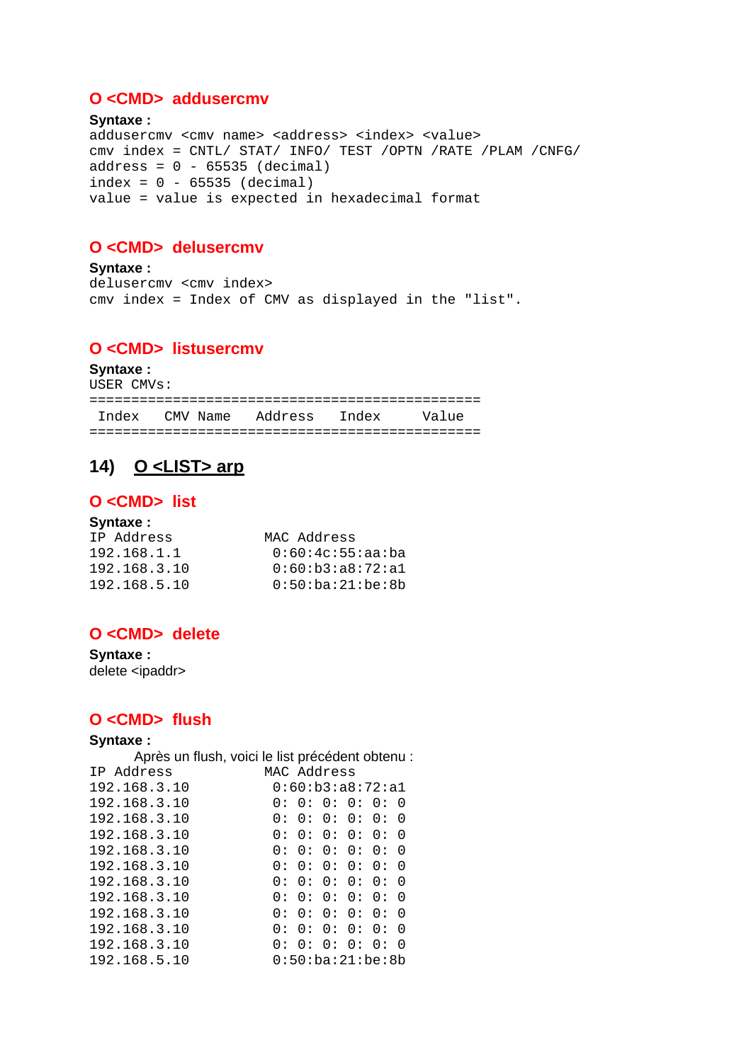#### O <CMD> addusercmv

Syntaxe: addusercmv <cmv name> <address> <index> <value> cmy index = CNTL/ STAT/ INFO/ TEST /OPTN /RATE /PLAM /CNFG/  $address = 0 - 65535 (decimal)$  $index = 0 - 65535 (decimal)$ value = value is expected in hexadecimal format

#### O <CMD> delusercmv

Syntaxe: delusercmv <cmv index> cmv index = Index of CMV as displayed in the "list".

#### O <CMD> listusercmv

Syntaxe:

USER CMVs:

Index CMV Name Address Index Value 

#### O <LIST> arp 14)

#### O<CMD>list

#### Svntaxe:

| IP Address   | MAC Address      |
|--------------|------------------|
| 192.168.1.1  | 0:60:4c:55:aa:ba |
| 192.168.3.10 | 0:60:b3:a8:72:a1 |
| 192.168.5.10 | 0:50:ba:21:be:8b |

### O <CMD> delete

Syntaxe: delete <ipaddr>

### O<CMD> flush

Syntaxe: Après un flush, voici le list précédent obtenu : MAC Address IP Address 192.168.3.10  $0:60:b3:a8:72:a1$ 192.168.3.10  $0: 0: 0: 0: 0: 0$ 192.168.3.10  $0: 0: 0: 0: 0: 0$  $0: 0: 0: 0: 0: 0$ 192.168.3.10 192.168.3.10  $0: 0: 0: 0: 0: 0$  $0: 0: 0: 0: 0: 0$ 192.168.3.10  $0:0:0:0:0:0:0$ 192.168.3.10  $0: 0: 0: 0: 0: 0$ 192.168.3.10 192.168.3.10  $0:0:0:0:0:0:0$  $0: 0: 0: 0: 0: 0$ 192.168.3.10 192.168.3.10  $0: 0: 0: 0: 0: 0: 0$ 192.168.5.10  $0:50:ba:21:be:8b$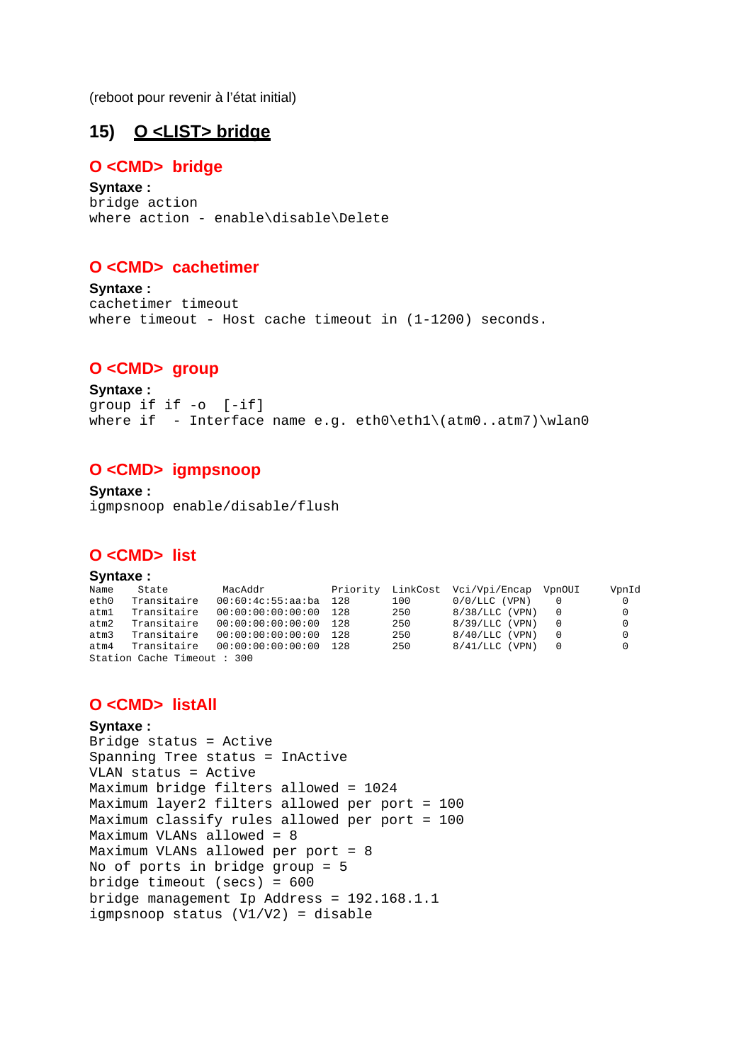(reboot pour revenir à l'état initial)

## **15) O <LIST> bridge**

#### **O <CMD> bridge**

**Syntaxe :** bridge action where action - enable\disable\Delete

#### **O <CMD> cachetimer**

**Syntaxe :** cachetimer timeout where timeout - Host cache timeout in (1-1200) seconds.

#### **O <CMD> group**

**Syntaxe :** group if if -o [-if] where if - Interface name e.g.  $eth0\et{h1\cdot atm7}\wlan0$ 

#### **O <CMD> igmpsnoop**

**Syntaxe :** igmpsnoop enable/disable/flush

#### **O <CMD> list**

#### **Syntaxe :**

| Name | State                      | MacAddr                    |     |     | Priority LinkCost Vci/Vpi/Encap VpnOUI | VpnId    |
|------|----------------------------|----------------------------|-----|-----|----------------------------------------|----------|
| eth0 | Transitaire                | $00:60:4c:55:aa:ba$ 128    |     | 100 | $0/0/LLC$ (VPN)                        | $\Omega$ |
| atml | Transitaire                | 00:00:00:00:00:00          | 128 | 250 | $8/38/LLC$ (VPN)                       | 0        |
| atm2 | Transitaire                | $00:00:00:00:00:00:00$ 128 |     | 250 | $8/39/LLC$ (VPN)                       | $\Omega$ |
| atm3 | Transitaire                | 00:00:00:00:00:00          | 128 | 250 | $8/40/LLC$ (VPN)                       | $\Omega$ |
| atm4 | Transitaire                | 00:00:00:00:00:00 128      |     | 250 | $8/41/LLC$ (VPN)                       | 0        |
|      | Station Cache Timeout: 300 |                            |     |     |                                        |          |

#### **O <CMD> listAll**

#### **Syntaxe :**

Bridge status = Active Spanning Tree status = InActive VLAN status = Active Maximum bridge filters allowed = 1024 Maximum layer2 filters allowed per port = 100 Maximum classify rules allowed per port = 100 Maximum VLANs allowed = 8 Maximum VLANs allowed per port = 8 No of ports in bridge group = 5 bridge timeout (secs) = 600 bridge management Ip Address = 192.168.1.1 igmpsnoop status (V1/V2) = disable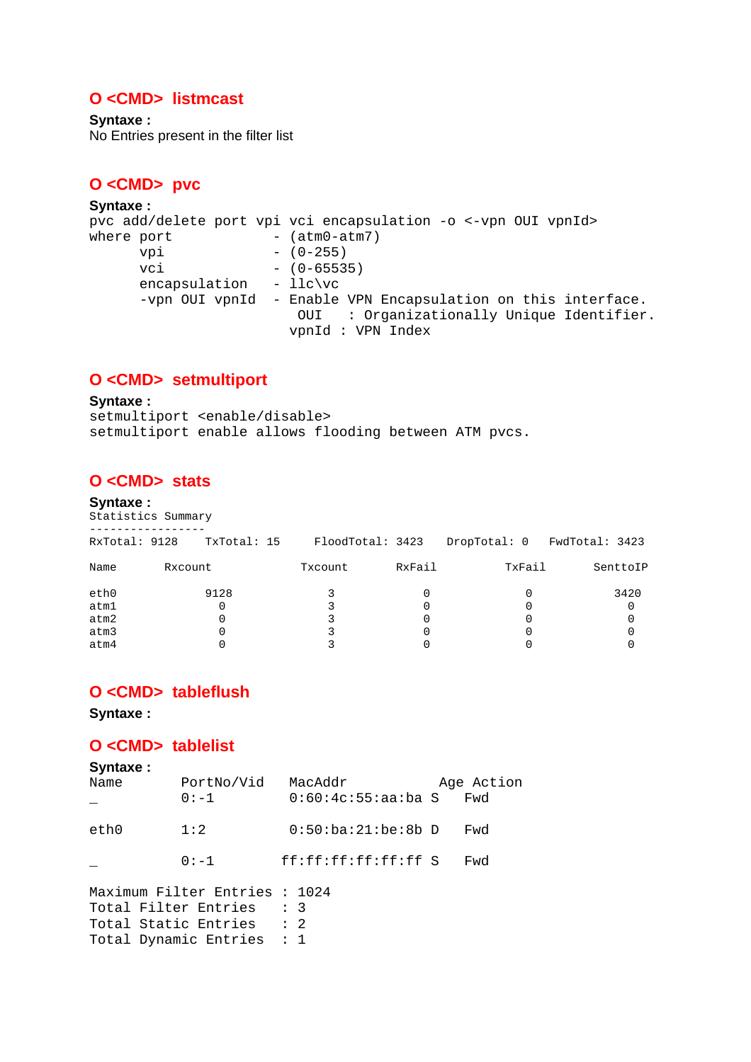### **O <CMD> listmcast**

**Syntaxe :** No Entries present in the filter list

#### **O <CMD> pvc**

#### **Syntaxe :** pvc add/delete port vpi vci encapsulation -o <-vpn OUI vpnId> where  $port$   $(\text{atm0-atm7})$ vpi – (0-255) vci – (0–65535) encapsulation - llc\vc -vpn OUI vpnId - Enable VPN Encapsulation on this interface. OUI : Organizationally Unique Identifier. vpnId : VPN Index

#### **O <CMD> setmultiport**

#### **Syntaxe :**

setmultiport <enable/disable> setmultiport enable allows flooding between ATM pvcs.

#### **O <CMD> stats**

#### **Syntaxe :**

Statistics Summary -----------------

| RxTotal: 9128 |         | TxTotal: 15 | FloodTotal: 3423 |        | DropTotal: 0 | FwdTotal: 3423 |
|---------------|---------|-------------|------------------|--------|--------------|----------------|
| Name          | Rxcount |             | Txcount          | RxFail | TxFail       | SenttoIP       |
| eth0          |         | 9128        |                  |        |              | 3420           |
| atm1          |         |             |                  |        |              |                |
| atm2          |         |             |                  |        |              |                |
| atm3          |         |             |                  |        |              |                |
| atm4          |         |             |                  |        |              |                |

#### **O <CMD> tableflush**

**Syntaxe :**

#### **O <CMD> tablelist**

```
Syntaxe :
Name PortNo/Vid MacAddr Age Action
         0:-1 0:60:4c:55:aa:ba S Fwd
eth0 1:2 0:50:ba:21:be:8b D Fwd 
         _ 0:-1 ff:ff:ff:ff:ff:ff S Fwd 
Maximum Filter Entries : 1024 
Total Filter Entries : 3 
Total Static Entries : 2
Total Dynamic Entries : 1
```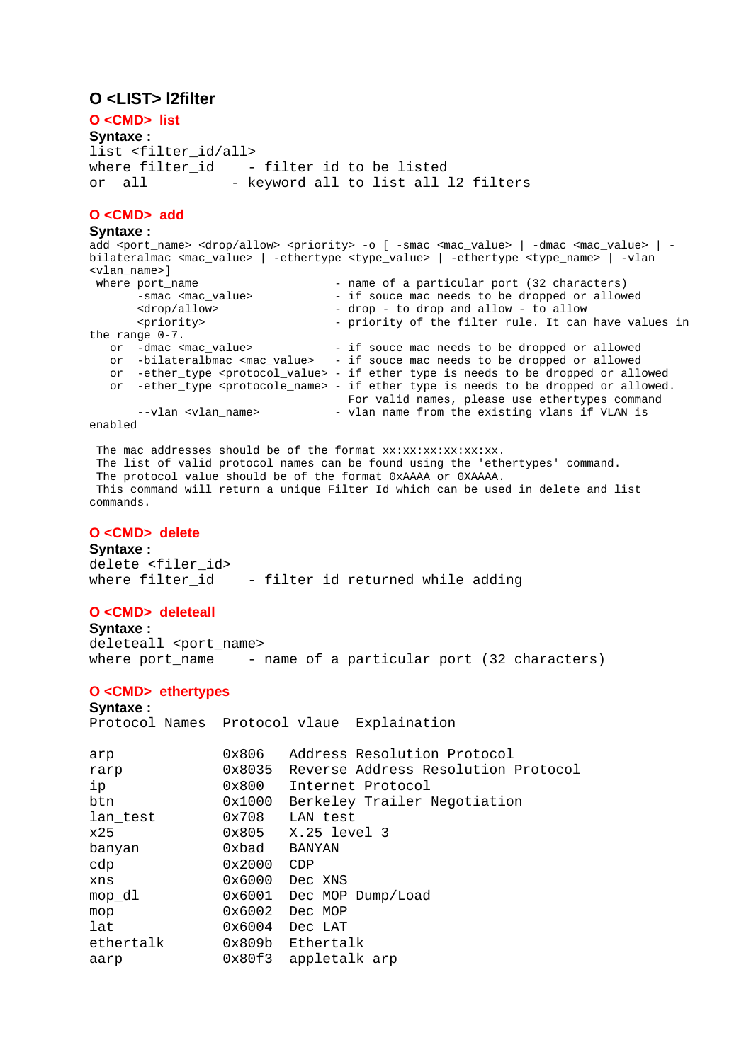#### **O <LIST> l2filter**

**O <CMD> list Syntaxe :** list <filter\_id/all> where filter id - filter id to be listed or all - keyword all to list all 12 filters

#### **O <CMD> add**

**Syntaxe :** add <port\_name> <drop/allow> <priority> -o [ -smac <mac\_value> | -dmac <mac\_value> | bilateralmac <mac\_value> | -ethertype <type\_value> | -ethertype <type\_name> | -vlan <vlan\_name>] - name of a particular port (32 characters) -smac <mac\_value> - if souce mac needs to be dropped or allowed <drop/allow> - drop - to drop and allow - to allow<br>
- priority - priority of the filter rule. It can - priority of the filter rule. It can have values in the range  $0-7$ .<br>or -dmac <mac\_value> - if souce mac needs to be dropped or allowed or -bilateralbmac <mac\_value> - if souce mac needs to be dropped or allowed or -ether\_type <protocol\_value> - if ether type is needs to be dropped or allowed or -ether\_type <protocole\_name> - if ether type is needs to be dropped or allowed. For valid names, please use ethertypes command --vlan <vlan\_name> - vlan name from the existing vlans if VLAN is enabled

The mac addresses should be of the format  $xx:xx:xx:xx:xx$ . The list of valid protocol names can be found using the 'ethertypes' command. The protocol value should be of the format 0xAAAA or 0XAAAA. This command will return a unique Filter Id which can be used in delete and list commands.

#### **O <CMD> delete**

**Syntaxe :** delete <filer id> where filter\_id - filter id returned while adding

#### **O <CMD> deleteall**

**Syntaxe :** deleteall <port name> where port\_name - name of a particular port (32 characters)

#### **O <CMD> ethertypes**

#### **Syntaxe :**

Protocol Names Protocol vlaue Explaination

| arp       | 0x806            | Address Resolution Protocol         |
|-----------|------------------|-------------------------------------|
| rarp      | 0x8035           | Reverse Address Resolution Protocol |
| ip        | 0x800            | Internet Protocol                   |
| btn       | 0x1000           | Berkeley Trailer Negotiation        |
| lan_test  | 0x708            | LAN test                            |
| x25       |                  | 0x805 X.25 level 3                  |
| banyan    | 0xbad            | <b>BANYAN</b>                       |
| cdp       | 0x2000           | CDP                                 |
| xns       | $0x6000$ Dec XNS |                                     |
| mop_dl    |                  | $0x6001$ Dec MOP Dump/Load          |
| mop       | 0x6002           | Dec MOP                             |
| lat       | 0x6004           | Dec LAT                             |
| ethertalk |                  | 0x809b Ethertalk                    |
| aarp      |                  | 0x80f3 appletalk arp                |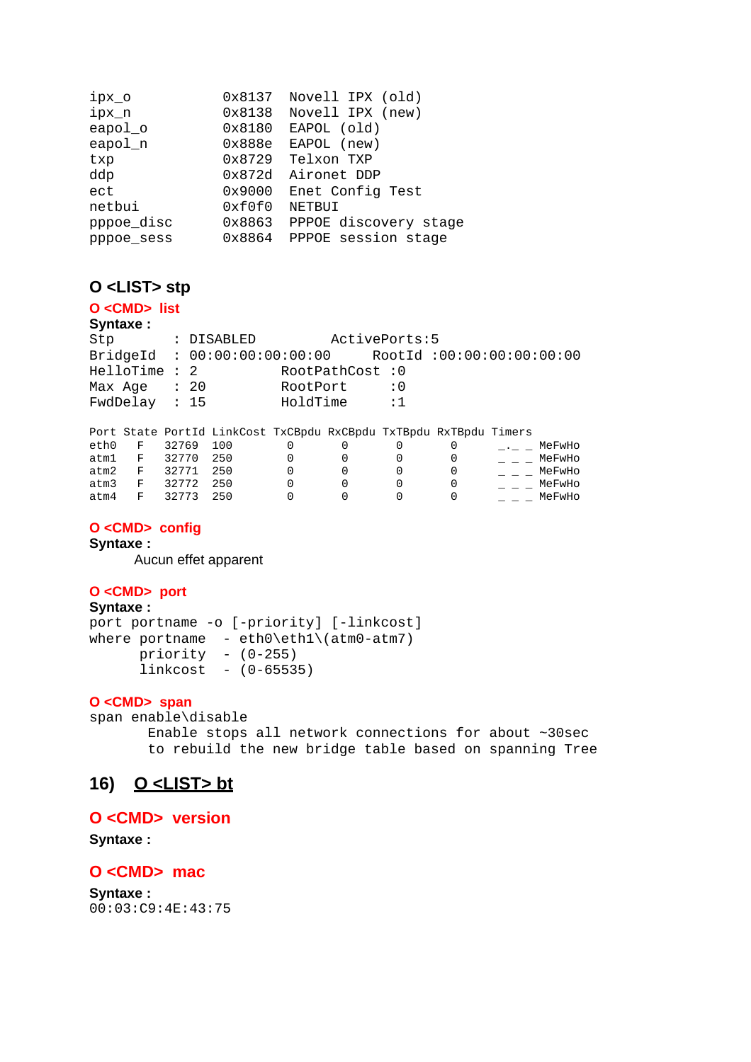| ipx_o      | 0x8137 | Novell IPX (old)      |
|------------|--------|-----------------------|
| ipx_n      | 0x8138 | Novell IPX (new)      |
| eapol_o    | 0x8180 | EAPOL (old)           |
| eapol_n    | 0x888e | EAPOL (new)           |
| txp        | 0x8729 | Telxon TXP            |
| ddp        | 0x872d | Aironet DDP           |
| ect        | 0x9000 | Enet Config Test      |
| netbui     | 0xf0f0 | NETBUI                |
| pppoe_disc | 0x8863 | PPPOE discovery stage |
| pppoe sess | 0x8864 | PPPOE session stage   |

#### **O <LIST> stp**

#### **O <CMD> list**

**Syntaxe :**

Stp : DISABLED ActivePorts:5 BridgeId : 00:00:00:00:00:00 RootId :00:00:00:00:00:00 HelloTime : 2 RootPathCost : 0 Max Age : 20 RootPort : 0<br>FwdDelav : 15 HoldTime : 1 FwdDelay : 15 HoldTime

|            |     |       | Port State PortId LinkCost TxCBpdu RxCBpdu TxTBpdu RxTBpdu Timers |  |  |        |  |
|------------|-----|-------|-------------------------------------------------------------------|--|--|--------|--|
| eth0       | F   | 32769 | 100                                                               |  |  | MeFwHo |  |
| atm1       | F   | 32770 | 250                                                               |  |  | MeFwHo |  |
| atm2       | F   | 32771 | 250                                                               |  |  | MeFwHo |  |
| atm3       | F   | 32772 | 250                                                               |  |  | MeFwHo |  |
| $a \pm m4$ | 一下一 | 32773 | 250                                                               |  |  | MeFwHo |  |

#### **O <CMD> config**

#### **Syntaxe :**

Aucun effet apparent

#### **O <CMD> port**

```
Syntaxe :
port portname -o [-priority] [-linkcost] 
where portname - eth0\text{th1}\text{(atm0-atm7)} priority - (0-255) 
      linkcost - (0-65535)
```
#### **O <CMD> span**

span enable\disable

 Enable stops all network connections for about ~30sec to rebuild the new bridge table based on spanning Tree

### **16) O <LIST> bt**

#### **O <CMD> version**

**Syntaxe :**

#### **O <CMD> mac**

```
Syntaxe :
00:03:C9:4E:43:75
```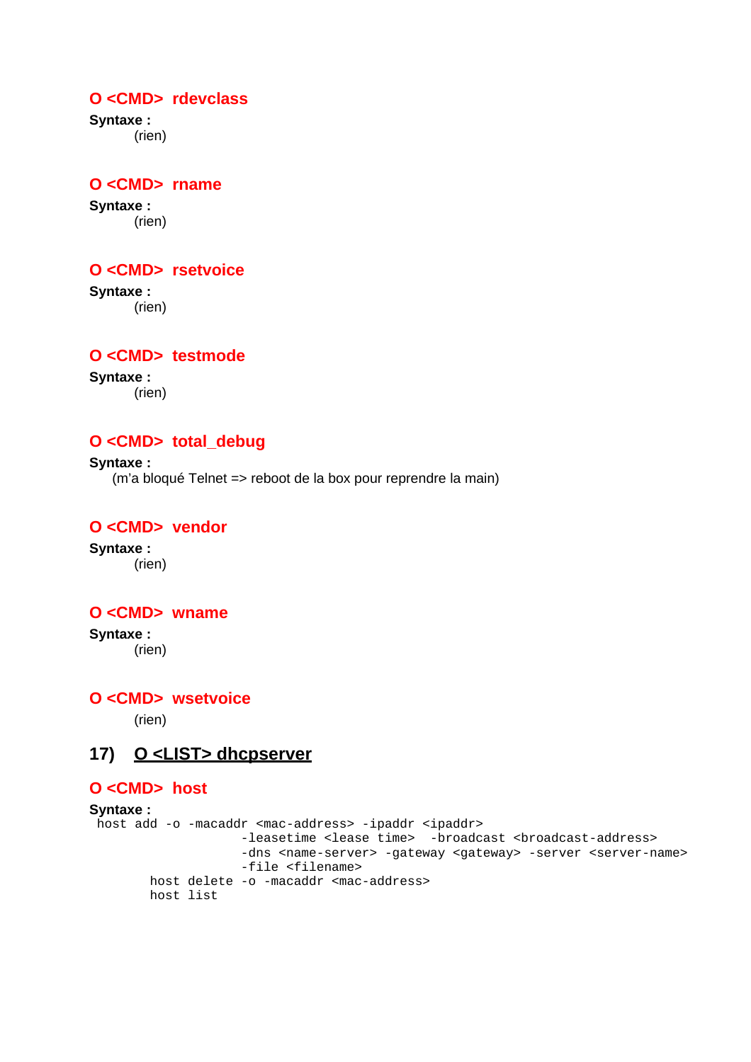## **O <CMD> rdevclass**

**Syntaxe :** (rien)

# **O <CMD> rname**

**Syntaxe :** (rien)

### **O <CMD> rsetvoice**

**Syntaxe :** (rien)

### **O <CMD> testmode**

**Syntaxe :** (rien)

# **O <CMD> total\_debug**

**Syntaxe :** (m'a bloqué Telnet => reboot de la box pour reprendre la main)

# **O <CMD> vendor**

**Syntaxe :** (rien)

#### **O <CMD> wname**

**Syntaxe :** (rien)

**O <CMD> wsetvoice** 

(rien)

# **17) O <LIST> dhcpserver**

#### **O <CMD> host**

```
Syntaxe :
 host add -o -macaddr <mac-address> -ipaddr <ipaddr> 
                     -leasetime <lease time> -broadcast <br/> <br/>broadcast-address>
                     -dns <name-server> -gateway <gateway> -server <server-name>
                      -file <filename> 
         host delete -o -macaddr <mac-address> 
         host list
```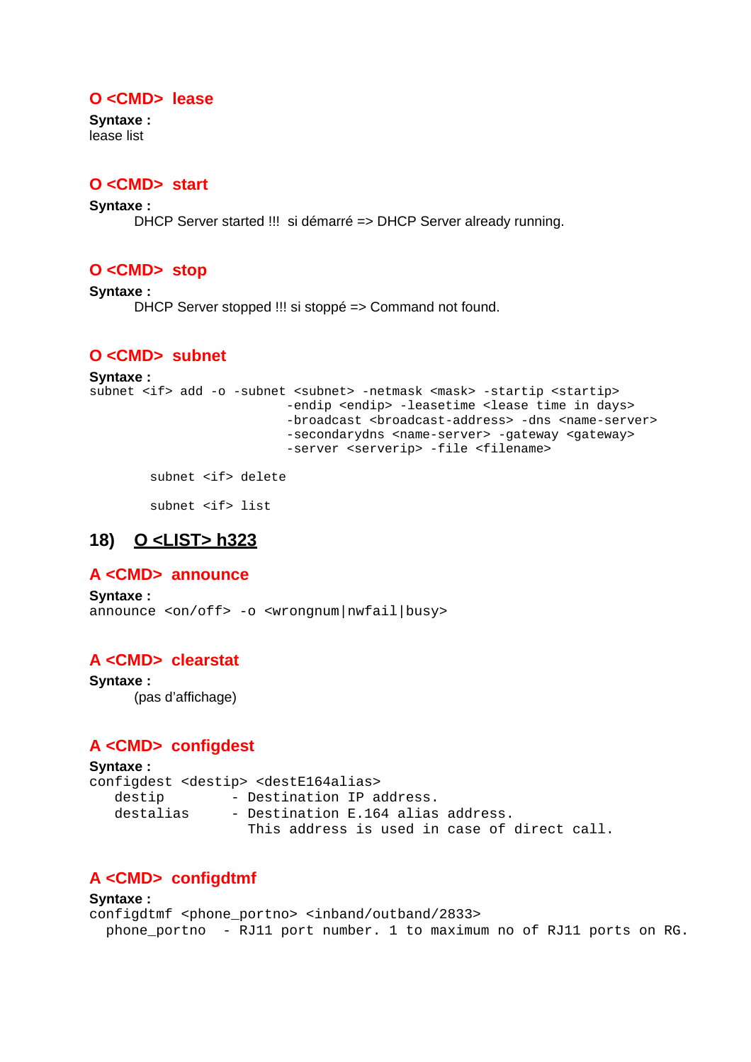## **O <CMD> lease**

**Syntaxe :** lease list

# **O <CMD> start**

**Syntaxe :**

DHCP Server started !!! si démarré => DHCP Server already running.

# **O <CMD> stop**

**Syntaxe :** DHCP Server stopped !!! si stoppé => Command not found.

# **O <CMD> subnet**

```
Syntaxe :
subnet <if> add -o -subnet <subnet> -netmask <mask> -startip <startip>
                          -endip <endip> -leasetime <lease time in days>
                          -broadcast <broadcast-address> -dns <name-server>
                          -secondarydns <name-server> -gateway <gateway>
                           -server <serverip> -file <filename>
```
subnet <if> delete

subnet <if> list

# **18) O <LIST> h323**

# **A <CMD> announce**

```
Syntaxe :
announce <on/off> -o <wrongnum|nwfail|busy>
```
# **A <CMD> clearstat**

**Syntaxe :** (pas d'affichage)

# **A <CMD> configdest**

```
Syntaxe :
configdest <destip> <destE164alias> 
  destip - Destination IP address.
  destalias - Destination E.164 alias address.
                   This address is used in case of direct call.
```
# **A <CMD> configdtmf**

```
Syntaxe :
configdtmf <phone_portno> <inband/outband/2833> 
   phone_portno - RJ11 port number. 1 to maximum no of RJ11 ports on RG.
```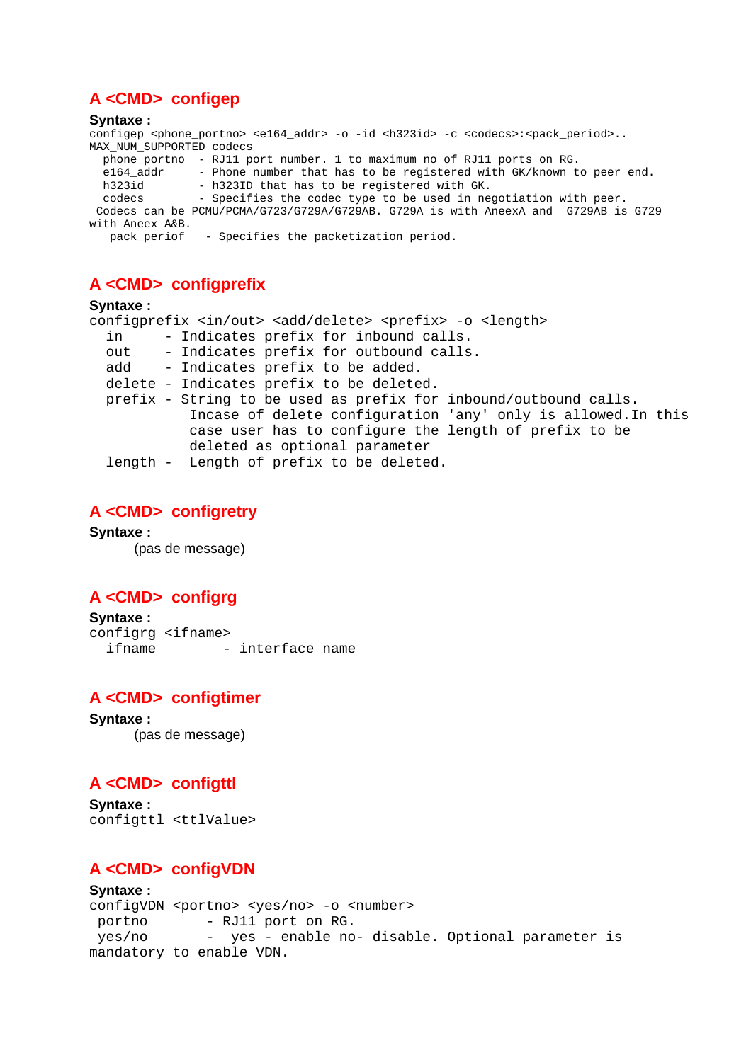# **A <CMD> configep**

#### **Syntaxe :**

configep <phone\_portno> <e164\_addr> -o -id <h323id> -c <codecs>:<pack\_period>... MAX\_NUM\_SUPPORTED codecs phone\_portno - RJ11 port number. 1 to maximum no of RJ11 ports on RG. e164\_addr - Phone number that has to be registered with GK/known to peer end. h323id - h323ID that has to be registered with GK. codecs - Specifies the codec type to be used in negotiation with peer. Codecs can be PCMU/PCMA/G723/G729A/G729AB. G729A is with AneexA and G729AB is G729 with Aneex A&B.

```
 pack_periof - Specifies the packetization period.
```
# **A <CMD> configprefix**

#### **Syntaxe :**

|     | configprefix <in out=""> <add delete=""> <prefix> -o <length></length></prefix></add></in> |
|-----|--------------------------------------------------------------------------------------------|
| in  | - Indicates prefix for inbound calls.                                                      |
| out | - Indicates prefix for outbound calls.                                                     |
| add | - Indicates prefix to be added.                                                            |
|     | delete - Indicates prefix to be deleted.                                                   |
|     | prefix - String to be used as prefix for inbound/outbound calls.                           |
|     | Incase of delete configuration 'any' only is allowed. In this                              |
|     | case user has to configure the length of prefix to be                                      |
|     | deleted as optional parameter                                                              |
|     | length - Length of prefix to be deleted.                                                   |
|     |                                                                                            |

# **A <CMD> configretry**

**Syntaxe :** (pas de message)

# **A <CMD> configrg**

**Syntaxe :** configrg <ifname> ifname - interface name

# **A <CMD> configtimer**

**Syntaxe :** (pas de message)

# **A <CMD> configttl**

**Syntaxe :** configttl <ttlValue>

# **A <CMD> configVDN**

#### **Syntaxe :**

configVDN <portno> <yes/no> -o <number><br>portno - RJ11 port on RG. - RJ11 port on RG. yes/no - yes - enable no- disable. Optional parameter is mandatory to enable VDN.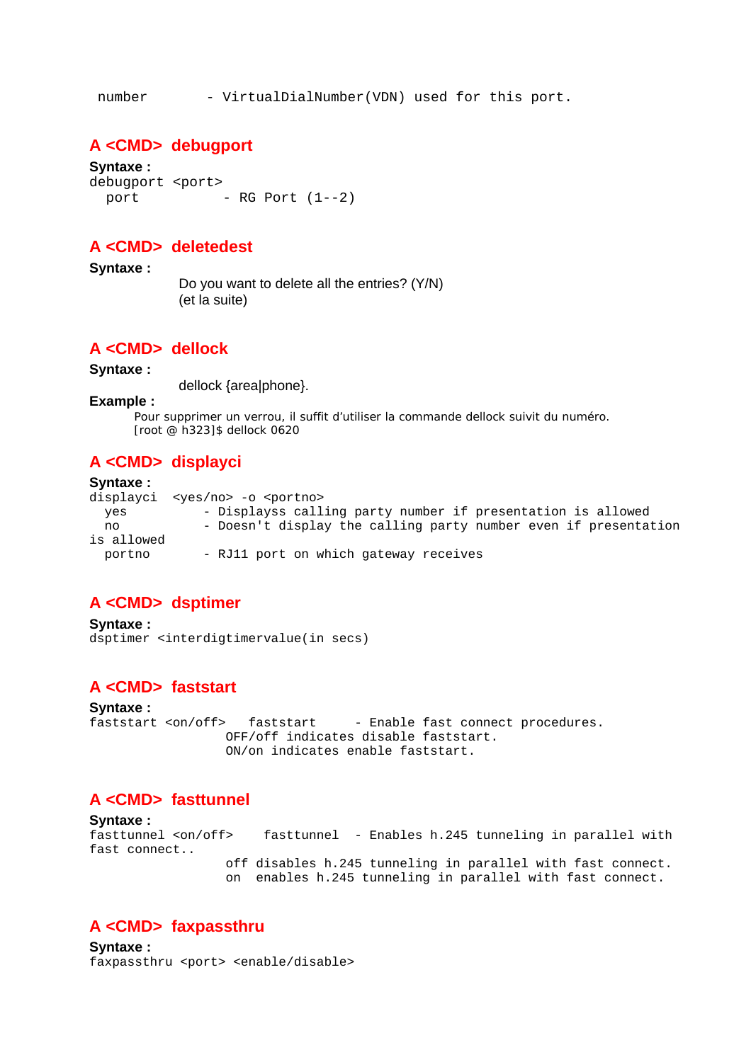number - VirtualDialNumber(VDN) used for this port.

#### **A <CMD> debugport**

**Syntaxe :** debugport <port>  $port$  - RG Port  $(1--2)$ 

### **A <CMD> deletedest**

**Syntaxe :**

 Do you want to delete all the entries? (Y/N) (et la suite)

#### **A <CMD> dellock**

#### **Syntaxe :**

dellock {area|phone}.

#### **Example :**

Pour supprimer un verrou, il suffit d'utiliser la commande dellock suivit du numéro. [root @ h323]\$ dellock 0620

### **A <CMD> displayci**

#### **Syntaxe :** displayci <yes/no> -o <portno> yes - Displayss calling party number if presentation is allowed no - Doesn't display the calling party number even if presentation is allowed portno - RJ11 port on which gateway receives

### **A <CMD> dsptimer**

**Syntaxe :** dsptimer <interdigtimervalue(in secs)

## **A <CMD> faststart**

**Syntaxe :** faststart <on/off> faststart - Enable fast connect procedures. OFF/off indicates disable faststart. ON/on indicates enable faststart.

## **A <CMD> fasttunnel**

**Syntaxe :** fasttunnel <on/off> fasttunnel - Enables h.245 tunneling in parallel with fast connect.. off disables h.245 tunneling in parallel with fast connect. on enables h.245 tunneling in parallel with fast connect.

### **A <CMD> faxpassthru**

**Syntaxe :** faxpassthru <port> <enable/disable>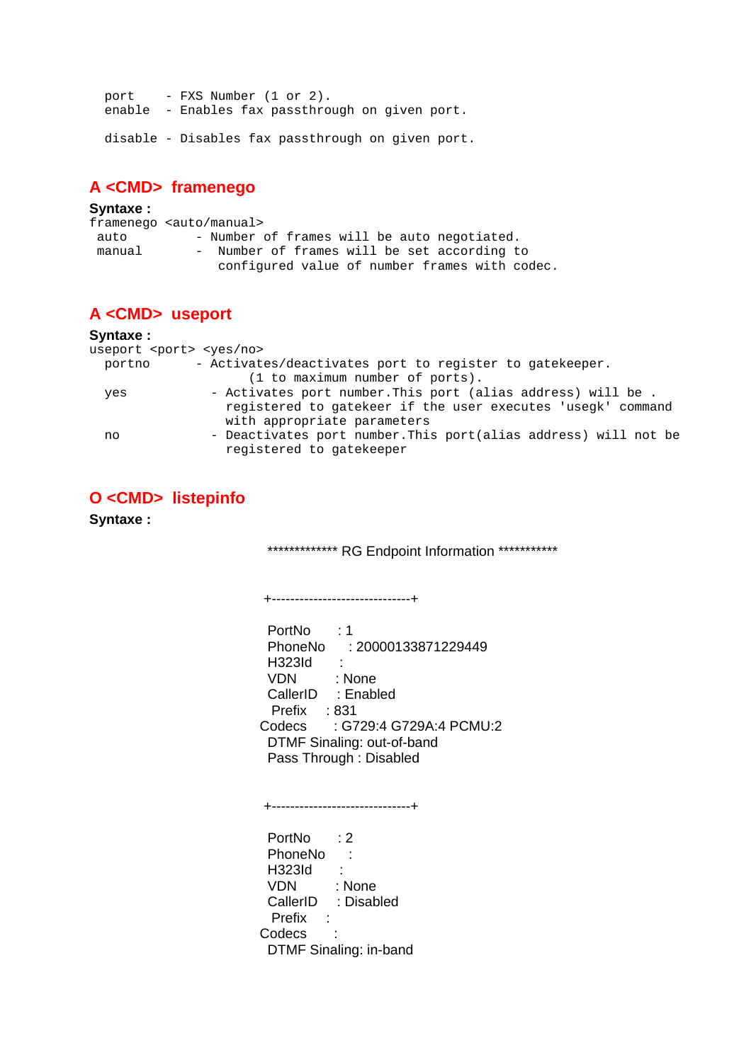port - FXS Number (1 or 2). enable - Enables fax passthrough on given port.

disable - Disables fax passthrough on given port.

# **A <CMD> framenego**

| Syntaxe: |                                               |
|----------|-----------------------------------------------|
|          | framenego <auto manual=""></auto>             |
| auto     | - Number of frames will be auto negotiated.   |
| manual   | - Number of frames will be set according to   |
|          | configured value of number frames with codec. |

# **A <CMD> useport**

#### **Syntaxe :** useport <port> <yes/no> portno - Activates/deactivates port to register to gatekeeper. (1 to maximum number of ports). yes - Activates port number.This port (alias address) will be . registered to gatekeer if the user executes 'usegk' command with appropriate parameters no - Deactivates port number.This port(alias address) will not be registered to gatekeeper

# **O <CMD> listepinfo**

**Syntaxe :**

\*\*\*\*\*\*\*\*\*\*\*\*\* RG Endpoint Information \*\*\*\*\*\*\*\*\*\*\*

+------------------------------+

PortNo : 1 PhoneNo : 20000133871229449 H323Id : VDN : None CallerID : Enabled Prefix : 831 Codecs : G729:4 G729A:4 PCMU:2 DTMF Sinaling: out-of-band Pass Through : Disabled

+------------------------------+

PortNo : 2 PhoneNo : H323Id : VDN : None CallerID : Disabled Prefix : Codecs : DTMF Sinaling: in-band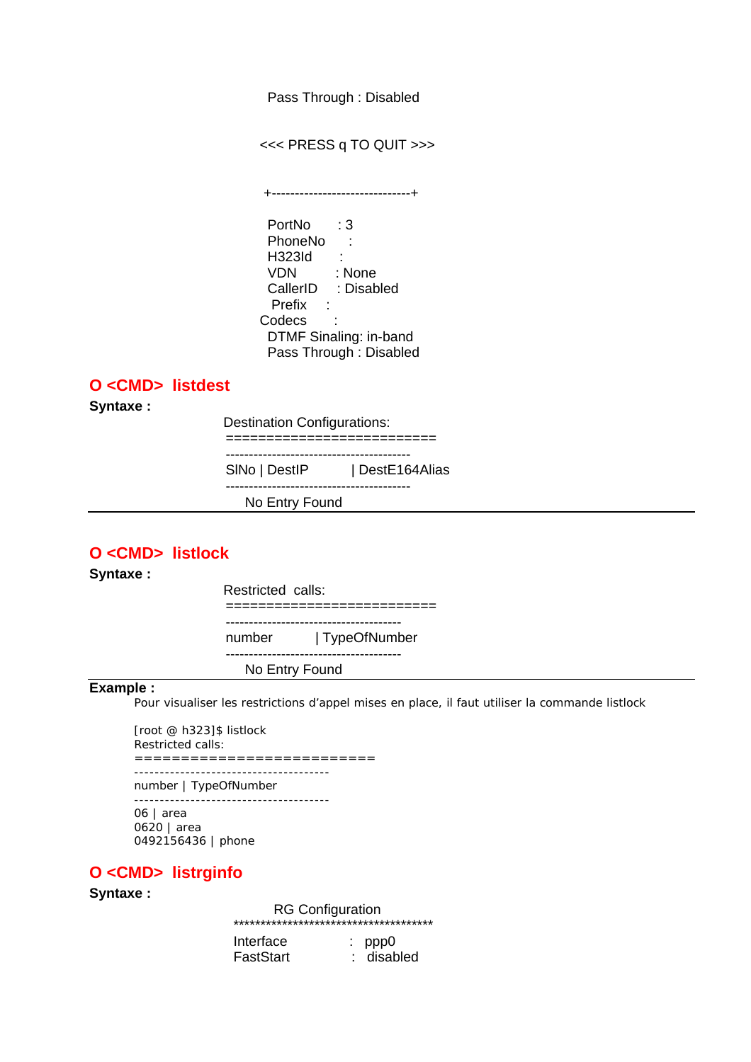Pass Through : Disabled

<<< PRESS q TO QUIT >>>

 +------------------------------+ PortNo : 3 PhoneNo : H323Id : VDN : None CallerID : Disabled Prefix : Codecs : DTMF Sinaling: in-band Pass Through : Disabled

### **O <CMD> listdest**

**Syntaxe :**

Destination Configurations:

=========================== ----------------------------------------

SINo | DestIP | DestE164Alias

----------------------------------------

No Entry Found

## **O <CMD> listlock**

**Syntaxe :**

Restricted calls:

========================== --------------------------------------

number | TypeOfNumber --------------------------------------

No Entry Found

#### **Example :**

Pour visualiser les restrictions d'appel mises en place, il faut utiliser la commande listlock

[root @ h323]\$ listlock Restricted calls: ==========================

------------------------------------- number | TypeOfNumber

-------------------------------------- 06 | area 0620 | area 0492156436 | phone

# **O <CMD> listrginfo**

#### **Syntaxe :**

RG Configuration

| ************************************** |            |  |  |  |  |  |
|----------------------------------------|------------|--|--|--|--|--|
| Interface                              | $:$ ppp0   |  |  |  |  |  |
| FastStart                              | : disabled |  |  |  |  |  |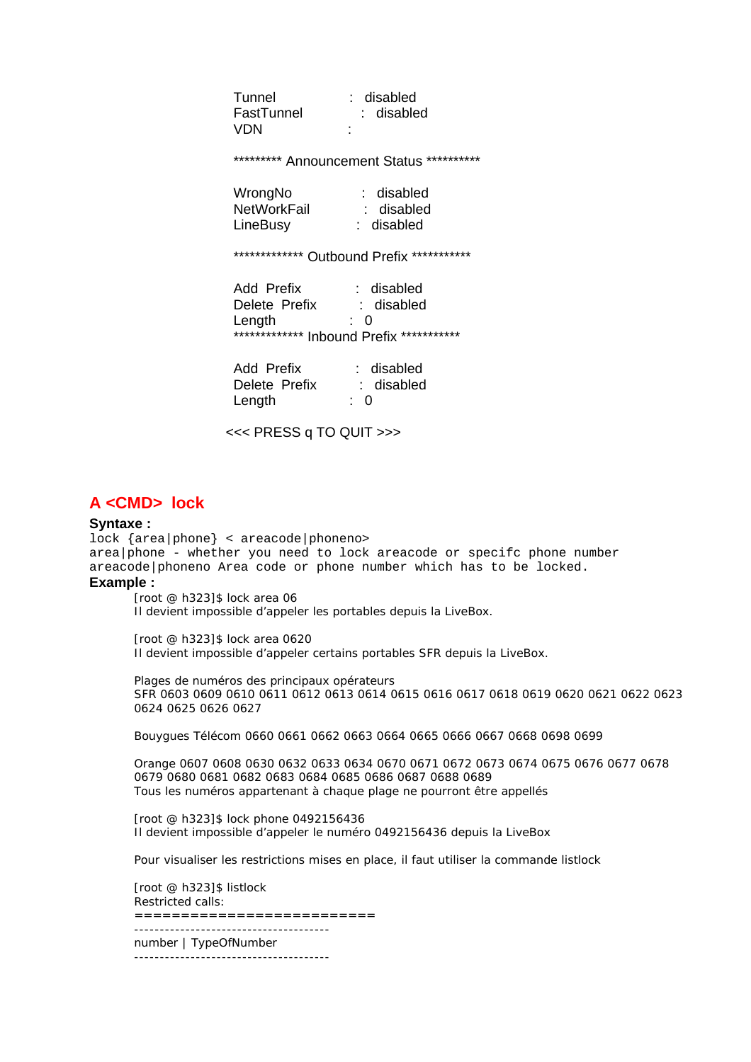Tunnel : disabled Tunnel : disabled<br>FastTunnel : disabled VDN :

\*\*\*\*\*\*\*\*\*\* Announcement Status \*\*\*\*\*\*\*\*\*\*\*

| WrongNo            | : disabled |
|--------------------|------------|
| <b>NetWorkFail</b> | : disabled |
| LineBusy           | : disabled |

\*\*\*\*\*\*\*\*\*\*\*\*\*\* Outbound Prefix \*\*\*\*\*\*\*\*\*\*\*\*

| Add Prefix    | : disabled                               |
|---------------|------------------------------------------|
| Delete Prefix | : disabled                               |
| Length        | ∙ ∩                                      |
|               | ************* Inbound Prefix *********** |

| Add Prefix    | : disabled     |
|---------------|----------------|
| Delete Prefix | : disabled     |
| Length        | $\therefore$ 0 |

<<< PRESS q TO QUIT >>>

### **A <CMD> lock**

#### **Syntaxe :**

lock {area|phone} < areacode|phoneno> area|phone - whether you need to lock areacode or specifc phone number areacode|phoneno Area code or phone number which has to be locked. **Example :** 

[root @ h323]\$ lock area 06 Il devient impossible d'appeler les portables depuis la LiveBox.

[root @ h323]\$ lock area 0620 Il devient impossible d'appeler certains portables SFR depuis la LiveBox.

Plages de numéros des principaux opérateurs SFR 0603 0609 0610 0611 0612 0613 0614 0615 0616 0617 0618 0619 0620 0621 0622 0623 0624 0625 0626 0627

Bouygues Télécom 0660 0661 0662 0663 0664 0665 0666 0667 0668 0698 0699

Orange 0607 0608 0630 0632 0633 0634 0670 0671 0672 0673 0674 0675 0676 0677 0678 0679 0680 0681 0682 0683 0684 0685 0686 0687 0688 0689 Tous les numéros appartenant à chaque plage ne pourront être appellés

[root @ h323]\$ lock phone 0492156436 Il devient impossible d'appeler le numéro 0492156436 depuis la LiveBox

Pour visualiser les restrictions mises en place, il faut utiliser la commande listlock

[root @ h323]\$ listlock Restricted calls: ========================== ------------------------------------- number | TypeOfNumber --------------------------------------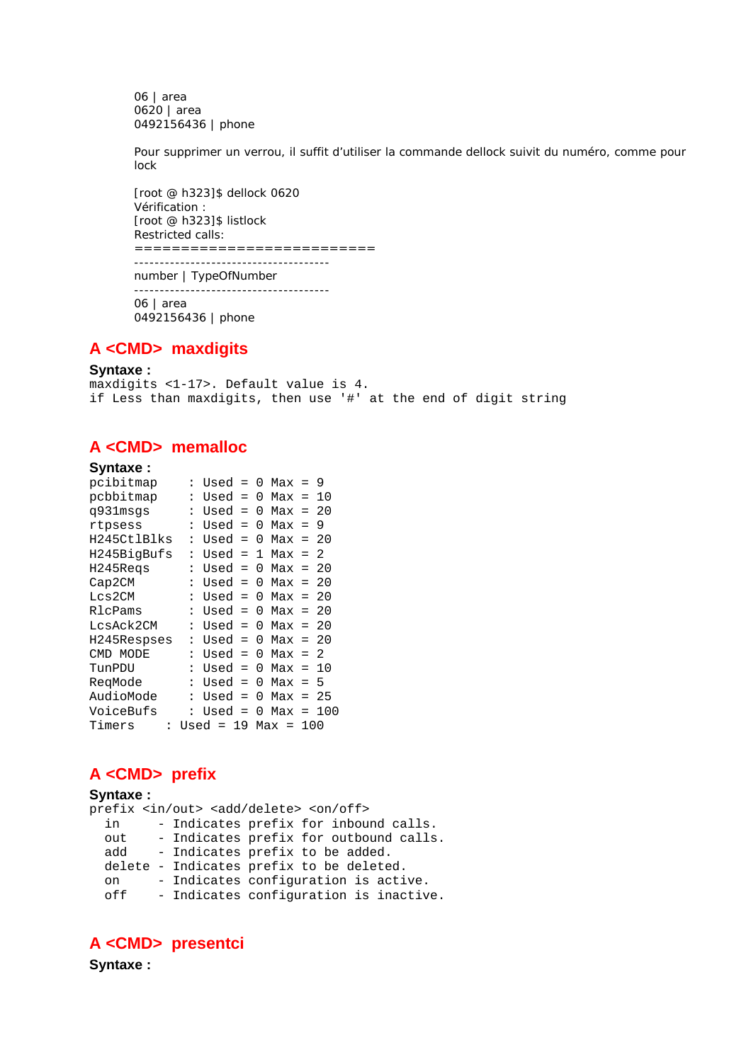06 | area 0620 | area 0492156436 | phone

Pour supprimer un verrou, il suffit d'utiliser la commande dellock suivit du numéro, comme pour lock

[root @ h323]\$ dellock 0620 Vérification : [root @ h323]\$ listlock Restricted calls: ==========================

------------------------------------- number | TypeOfNumber -------------------------------------- 06 | area 0492156436 | phone

## **A <CMD> maxdigits**

**Syntaxe :**

maxdigits <1-17>. Default value is 4. if Less than maxdigits, then use '#' at the end of digit string

## **A <CMD> memalloc**

**Syntaxe :**

| pcibitmap   |                      | Used        | $=$ | 0 | $Max =$     |       | - 9  |
|-------------|----------------------|-------------|-----|---|-------------|-------|------|
| pcbbitmap   |                      | Used        | $=$ | 0 | $Max =$     |       | 10   |
| q931msqs    |                      | Used        | $=$ | 0 | $Max = 20$  |       |      |
| rtpsess     | $\ddot{\cdot}$       | Used        | $=$ | 0 | $Max =$     |       | 9    |
| H245CtlBlks | $\ddot{\cdot}$       | Used        | $=$ | 0 | $Max = 20$  |       |      |
| H245BigBufs | ፡                    | Used        | $=$ | 1 | $Max =$     |       | - 2. |
| H245Regs    | $\ddot{\phantom{a}}$ | Used        | $=$ | 0 | $Max =$     |       | 20   |
| Cap2CM      |                      | Used        | $=$ | 0 | $Max =$     |       | -20  |
| Lcs2CM      | $\ddot{\cdot}$       | $Used =$    |     | O | $Max =$     |       | -20  |
| RlcPams     | $\ddot{\phantom{a}}$ | $Used =$    |     | O | $Max =$     |       | - 20 |
| LcsAck2CM   | $\ddot{\phantom{a}}$ | $Used =$    |     | 0 | $Max =$     |       | - 20 |
| H245Respses |                      | Used        | $=$ | 0 | $Max = 20$  |       |      |
| CMD MODE    |                      | $Used =$    |     | 0 | $Max = 2$   |       |      |
| TunPDU      |                      | $Used =$    |     | 0 | $Max = 10$  |       |      |
| RegMode     | $\ddot{\phantom{a}}$ | Used        | $=$ | 0 | Max         | $= 5$ |      |
| AudioMode   | $\ddot{\cdot}$       | Used        | $=$ | 0 | Max         | $=$   | -25  |
| VoiceBufs   |                      | Used        | $=$ | 0 | Max         | $=$   | 100  |
| Timers      |                      | $Used = 19$ |     |   | $Max = 100$ |       |      |

# **A <CMD> prefix**

**Syntaxe :**

|     |  | prefix <in out=""> <add delete=""> <on off=""></on></add></in> |  |  |  |
|-----|--|----------------------------------------------------------------|--|--|--|
| in  |  | - Indicates prefix for inbound calls.                          |  |  |  |
| out |  | - Indicates prefix for outbound calls.                         |  |  |  |
| add |  | - Indicates prefix to be added.                                |  |  |  |
|     |  | delete - Indicates prefix to be deleted.                       |  |  |  |
| on  |  | - Indicates configuration is active.                           |  |  |  |
| off |  | - Indicates configuration is inactive.                         |  |  |  |

# **A <CMD> presentci**

**Syntaxe :**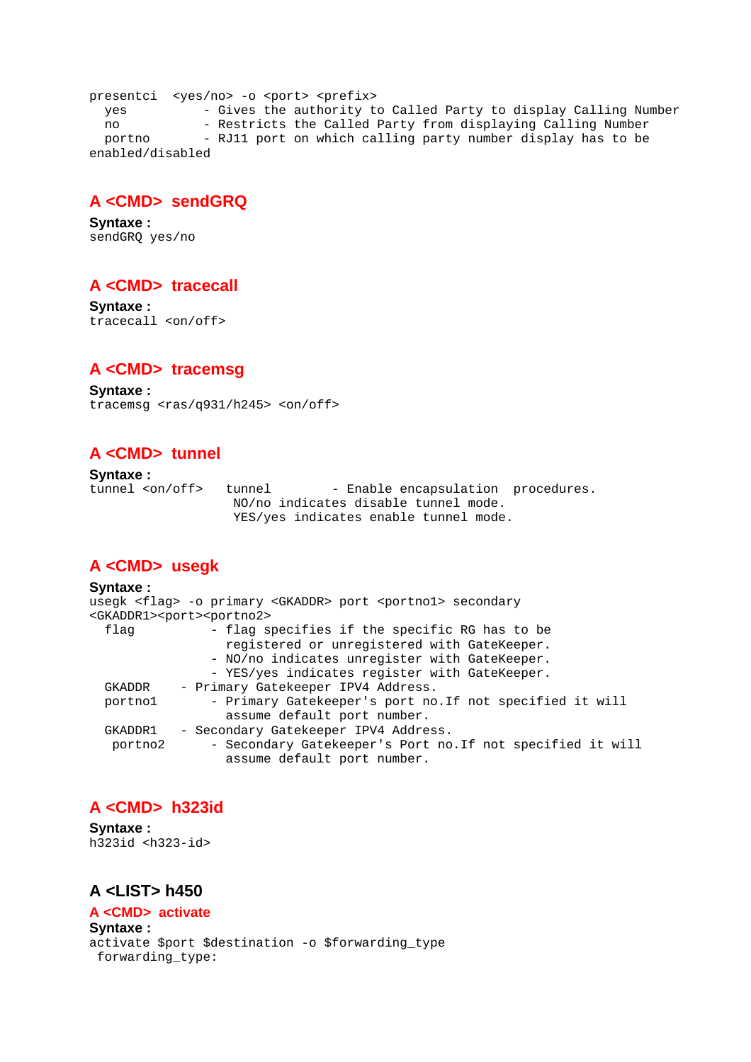presentci <yes/no> -o <port> <prefix> yes - Gives the authority to Called Party to display Calling Number no - Restricts the Called Party from displaying Calling Number portno - RJ11 port on which calling party number display has to be enabled/disabled

## **A <CMD> sendGRQ**

**Syntaxe :** sendGRQ yes/no

# **A <CMD> tracecall**

**Syntaxe :** tracecall <on/off>

### **A <CMD> tracemsg**

**Syntaxe :** tracemsg <ras/q931/h245> <on/off>

# **A <CMD> tunnel**

**Syntaxe :**<br>tunnel <on/off> tunnel - Enable encapsulation procedures. NO/no indicates disable tunnel mode. YES/yes indicates enable tunnel mode.

# **A <CMD> usegk**

**Syntaxe :** usegk <flag> -o primary <GKADDR> port <portno1> secondary <GKADDR1><port><portno2> flag - flag specifies if the specific RG has to be registered or unregistered with GateKeeper. - NO/no indicates unregister with GateKeeper. - YES/yes indicates register with GateKeeper.<br>GKADDR - Primary GateKeeper IPV4 Address. - Primary Gatekeeper IPV4 Address. portno1 - Primary Gatekeeper's port no.If not specified it will assume default port number. GKADDR1 - Secondary Gatekeeper IPV4 Address. portno2 - Secondary Gatekeeper's Port no.If not specified it will assume default port number.

# **A <CMD> h323id**

**Syntaxe :** h323id <h323-id>

# **A <LIST> h450**

**A <CMD> activate Syntaxe :** activate \$port \$destination -o \$forwarding\_type forwarding\_type: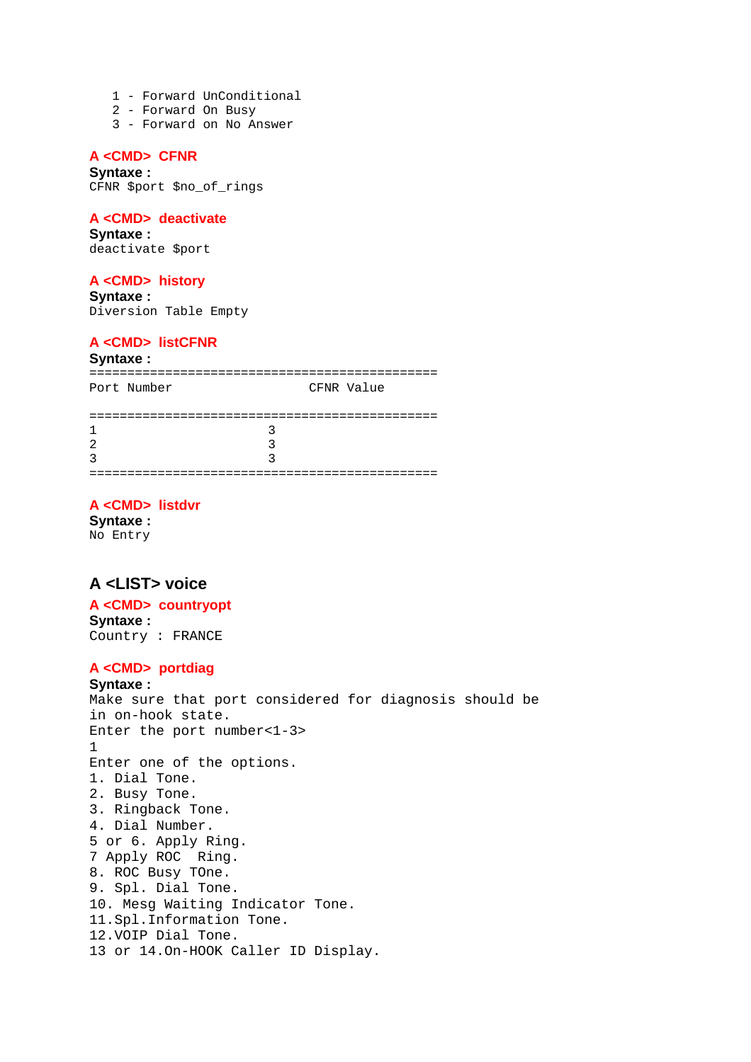- 1 Forward UnConditional
- 2 Forward On Busy
- 3 Forward on No Answer

### **A <CMD> CFNR**

**Syntaxe :** CFNR \$port \$no\_of\_rings

#### **A <CMD> deactivate**

**Syntaxe :** deactivate \$port

#### **A <CMD> history**

**Syntaxe :** Diversion Table Empty

#### **A <CMD> listCFNR**

#### **Syntaxe :**

============================================== Port Number CFNR Value

| ---------------- |  |
|------------------|--|
| $\mathbf{1}$     |  |
| $\overline{2}$   |  |
| 3                |  |
|                  |  |

#### **A <CMD> listdvr**

**Syntaxe :** No Entry

### **A <LIST> voice**

#### **A <CMD> countryopt Syntaxe :**

Country : FRANCE

#### **A <CMD> portdiag**

#### **Syntaxe :**

Make sure that port considered for diagnosis should be in on-hook state. Enter the port number<1-3> 1 Enter one of the options. 1. Dial Tone. 2. Busy Tone. 3. Ringback Tone. 4. Dial Number. 5 or 6. Apply Ring. 7 Apply ROC Ring. 8. ROC Busy TOne. 9. Spl. Dial Tone. 10. Mesg Waiting Indicator Tone. 11.Spl.Information Tone. 12.VOIP Dial Tone. 13 or 14.On-HOOK Caller ID Display.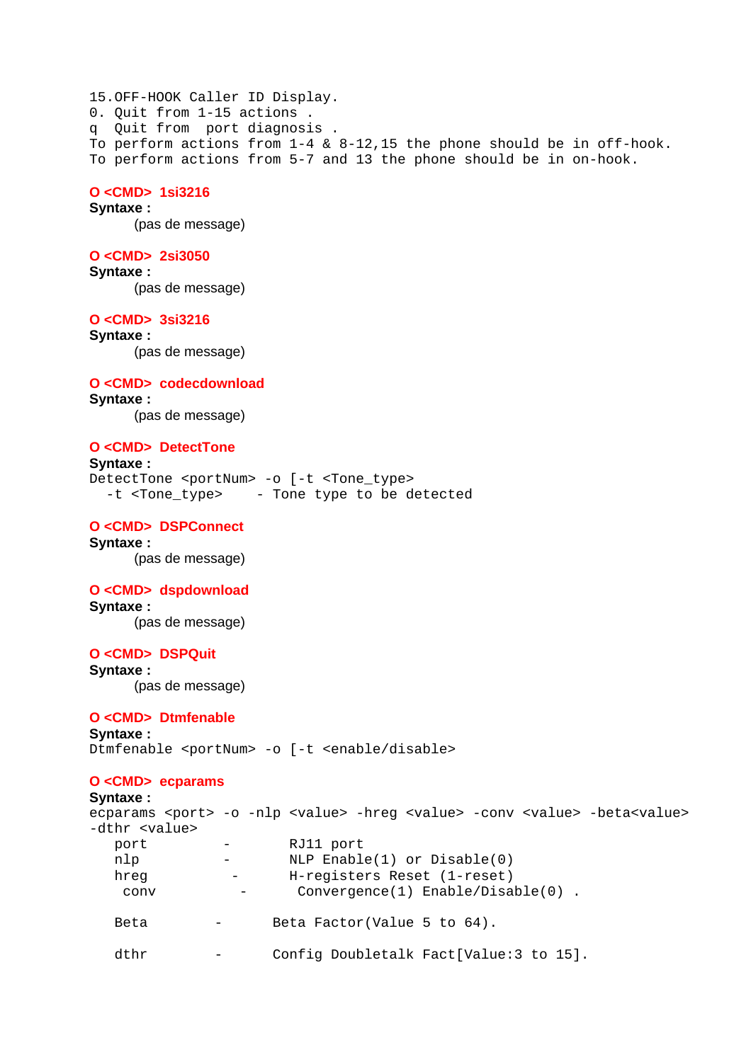15.OFF-HOOK Caller ID Display. 0. Quit from 1-15 actions . q Quit from port diagnosis . To perform actions from 1-4 & 8-12,15 the phone should be in off-hook. To perform actions from 5-7 and 13 the phone should be in on-hook.

#### **O <CMD> 1si3216**

**Syntaxe :** (pas de message)

#### **O <CMD> 2si3050**

**Syntaxe :** (pas de message)

#### **O <CMD> 3si3216**

**Syntaxe :** (pas de message)

#### **O <CMD> codecdownload**

**Syntaxe :**

(pas de message)

#### **O <CMD> DetectTone**

#### **Syntaxe :**

DetectTone <portNum> -o [-t <Tone\_type> -t <Tone type> - Tone type to be detected

#### **O <CMD> DSPConnect**

**Syntaxe :** (pas de message)

#### **O <CMD> dspdownload**

**Syntaxe :** (pas de message)

#### **O <CMD> DSPQuit**

**Syntaxe :** (pas de message)

#### **O <CMD> Dtmfenable**

**Syntaxe :** Dtmfenable <portNum> -o [-t <enable/disable>

#### **O <CMD> ecparams**

```
Syntaxe :
ecparams <port> -o -nlp <value> -hreg <value> -conv <value> -beta<value>
-dthr <value> 
   port - RJ11 port 
  nlp - NLP Enable(1) or Disable(0)
  hreg - H-registers Reset (1-reset)
    conv - Convergence(1) Enable/Disable(0) . 
  Beta - Beta Factor(Value 5 to 64).
   dthr - Config Doubletalk Fact[Value:3 to 15].
```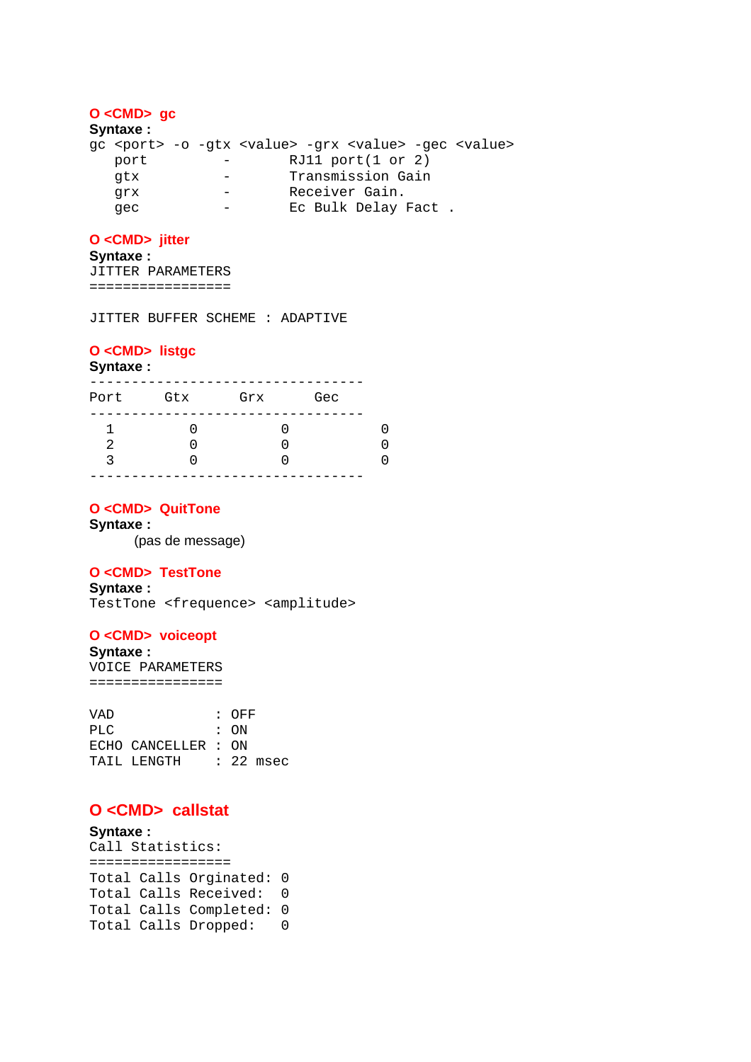## **O <CMD> gc**

**Syntaxe :**

gc <port> -o -gtx <value> -grx <value> -gec <value> port - RJ11 port(1 or 2)<br>
atx - Transmission Gain gtx - Transmission Gain grx - Receiver Gain. gec - Ec Bulk Delay Fact.

### **O <CMD> jitter**

**Syntaxe :**

JITTER PARAMETERS =================

JITTER BUFFER SCHEME : ADAPTIVE

#### **O <CMD> listgc**

#### **Syntaxe :**

| Port    | Gtx | Grx | Gec |  |
|---------|-----|-----|-----|--|
| 2<br>્ર |     |     |     |  |

#### **O <CMD> QuitTone**

**Syntaxe :**

(pas de message)

#### **O <CMD> TestTone**

**Syntaxe :**

TestTone <frequence> <amplitude>

#### **O <CMD> voiceopt**

**Syntaxe :** VOICE PARAMETERS ================

| TAIL LENGTH |  |                             |                        |
|-------------|--|-----------------------------|------------------------|
|             |  | : ON<br>ECHO CANCELLER : ON | $:$ OFF<br>$: 22$ msec |

## **O <CMD> callstat**

```
Syntaxe :
Call Statistics: 
================= 
Total Calls Orginated: 0 
Total Calls Received: 0 
Total Calls Completed: 0 
Total Calls Dropped: 0
```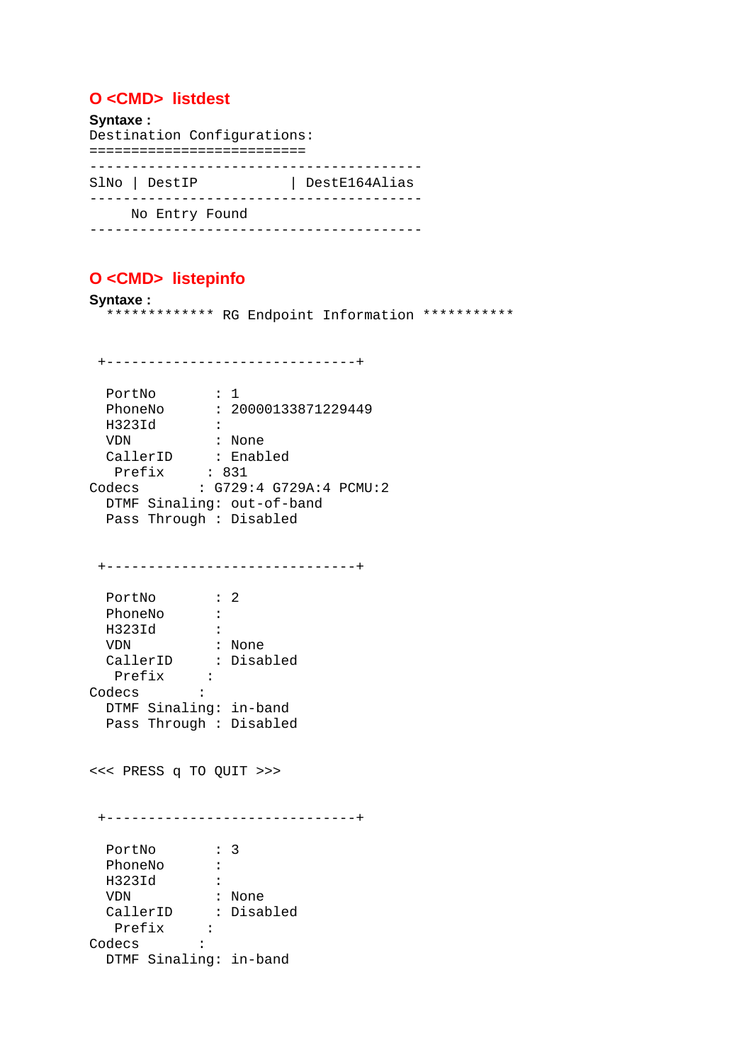# **O <CMD> listdest**

**Syntaxe :** Destination Configurations: ========================== ---------------------------------------- SlNo | DestIP | DestE164Alias ---------------------------------------- No Entry Found ----------------------------------------

# **O <CMD> listepinfo**

**Syntaxe :** \*\*\*\*\*\*\*\*\*\*\*\*\* RG Endpoint Information \*\*\*\*\*\*\*\*\*\*\*

PortNo : 1 PhoneNo : 20000133871229449 H323Id : VDN : None CallerID : Enabled Prefix : 831 Codecs : G729:4 G729A:4 PCMU:2 DTMF Sinaling: out-of-band Pass Through : Disabled +------------------------------+ PortNo : 2 PhoneNo :<br>H323Id : H323Id :<br>WDN : None VDN : None CallerID : Disabled Prefix : Codecs : DTMF Sinaling: in-band Pass Through : Disabled <<< PRESS q TO QUIT >>> +------------------------------+ PortNo : 3 PhoneNo : H323Id :

+------------------------------+

```
 VDN : None 
 CallerID : Disabled 
 Prefix : 
Prefix<br>Prefix<br>Codecs :
  DTMF Sinaling: in-band
```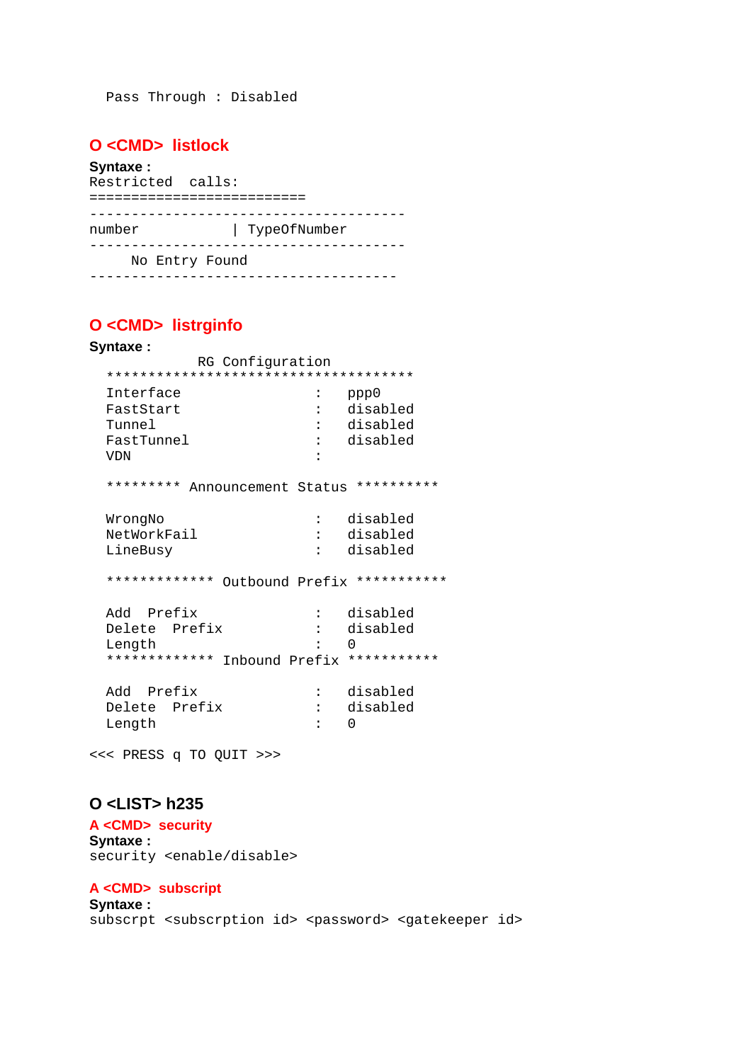Pass Through : Disabled

# **O <CMD> listlock**

#### **Syntaxe :**

Restricted calls: ========================== ------------------------------------- number | TypeOfNumber -------------------------------------- No Entry Found -------------------------------------

# **O <CMD> listrginfo Syntaxe :** RG Configuration \*\*\*\*\*\*\*\*\*\*\*\*\*\*\*\*\*\*\*\*\*\*\*\*\*\*\*\*\*\*\*\*\*\*\*\*\* Interface  $\begin{array}{ccc} \text{I} & \text{I} & \text{I} & \text{I} \\ \text{F} & \text{I} & \text{I} & \text{I} \\ \text{I} & \text{I} & \text{I} & \text{I} \end{array}$ FastStart Tunnel : disabled FastTunnel : disabled VDN : \*\*\*\*\*\*\*\*\* Announcement Status \*\*\*\*\*\*\*\*\*\* WrongNo : disabled NetWorkFail : disabled LineBusy : disabled \*\*\*\*\*\*\*\*\*\*\*\*\* Outbound Prefix \*\*\*\*\*\*\*\*\*\*\* Add Prefix : disabled Delete Prefix : disabled Length : 0 \*\*\*\*\*\*\*\*\*\*\*\*\* Inbound Prefix \*\*\*\*\*\*\*\*\*\*\*

Add Prefix : disabled<br>Delete Prefix : disabled Delete Prefix Length : 0

<<< PRESS q TO QUIT >>>

## **O <LIST> h235**

**A <CMD> security Syntaxe :** security <enable/disable>

# **A <CMD> subscript**

**Syntaxe :** subscrpt <subscrption id> <password> <gatekeeper id>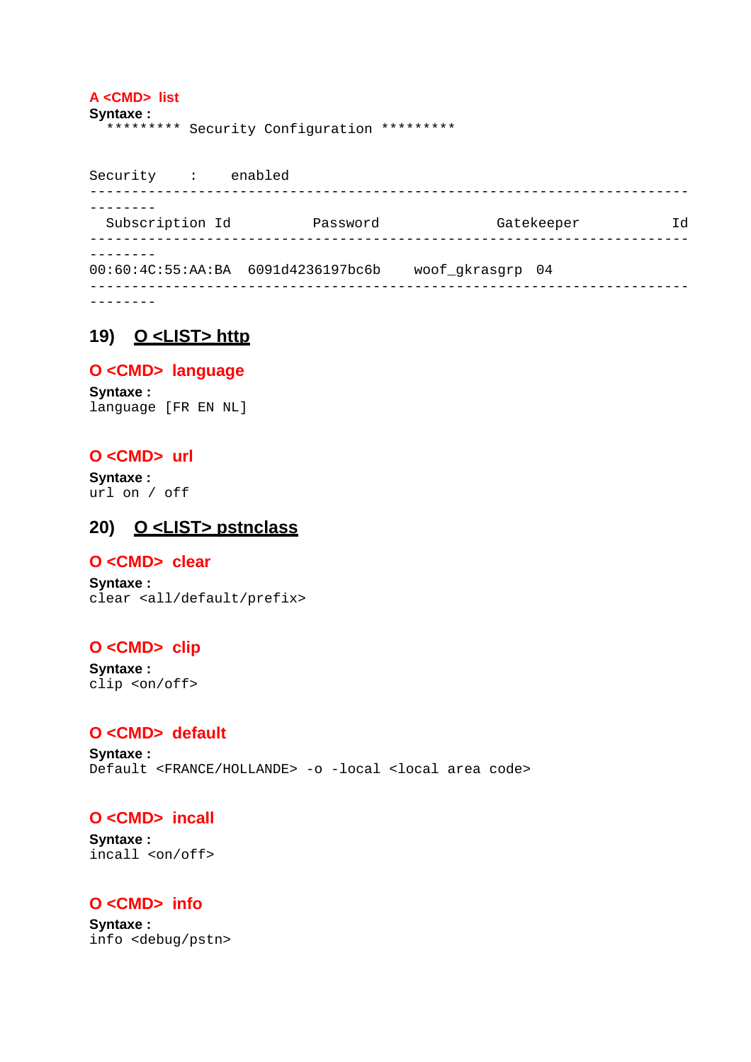#### **A <CMD> list**

```
Syntaxe :
   ********* Security Configuration *********
```
Security : enabled ------------------------------------------------------------------------ -------- Subscription Id Password Gatekeeper Id ------------------------------------------------------------------------ -------- 00:60:4C:55:AA:BA 6091d4236197bc6b woof\_gkrasgrp 04 ------------------------------------------------------------------------

--------

# **19) O <LIST> http**

### **O <CMD> language**

**Syntaxe :** language [FR EN NL]

## **O <CMD> url**

**Syntaxe :**  url on / off

# **20) O <LIST> pstnclass**

### **O <CMD> clear**

**Syntaxe :** clear <all/default/prefix>

# **O <CMD> clip**

**Syntaxe :** clip <on/off>

# **O <CMD> default**

**Syntaxe :** Default <FRANCE/HOLLANDE> -o -local <local area code>

# **O <CMD> incall**

**Syntaxe :** incall <on/off>

# **O <CMD> info**

**Syntaxe :** info <debug/pstn>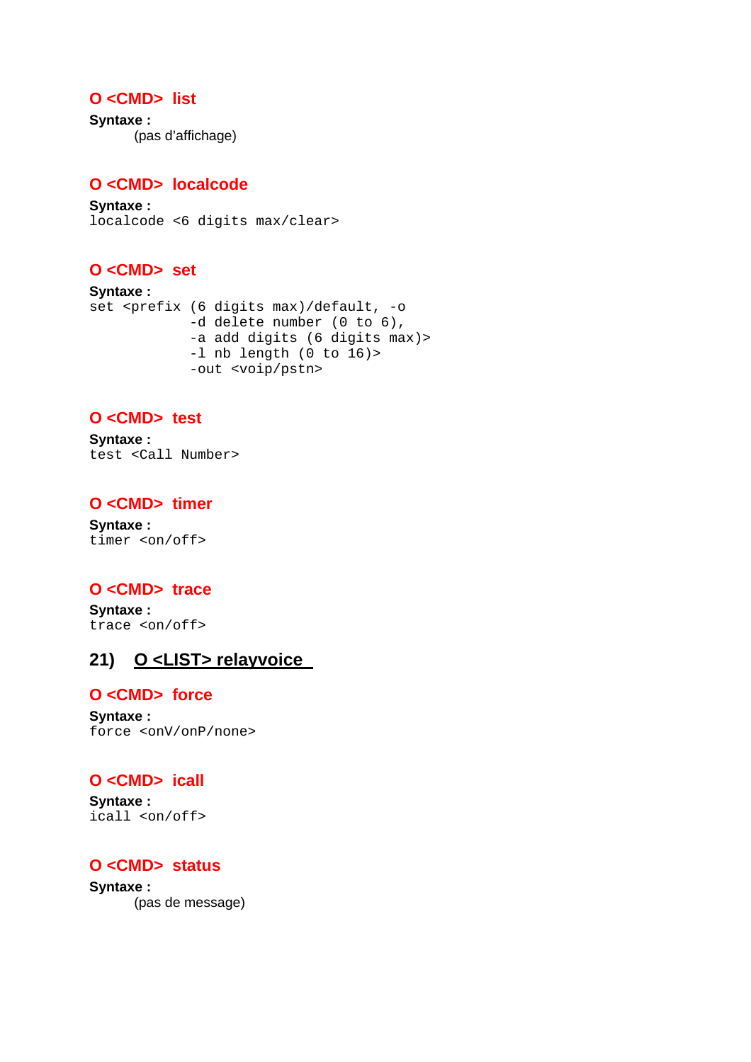# **O <CMD> list**

**Syntaxe :** (pas d'affichage)

# **O <CMD> localcode**

**Syntaxe :** localcode <6 digits max/clear>

# **O <CMD> set**

```
Syntaxe :
set <prefix (6 digits max)/default, -o 
              -d delete number (0 to 6), 
              -a add digits (6 digits max)> 
              -l nb length (0 to 16)> 
              -out <voip/pstn>
```
# **O <CMD> test**

**Syntaxe :** test <Call Number>

## **O <CMD> timer**

**Syntaxe :** timer <on/off>

# **O <CMD> trace**

**Syntaxe :** trace <on/off>

# **21) O <LIST> relayvoice**

### **O <CMD> force**

**Syntaxe :** force <onV/onP/none>

# **O <CMD> icall**

**Syntaxe :** icall <on/off>

# **O <CMD> status**

**Syntaxe :** (pas de message)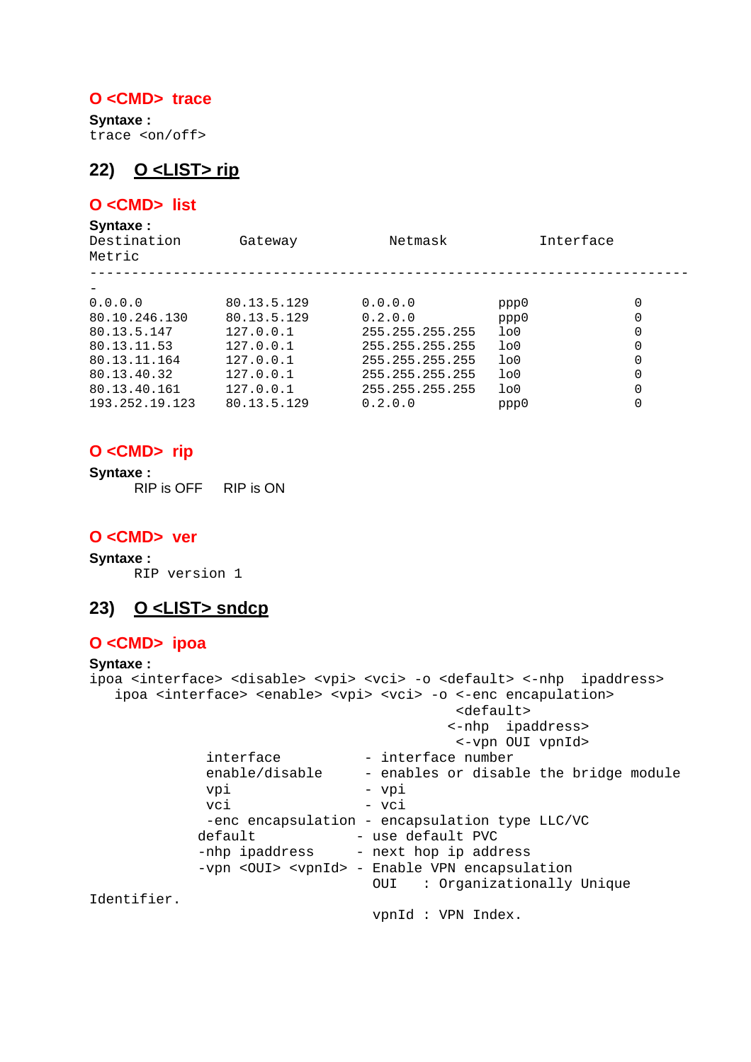### **O <CMD> trace**

**Syntaxe :** trace <on/off>

# **22) O <LIST> rip**

# **O <CMD> list**

**Syntaxe :**

| Destination<br>Metric | Gateway     | Netmask         |                | Interface |  |
|-----------------------|-------------|-----------------|----------------|-----------|--|
|                       |             |                 |                |           |  |
| 0.0.0.0               | 80.13.5.129 | 0.0.0.0         | ppp0           | 0         |  |
| 80.10.246.130         | 80.13.5.129 | 0.2.0.0         | ppp0           | 0         |  |
| 80.13.5.147           | 127.0.0.1   | 255.255.255.255 | 1 <sub>0</sub> | 0         |  |
| 80.13.11.53           | 127.0.0.1   | 255.255.255.255 | 1 <sub>0</sub> | 0         |  |
| 80.13.11.164          | 127.0.0.1   | 255.255.255.255 | 1 <sub>0</sub> | 0         |  |
| 80.13.40.32           | 127.0.0.1   | 255.255.255.255 | 1 <sub>0</sub> | 0         |  |
| 80.13.40.161          | 127.0.0.1   | 255.255.255.255 | 1 <sub>0</sub> | 0         |  |
| 193.252.19.123        | 80.13.5.129 | 0.2.0.0         | ppp0           |           |  |

### **O <CMD> rip**

**Syntaxe :** RIP is OFF RIP is ON

## **O <CMD> ver**

**Syntaxe :** RIP version 1

# **23) O <LIST> sndcp**

### **O <CMD> ipoa**

#### **Syntaxe :**

```
ipoa <interface> <disable> <vpi> <vci> -o <default> <-nhp ipaddress>
  ipoa <interface> <enable> <vpi> <vci> -o <-enc encapulation>
                                         <default> 
                                        <-nhp ipaddress> 
                                         <-vpn OUI vpnId> 
            interface - interface number
             enable/disable - enables or disable the bridge module 
            vpi - vpi
            vci – vci
            -enc encapsulation - encapsulation type LLC/VC
           default - use default PVC
           -nhp ipaddress - next hop ip address
           -vpn <OUI> <vpnId> - Enable VPN encapsulation
                                OUI : Organizationally Unique 
Identifier. 
                                vpnId : VPN Index.
```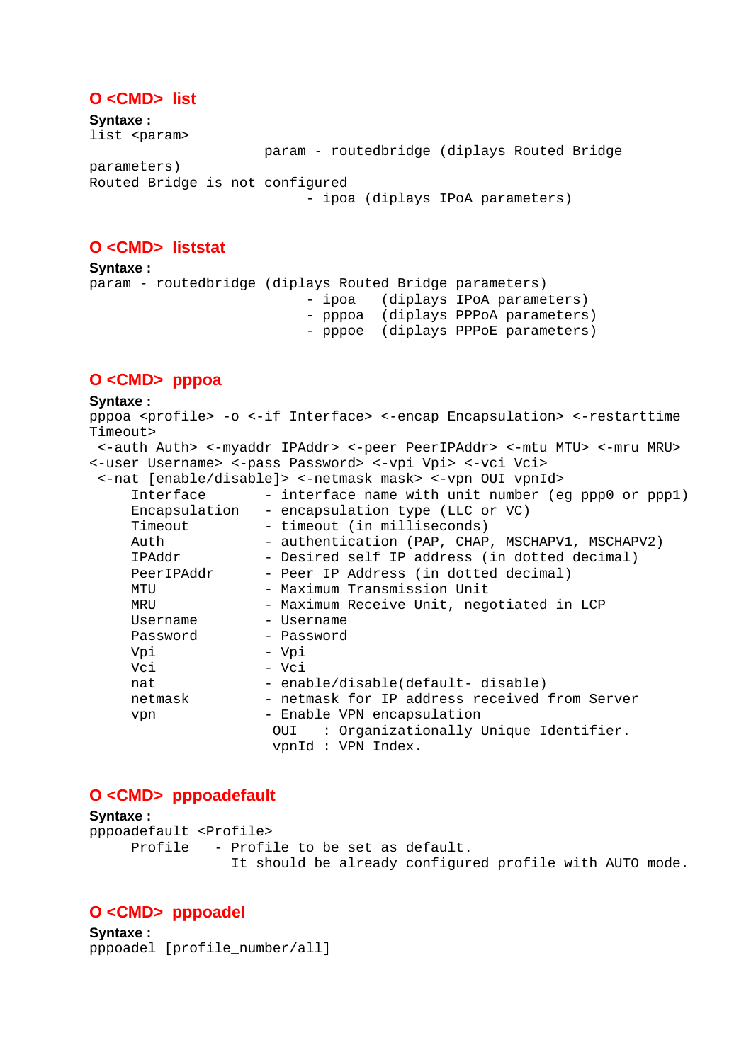### **O <CMD> list**

**Syntaxe :** list <param> param - routedbridge (diplays Routed Bridge parameters) Routed Bridge is not configured - ipoa (diplays IPoA parameters)

### **O <CMD> liststat**

**Syntaxe :** param - routedbridge (diplays Routed Bridge parameters) - ipoa (diplays IPoA parameters) - pppoa (diplays PPPoA parameters) - pppoe (diplays PPPoE parameters)

### **O <CMD> pppoa**

#### **Syntaxe :**

pppoa <profile> -o <-if Interface> <-encap Encapsulation> <-restarttime Timeout> <-auth Auth> <-myaddr IPAddr> <-peer PeerIPAddr> <-mtu MTU> <-mru MRU> <-user Username> <-pass Password> <-vpi Vpi> <-vci Vci> <-nat [enable/disable]> <-netmask mask> <-vpn OUI vpnId> Interface - interface name with unit number (eg ppp0 or ppp1) Encapsulation - encapsulation type (LLC or VC) Timeout - timeout (in milliseconds) Auth - authentication (PAP, CHAP, MSCHAPV1, MSCHAPV2) IPAddr - Desired self IP address (in dotted decimal)<br>PeerIPAddr - Peer IP Address (in dotted decimal) - Peer IP Address (in dotted decimal) MTU - Maximum Transmission Unit MRU - Maximum Receive Unit, negotiated in LCP Username - Username Password - Password Vpi - Vpi Vci - Vci nat - enable/disable(default- disable) netmask - netmask for IP address received from Server vpn - Enable VPN encapsulation OUI : Organizationally Unique Identifier. vpnId : VPN Index.

### **O <CMD> pppoadefault**

**Syntaxe :** pppoadefault <Profile> Profile - Profile to be set as default. It should be already configured profile with AUTO mode.

### **O <CMD> pppoadel**

**Syntaxe :** pppoadel [profile\_number/all]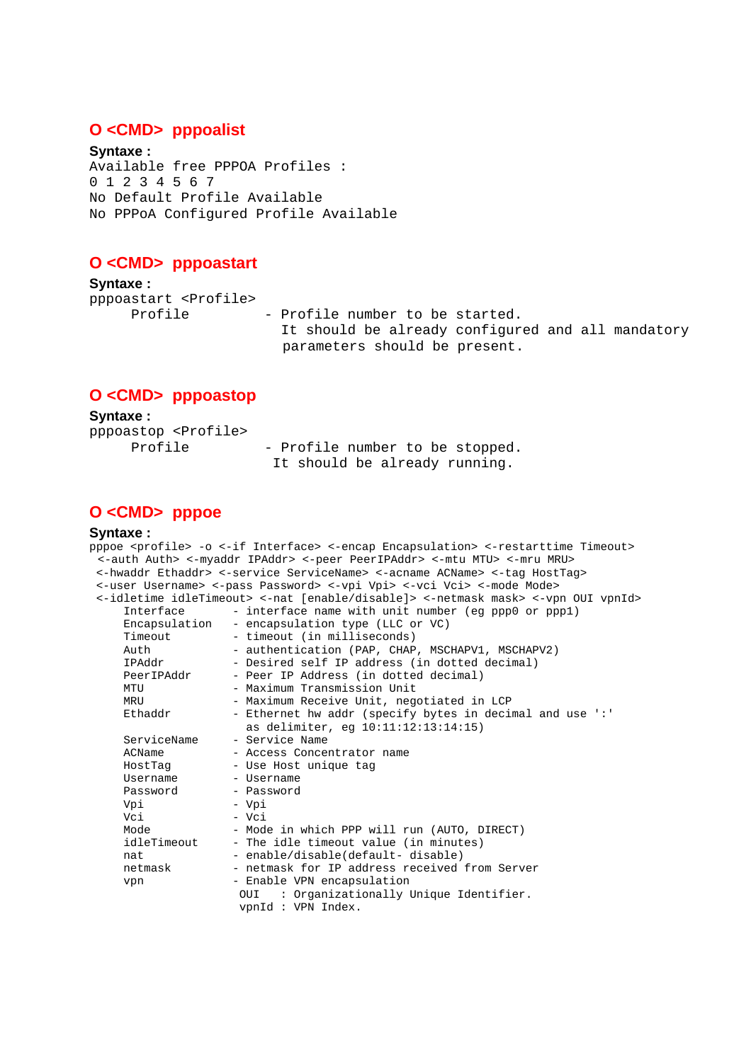#### **O <CMD> pppoalist**

**Syntaxe :** Available free PPPOA Profiles : 0 1 2 3 4 5 6 7 No Default Profile Available No PPPoA Configured Profile Available

#### **O <CMD> pppoastart**

**Syntaxe :** pppoastart <Profile>

Profile - Profile number to be started. It should be already configured and all mandatory parameters should be present.

### **O <CMD> pppoastop**

**Syntaxe :**  pppoastop <Profile> Profile - Profile number to be stopped. It should be already running.

# **O <CMD> pppoe**

#### **Syntaxe :**

```
pppoe <profile> -o <-if Interface> <-encap Encapsulation> <-restarttime Timeout> 
 <-auth Auth> <-myaddr IPAddr> <-peer PeerIPAddr> <-mtu MTU> <-mru MRU> 
  <-hwaddr Ethaddr> <-service ServiceName> <-acname ACName> <-tag HostTag> 
  <-user Username> <-pass Password> <-vpi Vpi> <-vci Vci> <-mode Mode> 
  <-idletime idleTimeout> <-nat [enable/disable]> <-netmask mask> <-vpn OUI vpnId> 
      Interface - interface name with unit number (eg ppp0 or ppp1) 
      Encapsulation - encapsulation type (LLC or VC) 
                     - timeout (in milliseconds)
     Auth - authentication (PAP, CHAP, MSCHAPV1, MSCHAPV2)<br>IPAddr - Desired self IP address (in dotted decimal)
                     - Desired self IP address (in dotted decimal)
     PeerIPAddr - Peer IP Address (in dotted decimal)
     MTU - Maximum Transmission Unit<br>MRII - Maximum Receive Unit neg
                      - Maximum Receive Unit, negotiated in LCP
     Ethaddr - Ethernet hw addr (specify bytes in decimal and use ':'
     as delimiter, eg 10:11:12:13:14:15)<br>ServiceName - Service Name
                     - Service Name
     ACName - Access Concentrator name<br>HostTag - Use Host unique tag
     HostTag - Use Host unique tag<br>Username - Username
                       Username - Username 
     Password - Password
      Vpi - Vpi 
     Vci - Vci<br>Mode - Mod
                     - Mode in which PPP will run (AUTO, DIRECT)
     idleTimeout - The idle timeout value (in minutes)
     nat - enable/disable(default- disable)
      netmask - netmask for IP address received from Server 
     vpn - Enable VPN encapsulation
                       OUI : Organizationally Unique Identifier. 
                        vpnId : VPN Index.
```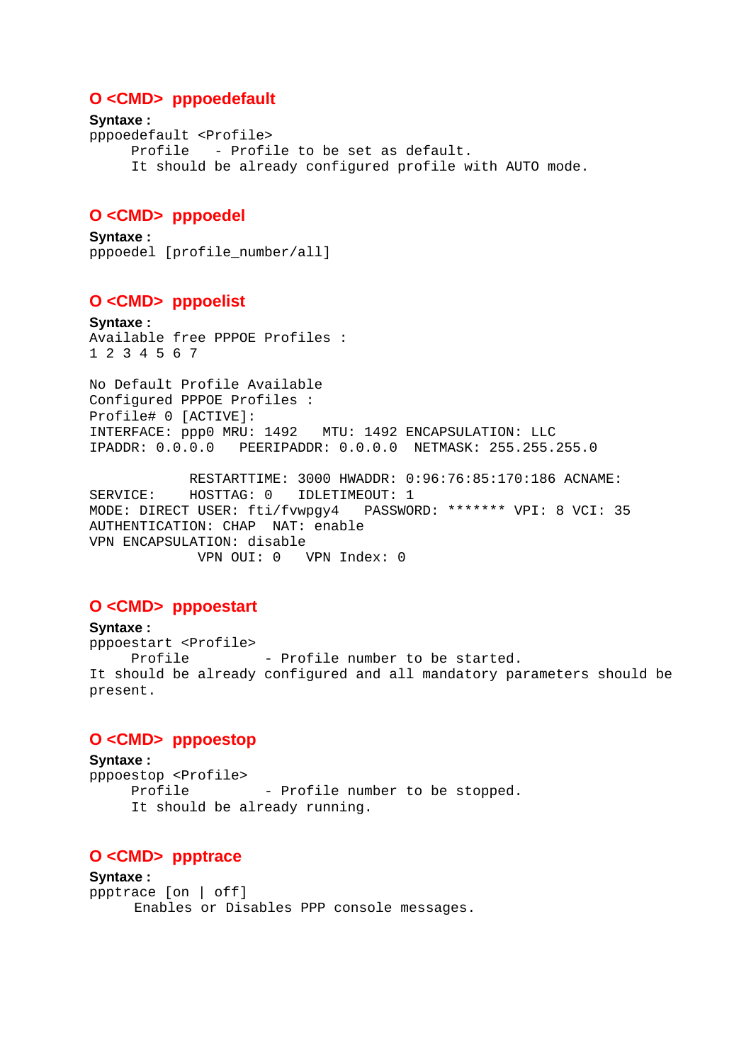### **O <CMD> pppoedefault**

```
Syntaxe : 
pppoedefault <Profile> 
      Profile - Profile to be set as default. 
      It should be already configured profile with AUTO mode.
```
### **O <CMD> pppoedel**

**Syntaxe :** pppoedel [profile\_number/all]

### **O <CMD> pppoelist**

**Syntaxe :** Available free PPPOE Profiles : 1 2 3 4 5 6 7

No Default Profile Available Configured PPPOE Profiles : Profile# 0 [ACTIVE]: INTERFACE: ppp0 MRU: 1492 MTU: 1492 ENCAPSULATION: LLC IPADDR: 0.0.0.0 PEERIPADDR: 0.0.0.0 NETMASK: 255.255.255.0

 RESTARTTIME: 3000 HWADDR: 0:96:76:85:170:186 ACNAME: SERVICE: HOSTTAG: 0 IDLETIMEOUT: 1<br>MODE: DIRECT USER: fti/fvwpqy4 PASSWORD: \*\*\*\*\*\*\* VPI: 8 VCI: 35 MODE: DIRECT USER: fti/fvwpgy4 AUTHENTICATION: CHAP NAT: enable VPN ENCAPSULATION: disable VPN OUI: 0 VPN Index: 0

# **O <CMD> pppoestart**

**Syntaxe :**  pppoestart <Profile> Profile - Profile number to be started. It should be already configured and all mandatory parameters should be present.

### **O <CMD> pppoestop**

**Syntaxe :**  pppoestop <Profile> Profile - Profile number to be stopped. It should be already running.

### **O <CMD> ppptrace**

**Syntaxe :**  ppptrace [on | off] Enables or Disables PPP console messages.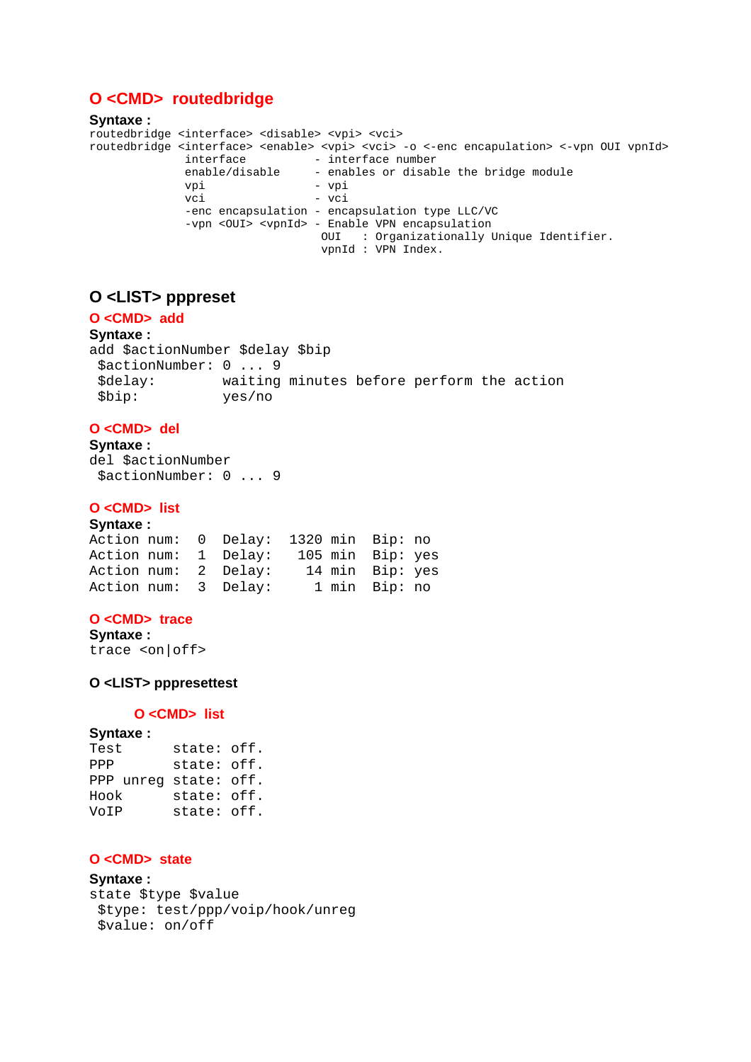# **O <CMD> routedbridge**

```
Syntaxe :
routedbridge <interface> <disable> <vpi> <vci> 
routedbridge <interface> <enable> <vpi> <vci> -o <-enc encapulation> <-vpn OUI vpnId><br>interface - interface number
                interface - interface number<br>enable/disable - enables or disab
                 enable/disable - enables or disable the bridge module 
                vpi - vpi<br>vci - vci
                                        vci - vci 
                 -enc encapsulation - encapsulation type LLC/VC 
                 -vpn <OUI> <vpnId> - Enable VPN encapsulation 
                                       OUI : Organizationally Unique Identifier. 
                                        vpnId : VPN Index.
```
# **O <LIST> pppreset**

### **O <CMD> add**

**Syntaxe :**  add \$actionNumber \$delay \$bip \$actionNumber: 0 ... 9 \$delay: waiting minutes before perform the action \$bip: yes/no

#### **O <CMD> del**

**Syntaxe :**  del \$actionNumber \$actionNumber: 0 ... 9

#### **O <CMD> list**

| Syntaxe:             |  |                                       |  |                  |  |
|----------------------|--|---------------------------------------|--|------------------|--|
|                      |  | Action num: 0 Delay: 1320 min Bip: no |  |                  |  |
| Action num: 1 Delay: |  |                                       |  | 105 min Bip: yes |  |
| Action num: 2 Delay: |  |                                       |  | 14 min Bip: yes  |  |
| Action num: 3 Delay: |  |                                       |  | 1 min Bip: no    |  |

#### **O <CMD> trace**

```
Syntaxe :
```

```
trace <on|off>
```
#### **O <LIST> pppresettest**

#### **O <CMD> list**

#### **Syntaxe :**

| Test                  | state: off. |  |
|-----------------------|-------------|--|
| PPP                   | state: off. |  |
| PPP unreg state: off. |             |  |
| Hook                  | state: off. |  |
| VoIP                  | state: off. |  |

#### **O <CMD> state**

#### **Syntaxe :**

```
state $type $value 
  $type: test/ppp/voip/hook/unreg 
 $value: on/off
```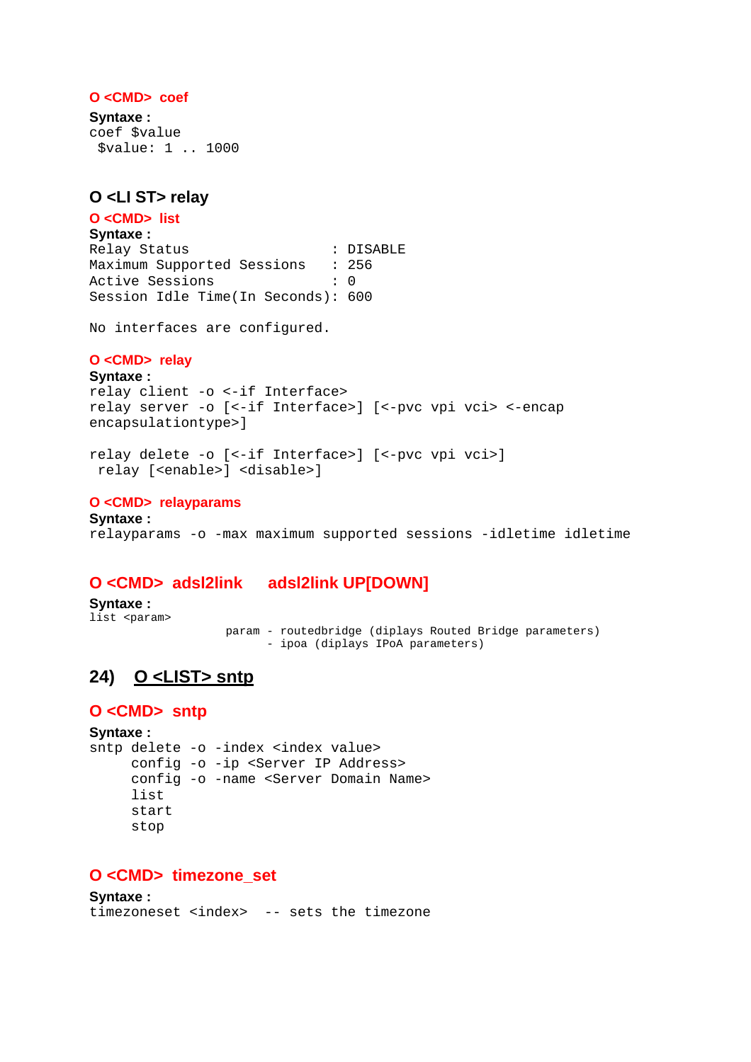#### **O <CMD> coef**

**Syntaxe :**  coef \$value \$value: 1 .. 1000

## **O <LI ST> relay**

**O <CMD> list Syntaxe :** Relay Status : DISABLE Maximum Supported Sessions : 256 Active Sessions : 0 Session Idle Time(In Seconds): 600

No interfaces are configured.

#### **O <CMD> relay**

**Syntaxe :** relay client -o <-if Interface> relay server -o [<-if Interface>] [<-pvc vpi vci> <-encap encapsulationtype>]

```
relay delete -o [<-if Interface>] [<-pvc vpi vci>] 
  relay [<enable>] <disable>]
```
#### **O <CMD> relayparams**

**Syntaxe :** relayparams -o -max maximum supported sessions -idletime idletime

### **O <CMD> adsl2link adsl2link UP[DOWN]**

**Syntaxe :** list <param>

 param - routedbridge (diplays Routed Bridge parameters) - ipoa (diplays IPoA parameters)

# **24) O <LIST> sntp**

#### **O <CMD> sntp**

**Syntaxe :** sntp delete -o -index <index value> config -o -ip <Server IP Address> config -o -name <Server Domain Name> list start stop

### **O <CMD> timezone\_set**

**Syntaxe :** timezoneset <index> -- sets the timezone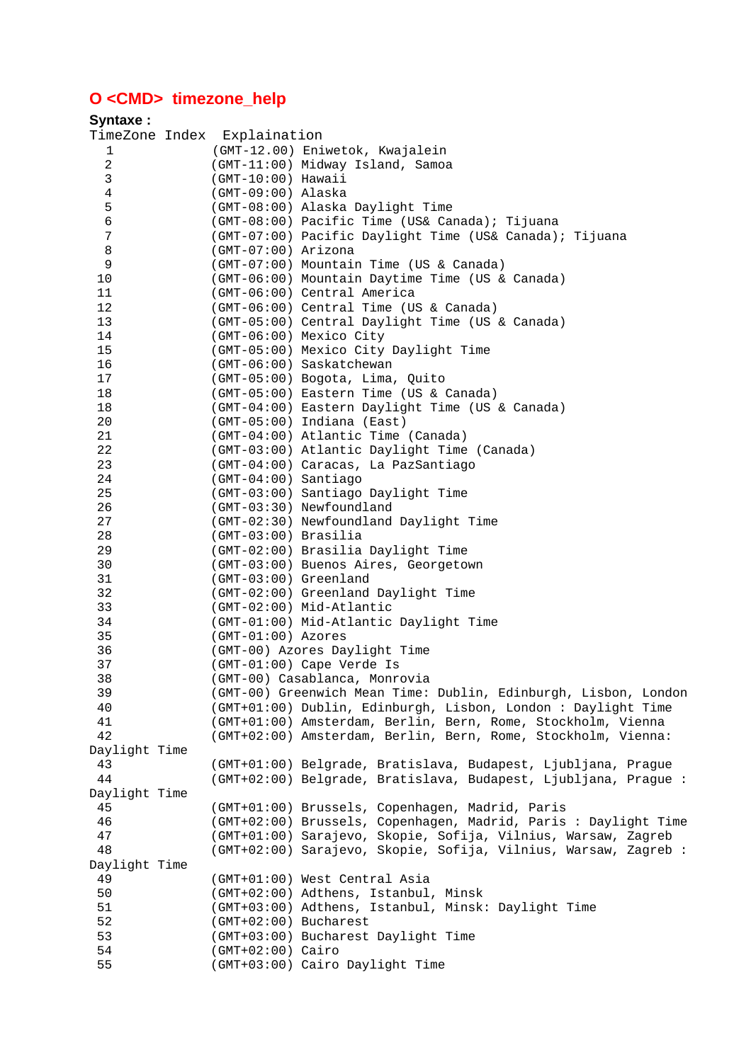# **O <CMD> timezone\_help**

| Syntaxe:            |                             |                                                                                    |
|---------------------|-----------------------------|------------------------------------------------------------------------------------|
|                     | TimeZone Index Explaination |                                                                                    |
| 1                   |                             | (GMT-12.00) Eniwetok, Kwajalein                                                    |
| $\overline{a}$      |                             | (GMT-11:00) Midway Island, Samoa                                                   |
| 3                   | $(GMT-10:00)$ Hawaii        |                                                                                    |
| $\overline{4}$      | $(GMT-09:00)$ Alaska        |                                                                                    |
| 5                   |                             | (GMT-08:00) Alaska Daylight Time                                                   |
| $\sqrt{6}$          |                             | (GMT-08:00) Pacific Time (US& Canada); Tijuana                                     |
| 7                   |                             | (GMT-07:00) Pacific Daylight Time (US& Canada); Tijuana                            |
| 8                   | (GMT-07:00) Arizona         |                                                                                    |
| 9                   |                             | (GMT-07:00) Mountain Time (US & Canada)                                            |
| 10                  |                             | (GMT-06:00) Mountain Daytime Time (US & Canada)                                    |
| 11                  |                             | (GMT-06:00) Central America                                                        |
| 12                  |                             | (GMT-06:00) Central Time (US & Canada)                                             |
| 13                  |                             | (GMT-05:00) Central Daylight Time (US & Canada)                                    |
| 14                  |                             | (GMT-06:00) Mexico City                                                            |
| 15                  |                             | (GMT-05:00) Mexico City Daylight Time                                              |
| 16                  |                             | (GMT-06:00) Saskatchewan                                                           |
| 17                  |                             | (GMT-05:00) Bogota, Lima, Quito                                                    |
| 18                  |                             | (GMT-05:00) Eastern Time (US & Canada)                                             |
| 18                  |                             | (GMT-04:00) Eastern Daylight Time (US & Canada)                                    |
| $20\,$              |                             | (GMT-05:00) Indiana (East)                                                         |
| 21<br>22            |                             | (GMT-04:00) Atlantic Time (Canada)                                                 |
| 23                  |                             | (GMT-03:00) Atlantic Daylight Time (Canada)<br>(GMT-04:00) Caracas, La PazSantiago |
| 24                  | (GMT-04:00) Santiago        |                                                                                    |
| 25                  |                             | (GMT-03:00) Santiago Daylight Time                                                 |
| 26                  |                             | (GMT-03:30) Newfoundland                                                           |
| 27                  |                             | (GMT-02:30) Newfoundland Daylight Time                                             |
| 28                  | (GMT-03:00) Brasilia        |                                                                                    |
| 29                  |                             | (GMT-02:00) Brasilia Daylight Time                                                 |
| 30                  |                             | (GMT-03:00) Buenos Aires, Georgetown                                               |
| 31                  | (GMT-03:00) Greenland       |                                                                                    |
| 32                  |                             | (GMT-02:00) Greenland Daylight Time                                                |
| 33                  |                             | (GMT-02:00) Mid-Atlantic                                                           |
| 34                  |                             | (GMT-01:00) Mid-Atlantic Daylight Time                                             |
| 35                  | (GMT-01:00) Azores          |                                                                                    |
| 36                  |                             | (GMT-00) Azores Daylight Time                                                      |
| 37                  |                             | (GMT-01:00) Cape Verde Is                                                          |
| 38                  |                             | (GMT-00) Casablanca, Monrovia                                                      |
| 39                  |                             | (GMT-00) Greenwich Mean Time: Dublin, Edinburgh, Lisbon, London                    |
| 40                  |                             | (GMT+01:00) Dublin, Edinburgh, Lisbon, London: Daylight Time                       |
| 41                  |                             | (GMT+01:00) Amsterdam, Berlin, Bern, Rome, Stockholm, Vienna                       |
| 42                  |                             | (GMT+02:00) Amsterdam, Berlin, Bern, Rome, Stockholm, Vienna:                      |
| Daylight Time       |                             |                                                                                    |
| 43                  |                             | (GMT+01:00) Belgrade, Bratislava, Budapest, Ljubljana, Prague                      |
| 44                  |                             | (GMT+02:00) Belgrade, Bratislava, Budapest, Ljubljana, Prague:                     |
| Daylight Time       |                             |                                                                                    |
| 45                  |                             | (GMT+01:00) Brussels, Copenhagen, Madrid, Paris                                    |
| 46                  |                             | (GMT+02:00) Brussels, Copenhagen, Madrid, Paris : Daylight Time                    |
| 47                  |                             | (GMT+01:00) Sarajevo, Skopie, Sofija, Vilnius, Warsaw, Zagreb                      |
| 48                  |                             | (GMT+02:00) Sarajevo, Skopie, Sofija, Vilnius, Warsaw, Zagreb:                     |
| Daylight Time<br>49 |                             |                                                                                    |
| 50                  |                             | (GMT+01:00) West Central Asia<br>(GMT+02:00) Adthens, Istanbul, Minsk              |
| 51                  |                             | (GMT+03:00) Adthens, Istanbul, Minsk: Daylight Time                                |
| 52                  | (GMT+02:00) Bucharest       |                                                                                    |
| 53                  |                             | (GMT+03:00) Bucharest Daylight Time                                                |
| 54                  | $(GMT+02:00)$ Cairo         |                                                                                    |
| 55                  |                             | (GMT+03:00) Cairo Daylight Time                                                    |
|                     |                             |                                                                                    |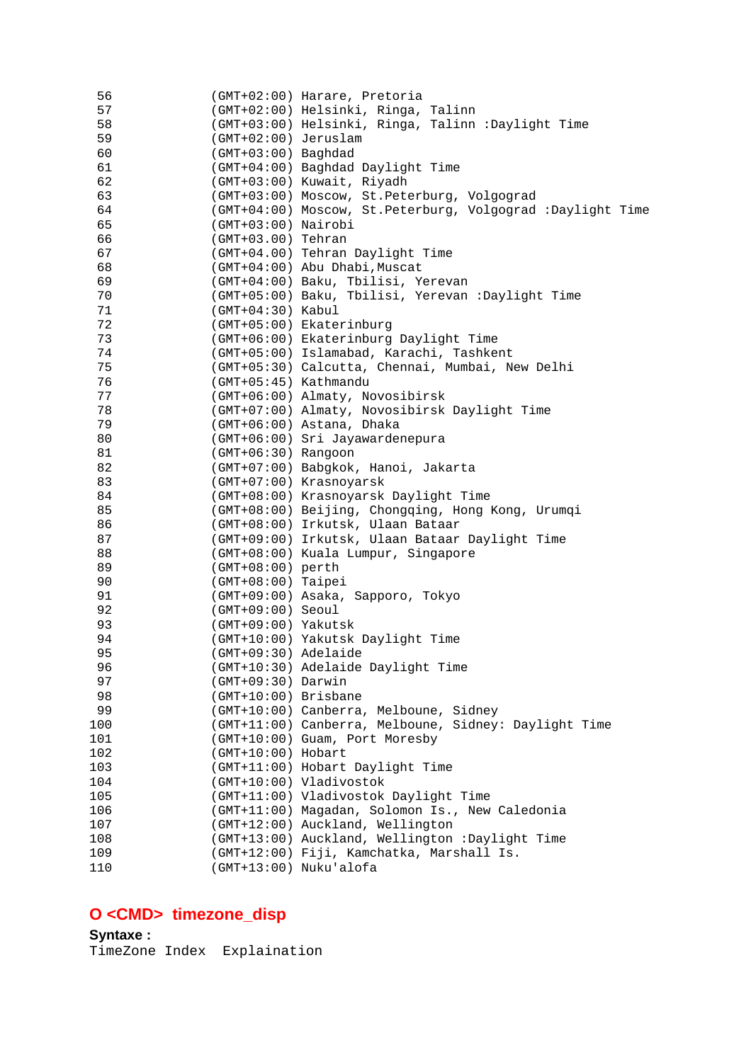| 56  |                        | (GMT+02:00) Harare, Pretoria                                 |
|-----|------------------------|--------------------------------------------------------------|
| 57  |                        | (GMT+02:00) Helsinki, Ringa, Talinn                          |
| 58  |                        | (GMT+03:00) Helsinki, Ringa, Talinn : Daylight Time          |
| 59  | (GMT+02:00) Jeruslam   |                                                              |
| 60  | (GMT+03:00) Baghdad    |                                                              |
| 61  |                        | (GMT+04:00) Baghdad Daylight Time                            |
| 62  |                        | (GMT+03:00) Kuwait, Riyadh                                   |
| 63  |                        | (GMT+03:00) Moscow, St. Peterburg, Volgograd                 |
| 64  |                        | (GMT+04:00) Moscow, St. Peterburg, Volgograd : Daylight Time |
| 65  | (GMT+03:00) Nairobi    |                                                              |
| 66  | (GMT+03.00) Tehran     |                                                              |
| 67  |                        | (GMT+04.00) Tehran Daylight Time                             |
| 68  |                        | (GMT+04:00) Abu Dhabi, Muscat                                |
| 69  |                        | (GMT+04:00) Baku, Tbilisi, Yerevan                           |
|     |                        |                                                              |
| 70  |                        | (GMT+05:00) Baku, Tbilisi, Yerevan : Daylight Time           |
| 71  | $(GMT+04:30)$ Kabul    |                                                              |
| 72  |                        | (GMT+05:00) Ekaterinburg                                     |
| 73  |                        | (GMT+06:00) Ekaterinburg Daylight Time                       |
| 74  |                        | (GMT+05:00) Islamabad, Karachi, Tashkent                     |
| 75  |                        | (GMT+05:30) Calcutta, Chennai, Mumbai, New Delhi             |
| 76  | (GMT+05:45) Kathmandu  |                                                              |
| 77  |                        | (GMT+06:00) Almaty, Novosibirsk                              |
| 78  |                        | (GMT+07:00) Almaty, Novosibirsk Daylight Time                |
| 79  |                        | (GMT+06:00) Astana, Dhaka                                    |
| 80  |                        | (GMT+06:00) Sri Jayawardenepura                              |
| 81  | $(GMT+06:30)$ Rangoon  |                                                              |
| 82  |                        | (GMT+07:00) Babgkok, Hanoi, Jakarta                          |
| 83  |                        | (GMT+07:00) Krasnoyarsk                                      |
| 84  |                        | (GMT+08:00) Krasnoyarsk Daylight Time                        |
| 85  |                        | (GMT+08:00) Beijing, Chongqing, Hong Kong, Urumqi            |
| 86  |                        | (GMT+08:00) Irkutsk, Ulaan Bataar                            |
| 87  |                        | (GMT+09:00) Irkutsk, Ulaan Bataar Daylight Time              |
|     |                        |                                                              |
| 88  |                        | (GMT+08:00) Kuala Lumpur, Singapore                          |
| 89  | (GMT+08:00) perth      |                                                              |
| 90  | $(GMT+08:00)$ Taipei   |                                                              |
| 91  |                        | (GMT+09:00) Asaka, Sapporo, Tokyo                            |
| 92  | $(GMT+09:00)$ Seoul    |                                                              |
| 93  | (GMT+09:00) Yakutsk    |                                                              |
| 94  |                        | (GMT+10:00) Yakutsk Daylight Time                            |
| 95  |                        | (GMT+09:30) Adelaide                                         |
| 96  |                        | (GMT+10:30) Adelaide Daylight Time                           |
| 97  | $(GMT+09:30)$ Darwin   |                                                              |
| 98  | (GMT+10:00) Brisbane   |                                                              |
| 99  |                        | (GMT+10:00) Canberra, Melboune, Sidney                       |
| 100 |                        | (GMT+11:00) Canberra, Melboune, Sidney: Daylight Time        |
| 101 |                        | (GMT+10:00) Guam, Port Moresby                               |
| 102 | (GMT+10:00) Hobart     |                                                              |
| 103 |                        | (GMT+11:00) Hobart Daylight Time                             |
| 104 |                        | (GMT+10:00) Vladivostok                                      |
| 105 |                        | (GMT+11:00) Vladivostok Daylight Time                        |
| 106 |                        | (GMT+11:00) Magadan, Solomon Is., New Caledonia              |
| 107 |                        | (GMT+12:00) Auckland, Wellington                             |
|     |                        |                                                              |
| 108 |                        | (GMT+13:00) Auckland, Wellington :Daylight Time              |
| 109 |                        | (GMT+12:00) Fiji, Kamchatka, Marshall Is.                    |
| 110 | (GMT+13:00) Nuku'alofa |                                                              |

# **O <CMD> timezone\_disp**

**Syntaxe :** TimeZone Index Explaination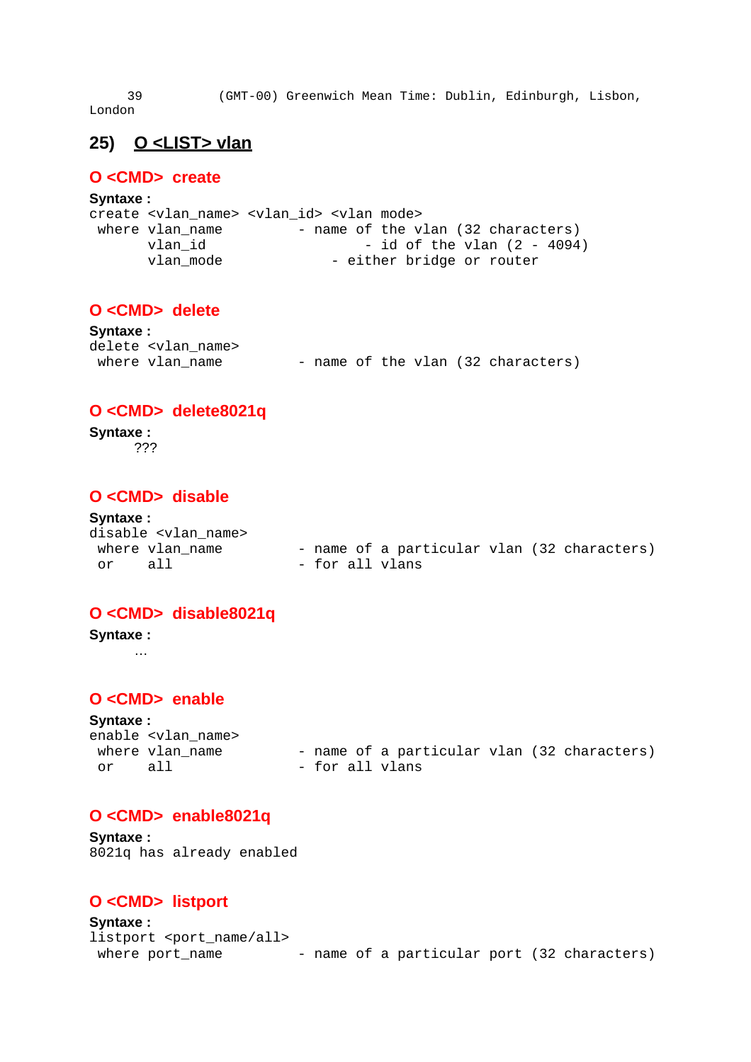39 (GMT-00) Greenwich Mean Time: Dublin, Edinburgh, Lisbon, London

# **25) O <LIST> vlan**

## **O <CMD> create**

#### **Syntaxe :**

|                 | create <vlan name=""> <vlan id=""> <vlan mode=""></vlan></vlan></vlan> |
|-----------------|------------------------------------------------------------------------|
| where vlan name | - name of the vlan (32 characters)                                     |
| vlan id         | - id of the vlan $(2 - 4094)$                                          |
| vlan mode       | - either bridge or router                                              |

# **O <CMD> delete**

| <b>Syntaxe:</b> |                              |  |  |  |                                    |
|-----------------|------------------------------|--|--|--|------------------------------------|
|                 | delete <vlan name=""></vlan> |  |  |  |                                    |
|                 | where vlan name              |  |  |  | - name of the vlan (32 characters) |

## **O <CMD> delete8021q**

#### **Syntaxe :** ???

# **O <CMD> disable**

#### **Syntaxe :**

|    | disable <vlan name=""></vlan> |                 |  |  |                                             |
|----|-------------------------------|-----------------|--|--|---------------------------------------------|
|    | where vlan name               |                 |  |  | - name of a particular vlan (32 characters) |
| or | - a 1 1                       | - for all vlans |  |  |                                             |

## **O <CMD> disable8021q**

## **Syntaxe :**

…

## **O <CMD> enable**

**Syntaxe :** enable <vlan\_name><br>where vlan\_name or all - for all vlans

- name of a particular vlan (32 characters)

### **O <CMD> enable8021q**

**Syntaxe :** 8021q has already enabled

# **O <CMD> listport**

```
Syntaxe :
listport <port name/all>
where port_name - name of a particular port (32 characters)
```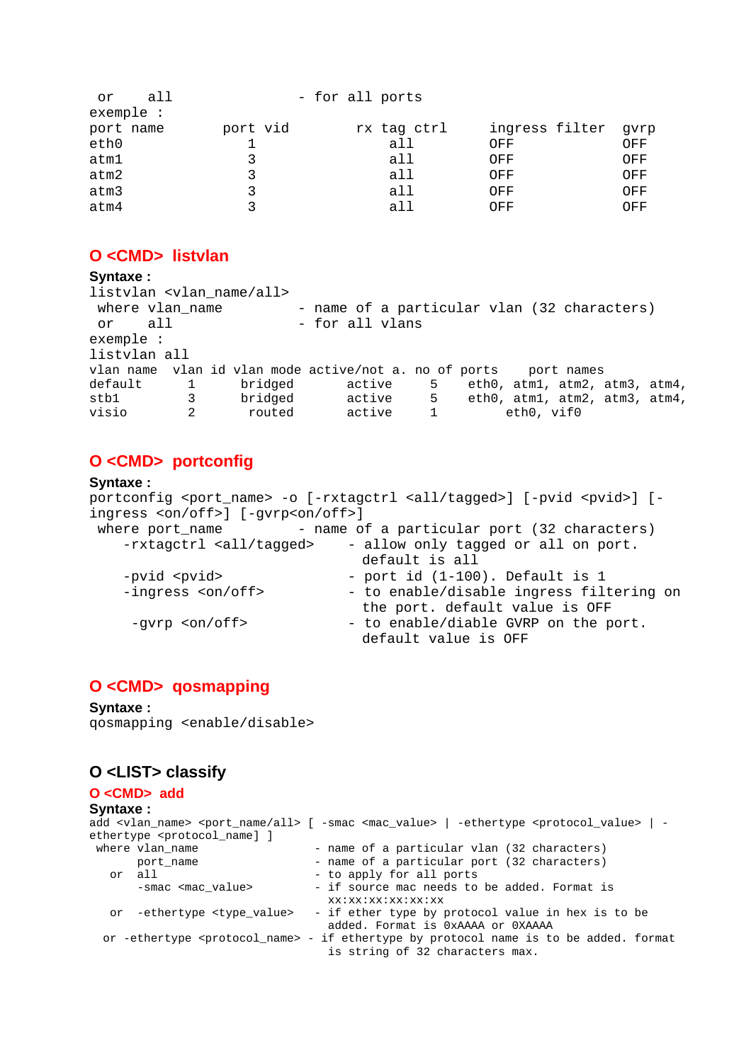| or        | all      | - for all ports |             |                     |     |
|-----------|----------|-----------------|-------------|---------------------|-----|
| exemple : |          |                 |             |                     |     |
| port name | port vid |                 | rx tag ctrl | ingress filter gvrp |     |
| eth0      |          |                 | all         | OFF                 | OFF |
| atm1      |          |                 | all         | OFF                 | OFF |
| atm2      |          |                 | all         | OFF                 | OFF |
| atm3      |          |                 | all         | OFF                 | OFF |
| atm4      |          |                 | all         | OFF                 | OFF |

### **O <CMD> listvlan**

#### **Syntaxe :**

```
listvlan <vlan_name/all> 
where vlan name - name of a particular vlan (32 characters)
 or all - for all vlans
exemple : 
listvlan all 
vlan name vlan id vlan mode active/not a. no of ports port names 
default 1 bridged active 5 eth0, atm1, atm2, atm3, atm4,
stb1 3 bridged active 5 eth0, atm1, atm2, atm3, atm4, visio 2 routed active 1 eth0, vif0
visio 2 routed active 1 eth0, vif0
```
# **O <CMD> portconfig**

#### **Syntaxe :**

portconfig <port\_name> -o [-rxtagctrl <all/tagged>] [-pvid <pvid>] [ingress <on/off>] [-gvrp<on/off>] where  $port_name$  - name of a particular port (32 characters) -rxtagctrl <all/tagged> - allow only tagged or all on port. default is all -pvid <pvid> - port id (1-100). Default is 1 -ingress <on/off> - to enable/disable ingress filtering on the port. default value is OFF -gvrp <on/off> - to enable/diable GVRP on the port. default value is OFF

### **O <CMD> qosmapping**

#### **Syntaxe :**

qosmapping <enable/disable>

### **O <LIST> classify**

#### **O <CMD> add**

```
Syntaxe :
add <vlan_name> <port_name/all> [ -smac <mac_value> | -ethertype <protocol_value> | -
ethertype <protocol_name] ] 
where vlan_name - name of a particular vlan (32 characters)
  port_name - name of a particular port (32 characters)<br>or all - to apply for all ports
                                 - to apply for all ports
      -smac <mac_value> - if source mac needs to be added. Format is
                                  xx:xx:xx:xx:xx:xx 
   or -ethertype <type_value> - if ether type by protocol value in hex is to be 
                                  added. Format is 0xAAAA or 0XAAAA 
  or -ethertype <protocol_name> - if ethertype by protocol name is to be added. format 
                                  is string of 32 characters max.
```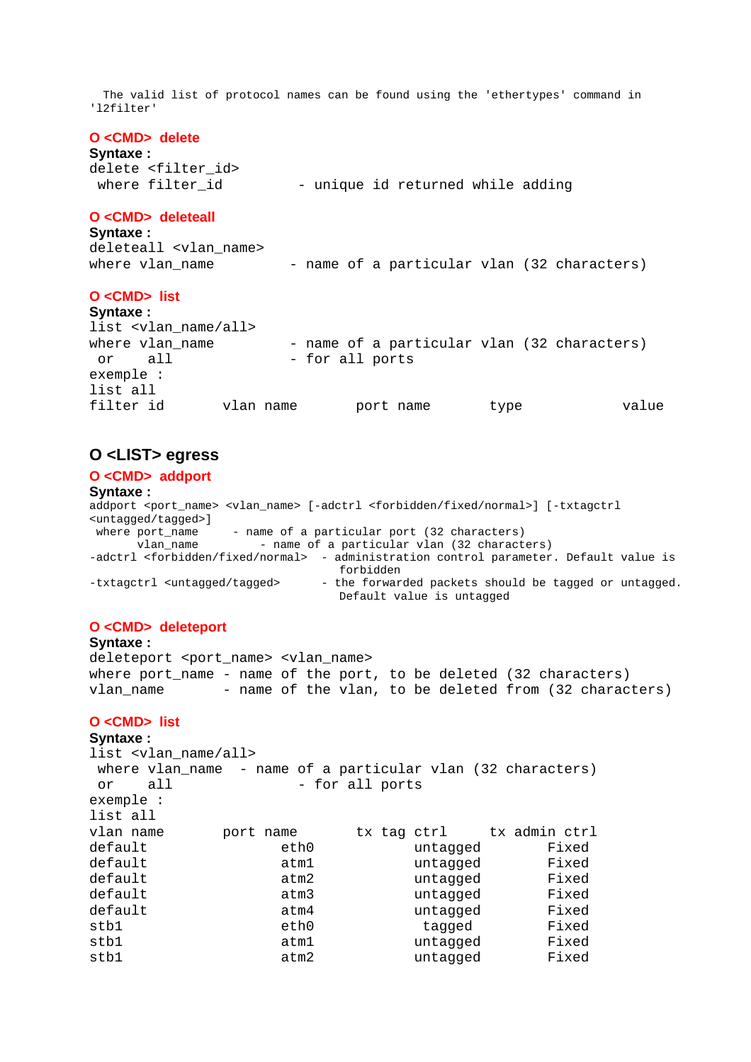The valid list of protocol names can be found using the 'ethertypes' command in 'l2filter'

#### **O <CMD> delete**

#### **Syntaxe :**

delete <filter id> where filter\_id - unique id returned while adding

#### **O <CMD> deleteall**

#### **Syntaxe :**

deleteall <vlan name> where vlan\_name  $-$  name of a particular vlan (32 characters)

#### **O <CMD> list**

**Syntaxe :** list <vlan name/all> where vlan\_name - name of a particular vlan (32 characters) or all - for all ports exemple : list all filter id vlan name port name type value

#### **O <LIST> egress**

#### **O <CMD> addport**

**Syntaxe :**

addport <port name> <vlan name> [-adctrl <forbidden/fixed/normal>] [-txtagctrl <untagged/tagged>] - name of a particular port (32 characters) vlan\_name - name of a particular vlan (32 characters) -adctrl <forbidden/fixed/normal> - administration control parameter. Default value is forbidden -txtagctrl <untagged/tagged> - the forwarded packets should be tagged or untagged. Default value is untagged

#### **O <CMD> deleteport**

**Syntaxe :** deleteport <port\_name> <vlan\_name> where port name - name of the port, to be deleted  $(32$  characters) vlan\_name - name of the vlan, to be deleted from (32 characters)

#### **O <CMD> list**

**Syntaxe :** list <vlan name/all> where vlan\_name - name of a particular vlan (32 characters) or all - for all ports exemple : list all vlan name port name tx tag ctrl tx admin ctrl default eth0 untagged Fixed default atm1 untagged Fixed default atm2 untagged Fixed default atm3 untagged Fixed default atm4 untagged Fixed stb1 eth0 tagged Fixed stb1 atm1 untagged Fixed stb1 atm2 untagged Fixed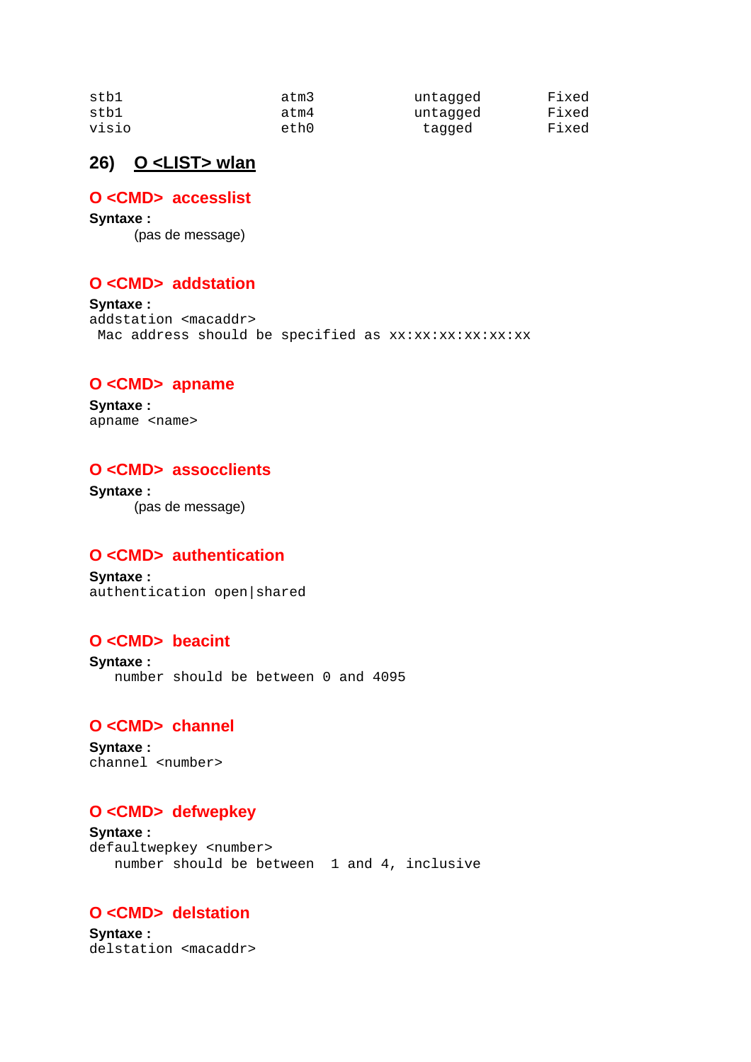| stb1  | atm3 | untagged | Fixed |
|-------|------|----------|-------|
| stbl  | atm4 | untagged | Fixed |
| visio | eth0 | tagged   | Fixed |

# **26) O <LIST> wlan**

## **O <CMD> accesslist**

**Syntaxe :** (pas de message)

## **O <CMD> addstation**

**Syntaxe :** addstation <macaddr> Mac address should be specified as xx:xx:xx:xx:xx:xx

### **O <CMD> apname**

**Syntaxe :** apname <name>

### **O <CMD> assocclients**

**Syntaxe :** (pas de message)

## **O <CMD> authentication**

**Syntaxe :** authentication open|shared

## **O <CMD> beacint**

**Syntaxe :** number should be between 0 and 4095

### **O <CMD> channel**

**Syntaxe :** channel <number>

## **O <CMD> defwepkey**

**Syntaxe :** defaultwepkey <number> number should be between 1 and 4, inclusive

## **O <CMD> delstation**

**Syntaxe :** delstation <macaddr>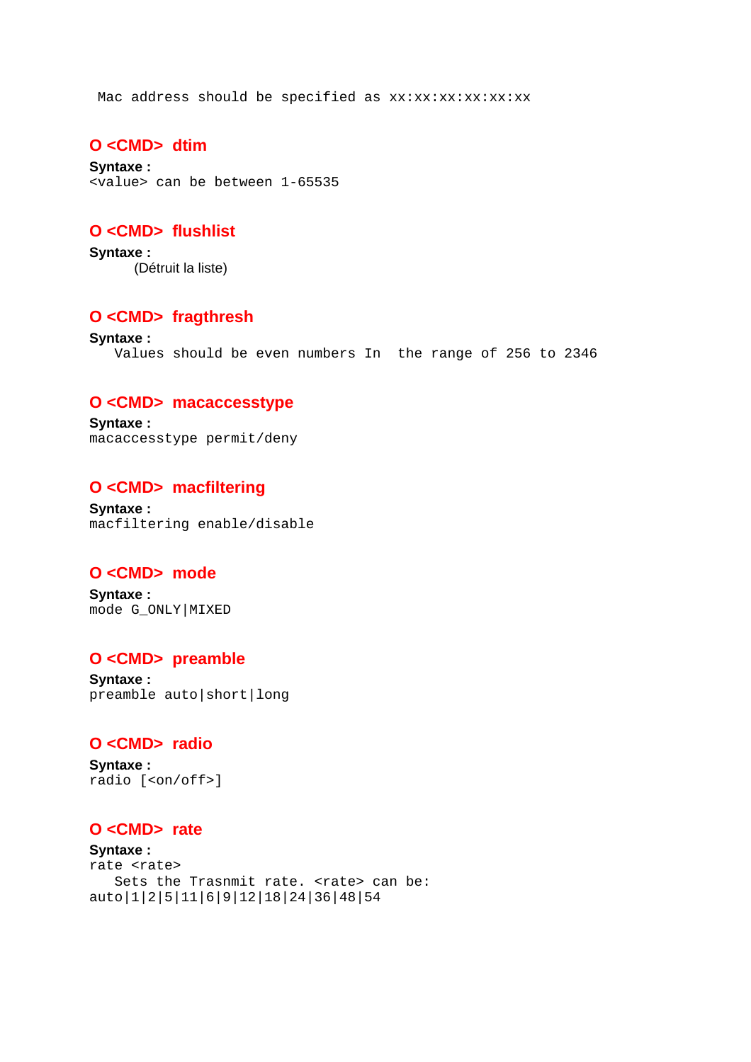Mac address should be specified as xx:xx:xx:xx:xx:xx

### **O <CMD> dtim**

**Syntaxe :** <value> can be between 1-65535

## **O <CMD> flushlist**

**Syntaxe :** (Détruit la liste)

### **O <CMD> fragthresh**

**Syntaxe :** Values should be even numbers In the range of 256 to 2346

#### **O <CMD> macaccesstype**

**Syntaxe :** macaccesstype permit/deny

#### **O <CMD> macfiltering**

**Syntaxe :** macfiltering enable/disable

### **O <CMD> mode**

**Syntaxe :** mode G\_ONLY|MIXED

### **O <CMD> preamble**

**Syntaxe :** preamble auto|short|long

### **O <CMD> radio**

**Syntaxe :** radio [<on/off>]

### **O <CMD> rate**

**Syntaxe :** rate <rate> Sets the Trasnmit rate. <rate> can be: auto|1|2|5|11|6|9|12|18|24|36|48|54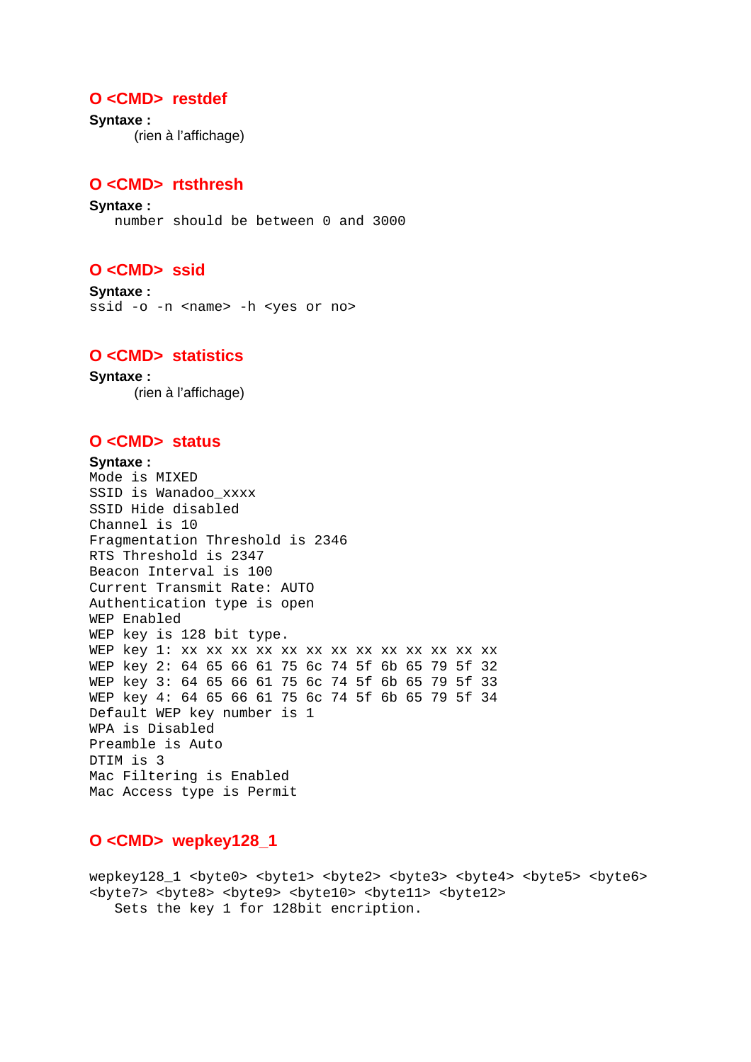### **O <CMD> restdef**

**Syntaxe :** (rien à l'affichage)

### **O <CMD> rtsthresh**

**Syntaxe :** number should be between 0 and 3000

### **O <CMD> ssid**

**Syntaxe :**  ssid -o -n <name> -h <yes or no>

### **O <CMD> statistics**

**Syntaxe :** (rien à l'affichage)

## **O <CMD> status**

#### **Syntaxe :** Mode is MIXED SSID is Wanadoo\_xxxx SSID Hide disabled Channel is 10 Fragmentation Threshold is 2346 RTS Threshold is 2347 Beacon Interval is 100 Current Transmit Rate: AUTO Authentication type is open WEP Enabled WEP key is 128 bit type. WEP key 1: xx xx xx xx xx xx xx xx xx xx xx xx xx WEP key 2: 64 65 66 61 75 6c 74 5f 6b 65 79 5f 32 WEP key 3: 64 65 66 61 75 6c 74 5f 6b 65 79 5f 33 WEP key 4: 64 65 66 61 75 6c 74 5f 6b 65 79 5f 34 Default WEP key number is 1 WPA is Disabled Preamble is Auto DTIM is 3 Mac Filtering is Enabled Mac Access type is Permit

### **O <CMD> wepkey128\_1**

wepkey128\_1 <byte0> <byte1> <byte2> <byte3> <byte4> <byte5> <byte6> <byte7> <byte8> <byte9> <byte10> <byte11> <byte12> Sets the key 1 for 128bit encription.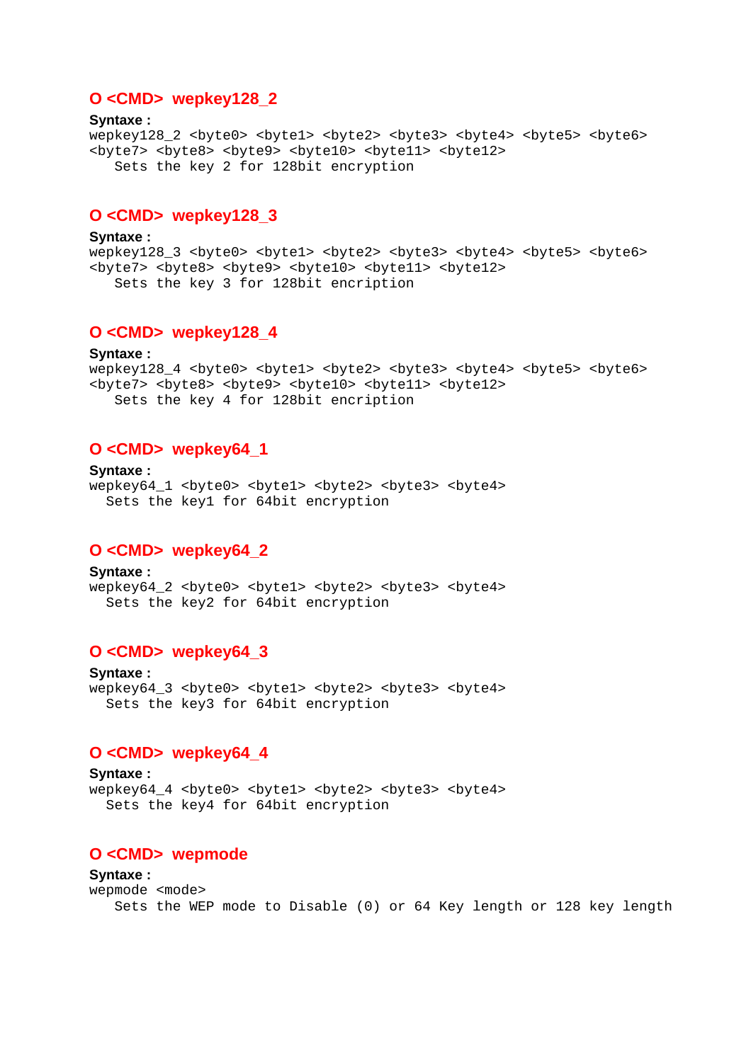### **O <CMD> wepkey128\_2**

**Syntaxe :** wepkey128\_2 <br/> <br/> <br/> <br/> <br/> <br/> <br/> <br/> <br/> <br/> <br/> <br/> <br/> <br/> <br/> <br/> <br/> <br/><br/><br/><br/>
<br/>
<<br/>
<<br/>
<<br/>
<<br/>
<<br/>
<<br/>
<<br/>
<<br/>
<<br/>
<<br/>
<<br/>
<<br <byte7> <byte8> <byte9> <byte10> <byte11> <byte12> Sets the key 2 for 128bit encryption

### **O <CMD> wepkey128\_3**

**Syntaxe :** wepkey128\_3 <byte0> <byte1> <byte2> <byte3> <byte4> <byte5> <byte6> <byte7> <byte8> <byte9> <byte10> <byte11> <byte12> Sets the key 3 for 128bit encription

### **O <CMD> wepkey128\_4**

**Syntaxe :** wepkey128\_4 <br/> <br/> <br/> <br/> <br/> <br/> <br/> <br/> <br/> <br/> <br/> <br/> <br/> <br/> <br/> <br/> <br/> <br/><br/><br/><br/><br/><br/><br/>
<br/>
<br/>
<t<br/>
<t<br/>
<t<br/>
<t<br/>
<t<br/>
<t<t<t<t<t<t<t<t<t<t <br />byte7> <br />byte8> <br />byte10> <br />byte11> <br />byte12> Sets the key 4 for 128bit encription

### **O <CMD> wepkey64\_1**

**Syntaxe :** wepkey64\_1 <byte0> <byte1> <byte2> <byte3> <byte4> Sets the key1 for 64bit encryption

#### **O <CMD> wepkey64\_2**

**Syntaxe :** wepkey64\_2 <byte0> <byte1> <byte2> <byte3> <byte4> Sets the key2 for 64bit encryption

#### **O <CMD> wepkey64\_3**

**Syntaxe :** wepkey64\_3 <byte0> <byte1> <byte2> <byte3> <byte4> Sets the key3 for 64bit encryption

## **O <CMD> wepkey64\_4**

**Syntaxe :** wepkey64\_4 <byte0> <byte1> <byte2> <byte3> <byte4> Sets the key4 for 64bit encryption

#### **O <CMD> wepmode**

**Syntaxe :** wepmode <mode> Sets the WEP mode to Disable (0) or 64 Key length or 128 key length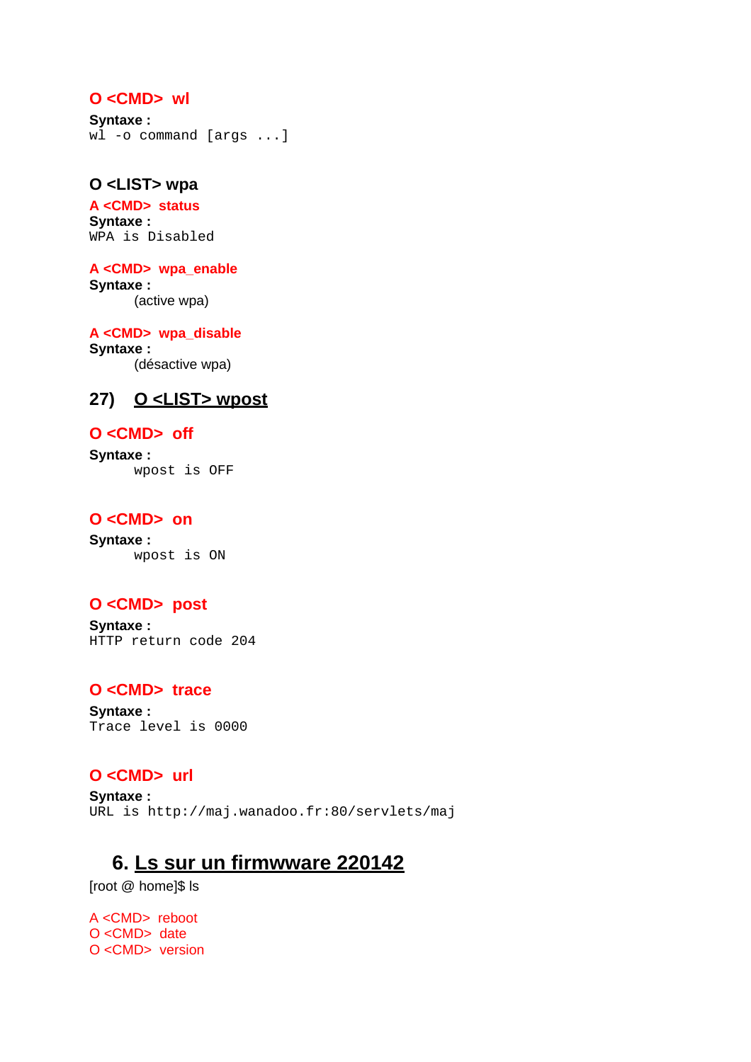### **O <CMD> wl**

**Syntaxe :**  wl -o command [args ...]

## **O <LIST> wpa**

**A <CMD> status Syntaxe :** WPA is Disabled

**A <CMD> wpa\_enable Syntaxe :** (active wpa)

**A <CMD> wpa\_disable Syntaxe :** (désactive wpa)

# **27) O <LIST> wpost**

#### **O <CMD> off**

**Syntaxe :** wpost is OFF

# **O <CMD> on**

**Syntaxe :** wpost is ON

### **O <CMD> post**

**Syntaxe :** HTTP return code 204

# **O <CMD> trace**

**Syntaxe :** Trace level is 0000

# **O <CMD> url**

**Syntaxe :** URL is http://maj.wanadoo.fr:80/servlets/maj

# **6. Ls sur un firmwware 220142**

[root @ home]\$ ls

A <CMD> reboot O <CMD> date O <CMD> version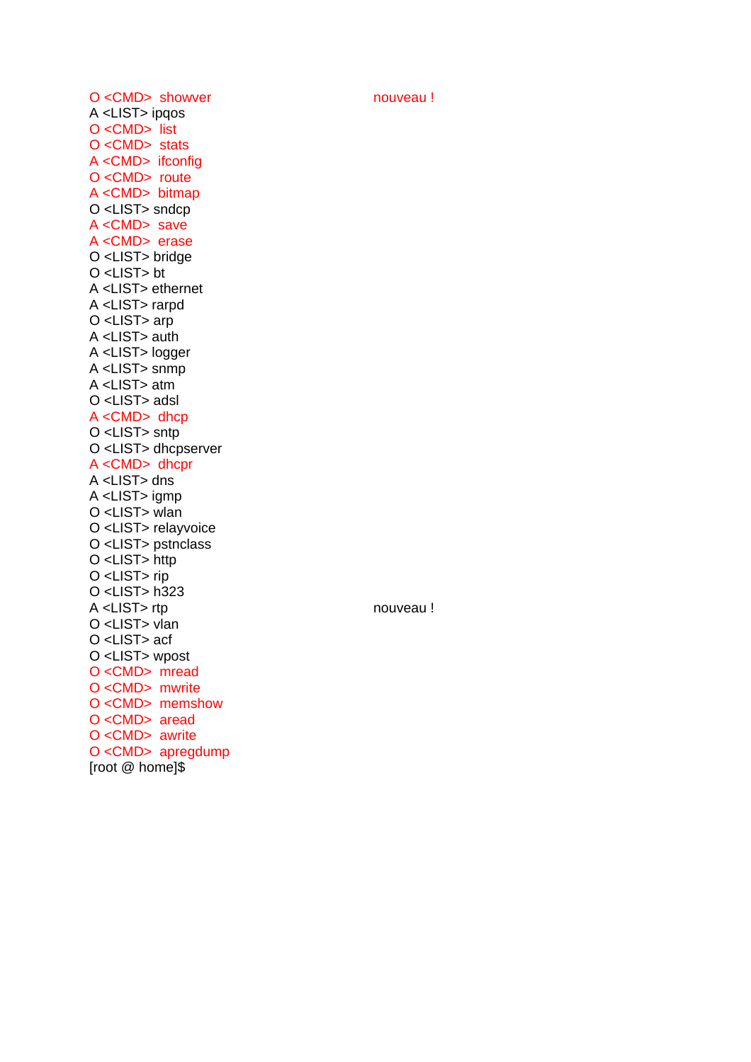O <CMD> showver nouveau ! A <LIST> ipqos O <CMD> list O <CMD> stats A <CMD> ifconfig O <CMD> route A <CMD> bitmap O <LIST> sndcp A <CMD> save A <CMD> erase O <LIST> bridge O <LIST> bt A <LIST> ethernet A <LIST> rarpd O <LIST> arp A <LIST> auth A <LIST> logger A <LIST> snmp A <LIST> atm O <LIST> adsl A <CMD> dhcp O <LIST> sntp O <LIST> dhcpserver A <CMD> dhcpr A <LIST> dns A <LIST> igmp O <LIST> wlan O <LIST> relayvoice O <LIST> pstnclass O <LIST> http O <LIST> rip O <LIST> h323 A <LIST> rtp nouveau ! O <LIST> vlan O <LIST> acf O <LIST> wpost O <CMD> mread O <CMD> mwrite O <CMD> memshow O <CMD> aread O <CMD> awrite O <CMD> apregdump [root @ home]\$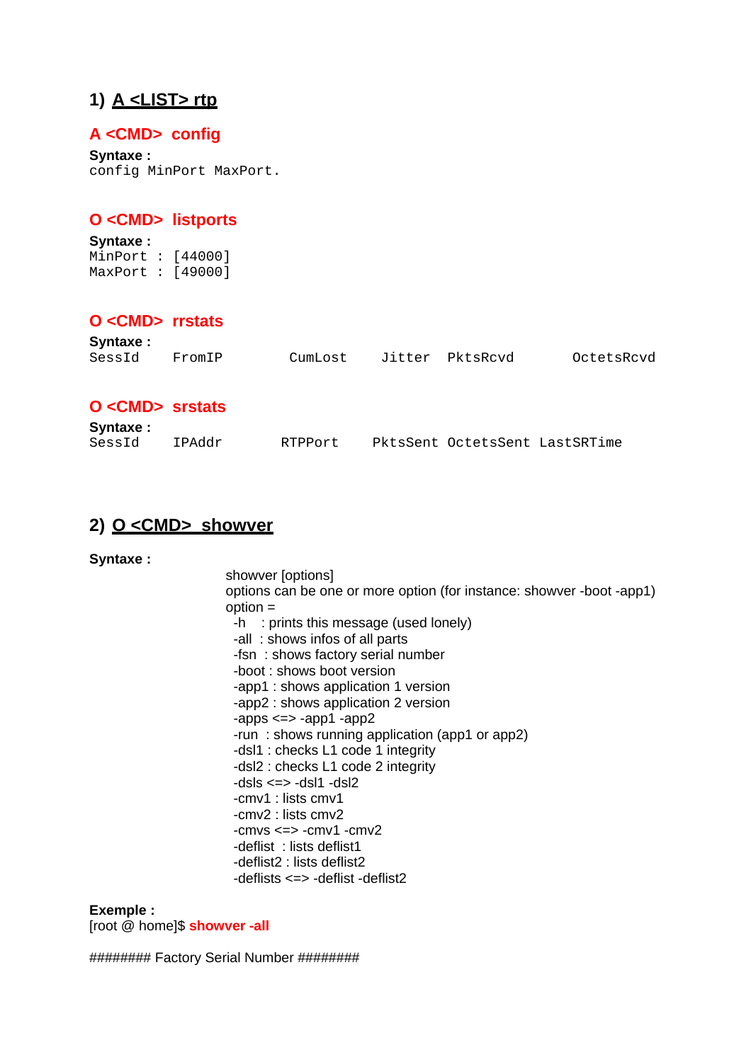# **1) A <LIST> rtp**

# **A <CMD> config**

**Syntaxe :** config MinPort MaxPort.

# **O <CMD> listports**

**Syntaxe :** MinPort : [44000] MaxPort : [49000]

# **O <CMD> rrstats**

| Syntaxe:              |        |         |                                |            |
|-----------------------|--------|---------|--------------------------------|------------|
| SessId                | FromIP | CumLost | Jitter PktsRcvd                | OctetsRcvd |
|                       |        |         |                                |            |
|                       |        |         |                                |            |
| O <cmd> srstats</cmd> |        |         |                                |            |
| Syntaxe:              |        |         |                                |            |
| SessId                | IPAddr | RTPPort | PktsSent OctetsSent LastSRTime |            |

# **2) O <CMD> showver**

**Syntaxe :**

showver [options] options can be one or more option (for instance: showver -boot -app1) option = -h : prints this message (used lonely) -all : shows infos of all parts -fsn : shows factory serial number -boot : shows boot version -app1 : shows application 1 version -app2 : shows application 2 version  $-$ apps  $\le$   $\ge$   $-$ app1  $\le$ app2 -run : shows running application (app1 or app2) -dsl1 : checks L1 code 1 integrity -dsl2 : checks L1 code 2 integrity  $-dsls \leq > -ds$ l1 -dsl2 -cmv1 : lists cmv1 -cmv2 : lists cmv2  $-cmvs \leq > -cmv1 -cmv2$  -deflist : lists deflist1 -deflist2 : lists deflist2 -deflists <=> -deflist -deflist2

**Exemple :**  [root @ home]\$ **showver -all**

######## Factory Serial Number ########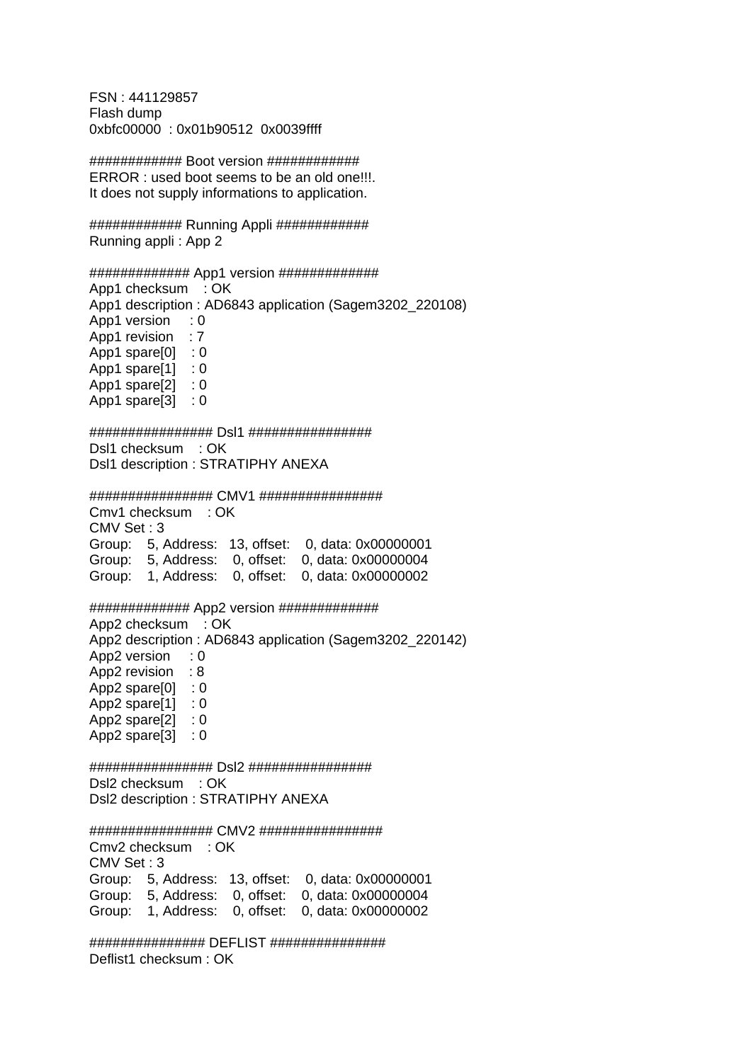FSN : 441129857 Flash dump 0xbfc00000 : 0x01b90512 0x0039ffff

############ Boot version ############ ERROR : used boot seems to be an old one!!!. It does not supply informations to application.

############ Running Appli ############ Running appli : App 2

#### ############# App1 version #############

App1 checksum : OK App1 description : AD6843 application (Sagem3202\_220108) App1 version : 0 App1 revision : 7 App1 spare $[0]$  : 0 App1 spare[1] : 0 App1 spare[2] : 0 App1 spare[3] : 0

################ Dsl1 ################ Dsl1 checksum : OK Dsl1 description : STRATIPHY ANEXA

################ CMV1 ################

Cmv1 checksum : OK CMV Set : 3 Group: 5, Address: 13, offset: 0, data: 0x00000001 Group: 5, Address: 0, offset: 0, data: 0x00000004 Group: 1, Address: 0, offset: 0, data: 0x00000002

############# App2 version ############# App2 checksum : OK App2 description : AD6843 application (Sagem3202\_220142) App2 version : 0 App2 revision : 8 App2 spare[0] : 0 App2 spare[1] : 0 App2 spare[2] : 0 App2 spare[3] : 0

################ Dsl2 ################ Dsl2 checksum : OK Dsl2 description : STRATIPHY ANEXA

################ CMV2 ################ Cmv2 checksum : OK CMV Set : 3 Group: 5, Address: 13, offset: 0, data: 0x00000001 Group: 5, Address: 0, offset: 0, data: 0x00000004 Group: 1, Address: 0, offset: 0, data: 0x00000002

############### DEFLIST ############### Deflist1 checksum : OK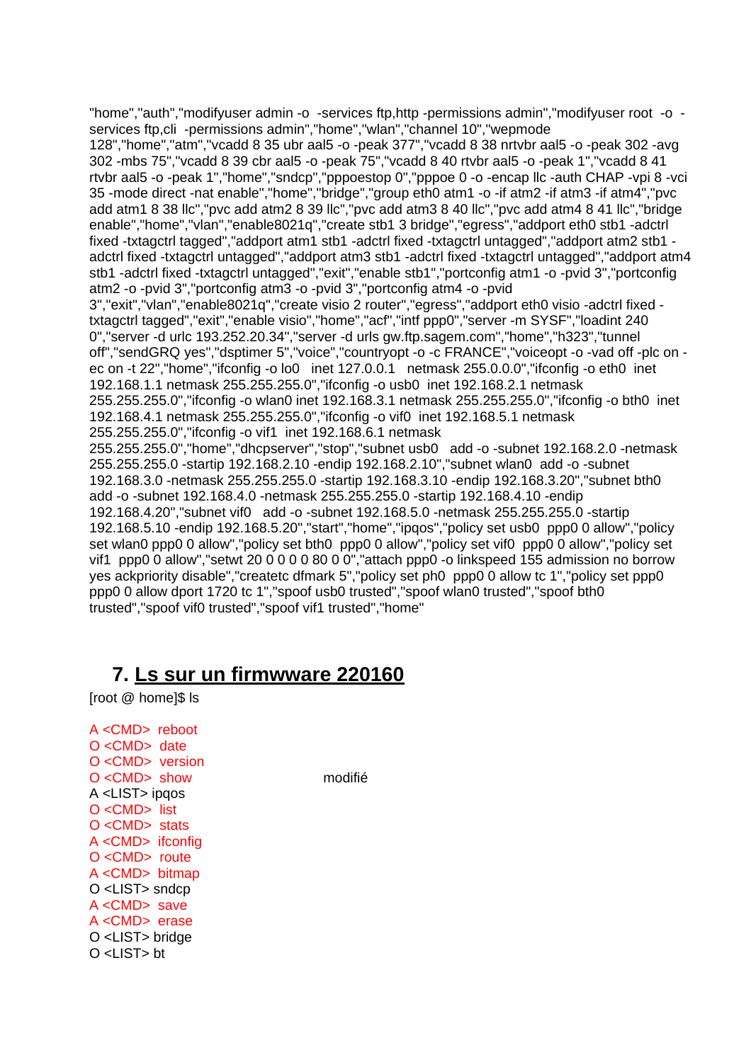"home","auth","modifyuser admin -o -services ftp,http -permissions admin","modifyuser root -o services ftp,cli -permissions admin","home","wlan","channel 10","wepmode 128","home","atm","vcadd 8 35 ubr aal5 -o -peak 377","vcadd 8 38 nrtvbr aal5 -o -peak 302 -avg 302 -mbs 75","vcadd 8 39 cbr aal5 -o -peak 75","vcadd 8 40 rtvbr aal5 -o -peak 1","vcadd 8 41 rtvbr aal5 -o -peak 1","home","sndcp","pppoestop 0","pppoe 0 -o -encap llc -auth CHAP -vpi 8 -vci 35 -mode direct -nat enable","home","bridge","group eth0 atm1 -o -if atm2 -if atm3 -if atm4","pvc add atm1 8 38 llc","pvc add atm2 8 39 llc","pvc add atm3 8 40 llc","pvc add atm4 8 41 llc","bridge enable","home","vlan","enable8021q","create stb1 3 bridge","egress","addport eth0 stb1 -adctrl fixed -txtagctrl tagged","addport atm1 stb1 -adctrl fixed -txtagctrl untagged","addport atm2 stb1 adctrl fixed -txtagctrl untagged","addport atm3 stb1 -adctrl fixed -txtagctrl untagged","addport atm4 stb1 -adctrl fixed -txtagctrl untagged","exit","enable stb1","portconfig atm1 -o -pvid 3","portconfig atm2 -o -pvid 3","portconfig atm3 -o -pvid 3","portconfig atm4 -o -pvid 3","exit","vlan","enable8021q","create visio 2 router","egress","addport eth0 visio -adctrl fixed txtagctrl tagged","exit","enable visio","home","acf","intf ppp0","server -m SYSF","loadint 240 0","server -d urlc 193.252.20.34","server -d urls gw.ftp.sagem.com","home","h323","tunnel off","sendGRQ yes","dsptimer 5","voice","countryopt -o -c FRANCE","voiceopt -o -vad off -plc on ec on -t 22","home","ifconfig -o lo0 inet 127.0.0.1 netmask 255.0.0.0","ifconfig -o eth0 inet 192.168.1.1 netmask 255.255.255.0","ifconfig -o usb0 inet 192.168.2.1 netmask 255.255.255.0","ifconfig -o wlan0 inet 192.168.3.1 netmask 255.255.255.0","ifconfig -o bth0 inet 192.168.4.1 netmask 255.255.255.0","ifconfig -o vif0 inet 192.168.5.1 netmask 255.255.255.0","ifconfig -o vif1 inet 192.168.6.1 netmask 255.255.255.0","home","dhcpserver","stop","subnet usb0 add -o -subnet 192.168.2.0 -netmask 255.255.255.0 -startip 192.168.2.10 -endip 192.168.2.10","subnet wlan0 add -o -subnet 192.168.3.0 -netmask 255.255.255.0 -startip 192.168.3.10 -endip 192.168.3.20","subnet bth0 add -o -subnet 192.168.4.0 -netmask 255.255.255.0 -startip 192.168.4.10 -endip 192.168.4.20","subnet vif0 add -o -subnet 192.168.5.0 -netmask 255.255.255.0 -startip 192.168.5.10 -endip 192.168.5.20","start","home","ipqos","policy set usb0 ppp0 0 allow","policy set wlan0 ppp0 0 allow","policy set bth0 ppp0 0 allow","policy set vif0 ppp0 0 allow","policy set vif1 ppp0 0 allow","setwt 20 0 0 0 0 80 0 0","attach ppp0 -o linkspeed 155 admission no borrow yes ackpriority disable","createtc dfmark 5","policy set ph0 ppp0 0 allow tc 1","policy set ppp0 ppp0 0 allow dport 1720 tc 1","spoof usb0 trusted","spoof wlan0 trusted","spoof bth0 trusted","spoof vif0 trusted","spoof vif1 trusted","home"

# **7. Ls sur un firmwware 220160**

[root @ home]\$ ls

A <CMD> reboot O <CMD> date O <CMD> version O <CMD> show modifié A <LIST> ipqos O <CMD> list O <CMD> stats A <CMD> ifconfig O <CMD> route A <CMD> bitmap O <LIST> sndcp A <CMD> save A <CMD> erase O <LIST> bridge O <LIST> bt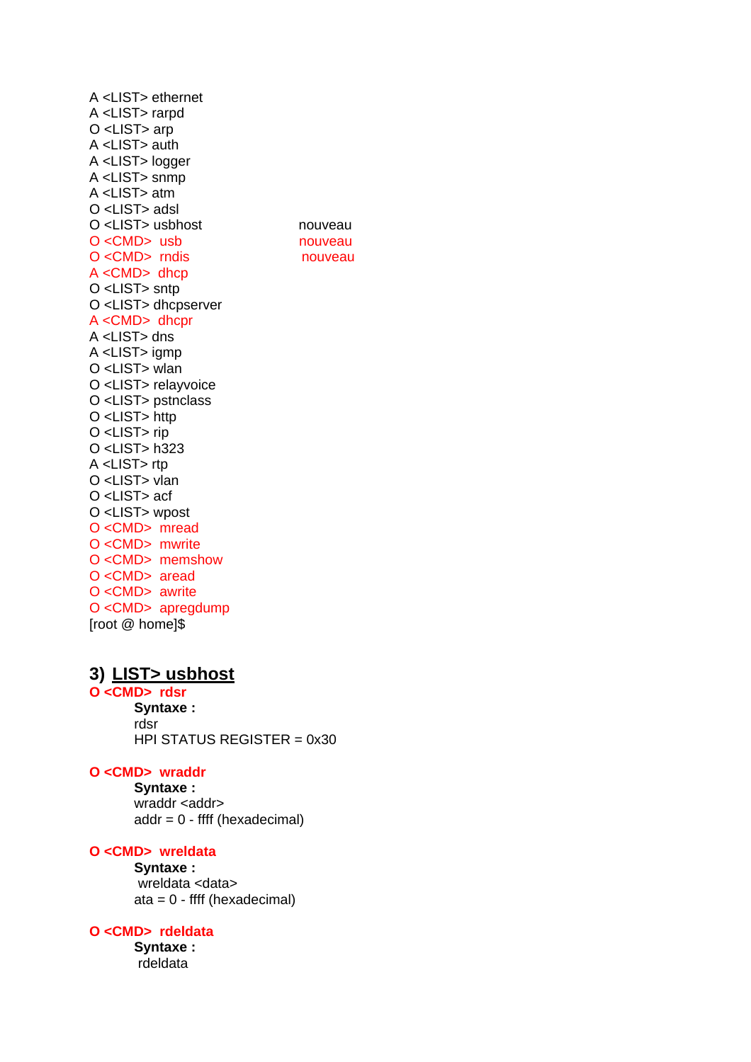A <LIST> ethernet A <LIST> rarpd O <LIST> arp A <LIST> auth A <LIST> logger A <LIST> snmp  $A$  <LIST> atm  $O$  <LIST> adsl O <LIST> usbhost O <CMD> usb  $O < CMD$ > rndis  $A <$ CMD $>$ dhcp O <LIST> sntp O <LIST> dhcpserver A <CMD> dhcpr A <LIST> dns A <LIST> igmp O <LIST> wlan O <LIST> relayvoice O <LIST> pstnclass O <LIST> http O <LIST> rip O <LIST> h323 A <LIST> rtp O <LIST> vlan O <LIST> acf O <LIST> wpost O<CMD> mread O <CMD> mwrite O <CMD> memshow  $O < CMD$  aread O <CMD> awrite O <CMD> apregdump [root @ home]\$

## nouveau nouveau nouveau

# 3) LIST> usbhost

O<CMD>rdsr Syntaxe: rdsr HPI STATUS REGISTER = 0x30

# O <CMD> wraddr

Syntaxe: wraddr <addr>  $addr = 0 - ffff$  (hexadecimal)

# O <CMD> wreldata

Svntaxe: wreldata <data>  $ata = 0 - ffff (hexadecimal)$ 

#### O <CMD> rdeldata

Syntaxe: rdeldata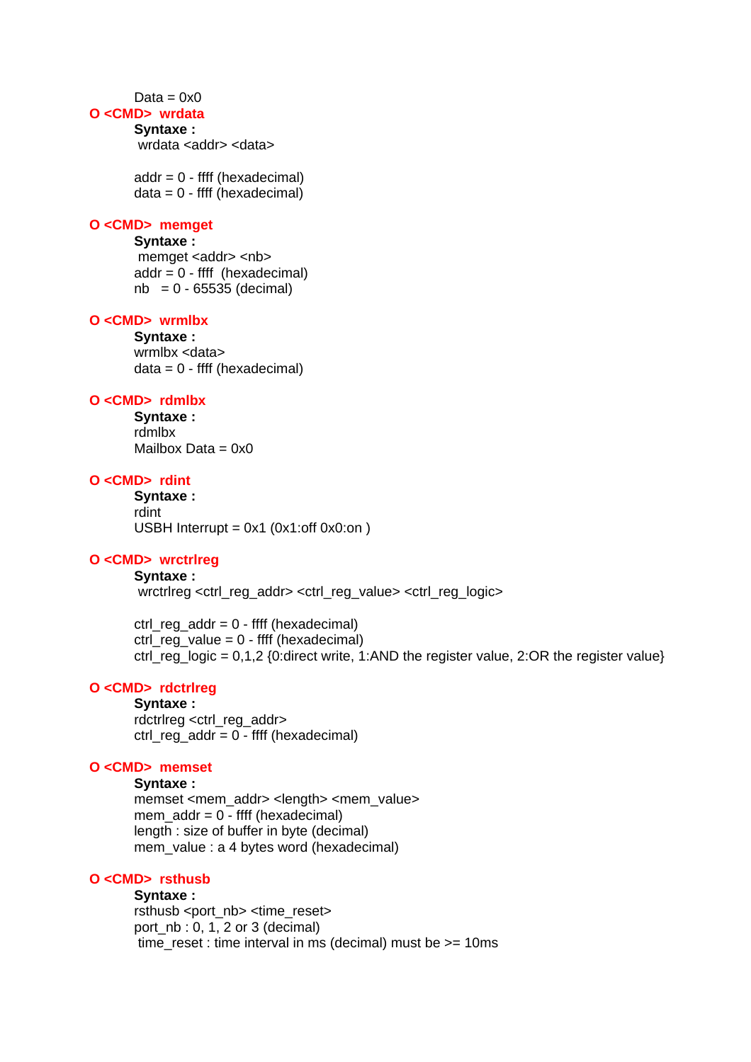#### $Data = 0x0$

## **O <CMD> wrdata**

#### **Syntaxe :**

wrdata <addr> <data>

 $addr = 0 - ffff$  (hexadecimal)  $data = 0 - ffff$  (hexadecimal)

#### **O <CMD> memget**

# **Syntaxe :**

memget <addr> <nb>  $addr = 0 - ffff$  (hexadecimal)  $nb = 0 - 65535$  (decimal)

# **O <CMD> wrmlbx**

**Syntaxe :**  wrmlbx <data>  $data = 0 - ffff$  (hexadecimal)

#### **O <CMD> rdmlbx**

**Syntaxe :**  rdmlbx Mailbox Data  $= 0x0$ 

# **O <CMD> rdint**

**Syntaxe :**  rdint USBH Interrupt =  $0x1$  ( $0x1$ :off  $0x0$ :on)

## **O <CMD> wrctrlreg**

# **Syntaxe :**

wrctrlreg <ctrl\_reg\_addr> <ctrl\_reg\_value> <ctrl\_reg\_logic>

 ctrl\_reg\_addr = 0 - ffff (hexadecimal) ctrl\_reg\_value =  $0$  - ffff (hexadecimal) ctrl\_reg\_logic = 0,1,2 {0:direct write, 1:AND the register value, 2:OR the register value}

# **O <CMD> rdctrlreg**

**Syntaxe :**  rdctrlreg <ctrl\_reg\_addr> ctrl\_reg\_addr = 0 - ffff (hexadecimal)

# **O <CMD> memset**

**Syntaxe :** 

memset <mem\_addr> <length> <mem\_value> mem\_addr =  $0$  - ffff (hexadecimal) length : size of buffer in byte (decimal) mem\_value : a 4 bytes word (hexadecimal)

# **O <CMD> rsthusb**

#### **Syntaxe :**

rsthusb <port\_nb> <time\_reset> port nb : 0, 1, 2 or 3 (decimal) time\_reset : time interval in ms (decimal) must be >= 10ms